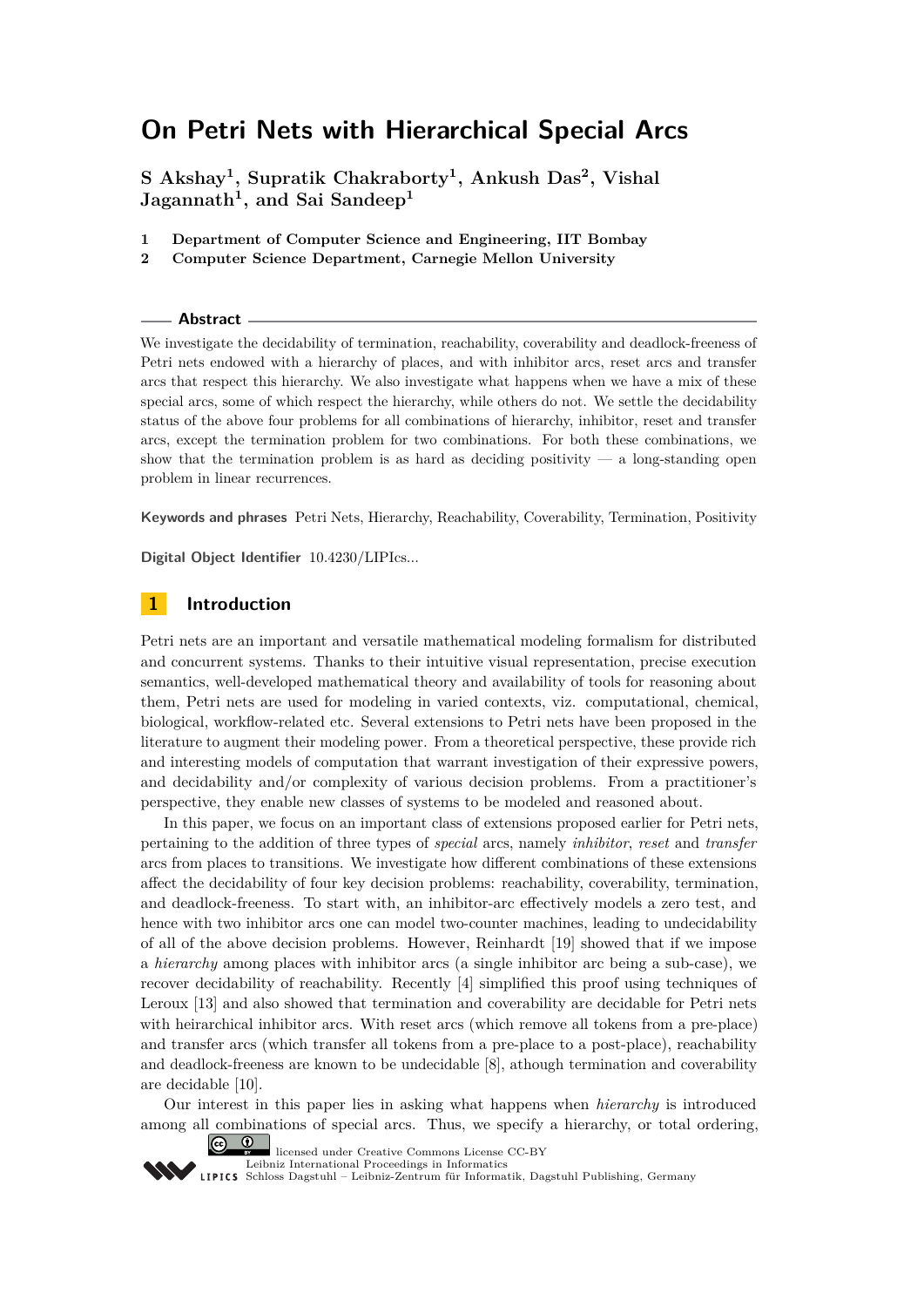# **On Petri Nets with Hierarchical Special Arcs**

**S Akshay<sup>1</sup> , Supratik Chakraborty<sup>1</sup> , Ankush Das<sup>2</sup> , Vishal Jagannath<sup>1</sup> , and Sai Sandeep<sup>1</sup>**

- **1 Department of Computer Science and Engineering, IIT Bombay**
- **2 Computer Science Department, Carnegie Mellon University**

#### **Abstract**

We investigate the decidability of termination, reachability, coverability and deadlock-freeness of Petri nets endowed with a hierarchy of places, and with inhibitor arcs, reset arcs and transfer arcs that respect this hierarchy. We also investigate what happens when we have a mix of these special arcs, some of which respect the hierarchy, while others do not. We settle the decidability status of the above four problems for all combinations of hierarchy, inhibitor, reset and transfer arcs, except the termination problem for two combinations. For both these combinations, we show that the termination problem is as hard as deciding positivity  $-$  a long-standing open problem in linear recurrences.

**Keywords and phrases** Petri Nets, Hierarchy, Reachability, Coverability, Termination, Positivity

**Digital Object Identifier** [10.4230/LIPIcs...](http://dx.doi.org/10.4230/LIPIcs...)

# **1 Introduction**

Petri nets are an important and versatile mathematical modeling formalism for distributed and concurrent systems. Thanks to their intuitive visual representation, precise execution semantics, well-developed mathematical theory and availability of tools for reasoning about them, Petri nets are used for modeling in varied contexts, viz. computational, chemical, biological, workflow-related etc. Several extensions to Petri nets have been proposed in the literature to augment their modeling power. From a theoretical perspective, these provide rich and interesting models of computation that warrant investigation of their expressive powers, and decidability and/or complexity of various decision problems. From a practitioner's perspective, they enable new classes of systems to be modeled and reasoned about.

In this paper, we focus on an important class of extensions proposed earlier for Petri nets, pertaining to the addition of three types of *special* arcs, namely *inhibitor*, *reset* and *transfer* arcs from places to transitions. We investigate how different combinations of these extensions affect the decidability of four key decision problems: reachability, coverability, termination, and deadlock-freeness. To start with, an inhibitor-arc effectively models a zero test, and hence with two inhibitor arcs one can model two-counter machines, leading to undecidability of all of the above decision problems. However, Reinhardt [\[19\]](#page-15-0) showed that if we impose a *hierarchy* among places with inhibitor arcs (a single inhibitor arc being a sub-case), we recover decidability of reachability. Recently [\[4\]](#page-14-0) simplified this proof using techniques of Leroux [\[13\]](#page-14-1) and also showed that termination and coverability are decidable for Petri nets with heirarchical inhibitor arcs. With reset arcs (which remove all tokens from a pre-place) and transfer arcs (which transfer all tokens from a pre-place to a post-place), reachability and deadlock-freeness are known to be undecidable [\[8\]](#page-14-2), athough termination and coverability are decidable [\[10\]](#page-14-3).

Our interest in this paper lies in asking what happens when *hierarchy* is introduced among all combinations of special arcs. Thus, we specify a hierarchy, or total ordering,



licensed under Creative Commons License CC-BY

[Leibniz International Proceedings in Informatics](http://www.dagstuhl.de/lipics/) [Schloss Dagstuhl – Leibniz-Zentrum für Informatik, Dagstuhl Publishing, Germany](http://www.dagstuhl.de)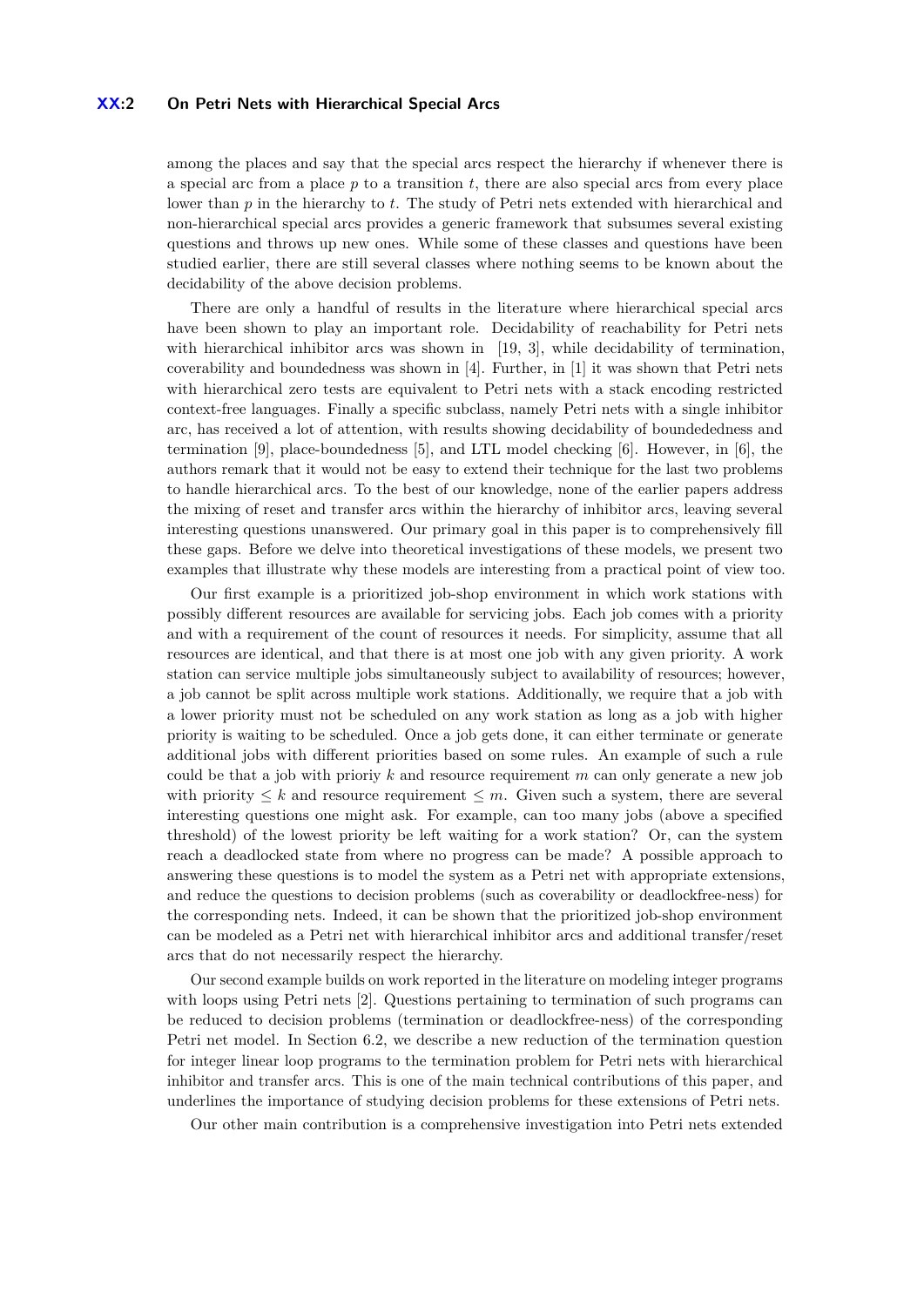### **XX:2 On Petri Nets with Hierarchical Special Arcs**

among the places and say that the special arcs respect the hierarchy if whenever there is a special arc from a place  $p$  to a transition  $t$ , there are also special arcs from every place lower than *p* in the hierarchy to *t*. The study of Petri nets extended with hierarchical and non-hierarchical special arcs provides a generic framework that subsumes several existing questions and throws up new ones. While some of these classes and questions have been studied earlier, there are still several classes where nothing seems to be known about the decidability of the above decision problems.

There are only a handful of results in the literature where hierarchical special arcs have been shown to play an important role. Decidability of reachability for Petri nets with hierarchical inhibitor arcs was shown in [\[19,](#page-15-0) [3\]](#page-14-4), while decidability of termination, coverability and boundedness was shown in [\[4\]](#page-14-0). Further, in [\[1\]](#page-14-5) it was shown that Petri nets with hierarchical zero tests are equivalent to Petri nets with a stack encoding restricted context-free languages. Finally a specific subclass, namely Petri nets with a single inhibitor arc, has received a lot of attention, with results showing decidability of boundededness and termination [\[9\]](#page-14-6), place-boundedness [\[5\]](#page-14-7), and LTL model checking [\[6\]](#page-14-8). However, in [\[6\]](#page-14-8), the authors remark that it would not be easy to extend their technique for the last two problems to handle hierarchical arcs. To the best of our knowledge, none of the earlier papers address the mixing of reset and transfer arcs within the hierarchy of inhibitor arcs, leaving several interesting questions unanswered. Our primary goal in this paper is to comprehensively fill these gaps. Before we delve into theoretical investigations of these models, we present two examples that illustrate why these models are interesting from a practical point of view too.

Our first example is a prioritized job-shop environment in which work stations with possibly different resources are available for servicing jobs. Each job comes with a priority and with a requirement of the count of resources it needs. For simplicity, assume that all resources are identical, and that there is at most one job with any given priority. A work station can service multiple jobs simultaneously subject to availability of resources; however, a job cannot be split across multiple work stations. Additionally, we require that a job with a lower priority must not be scheduled on any work station as long as a job with higher priority is waiting to be scheduled. Once a job gets done, it can either terminate or generate additional jobs with different priorities based on some rules. An example of such a rule could be that a job with prioriy *k* and resource requirement *m* can only generate a new job with priority  $\leq k$  and resource requirement  $\leq m$ . Given such a system, there are several interesting questions one might ask. For example, can too many jobs (above a specified threshold) of the lowest priority be left waiting for a work station? Or, can the system reach a deadlocked state from where no progress can be made? A possible approach to answering these questions is to model the system as a Petri net with appropriate extensions, and reduce the questions to decision problems (such as coverability or deadlockfree-ness) for the corresponding nets. Indeed, it can be shown that the prioritized job-shop environment can be modeled as a Petri net with hierarchical inhibitor arcs and additional transfer/reset arcs that do not necessarily respect the hierarchy.

Our second example builds on work reported in the literature on modeling integer programs with loops using Petri nets [\[2\]](#page-14-9). Questions pertaining to termination of such programs can be reduced to decision problems (termination or deadlockfree-ness) of the corresponding Petri net model. In Section [6.2,](#page-12-0) we describe a new reduction of the termination question for integer linear loop programs to the termination problem for Petri nets with hierarchical inhibitor and transfer arcs. This is one of the main technical contributions of this paper, and underlines the importance of studying decision problems for these extensions of Petri nets.

Our other main contribution is a comprehensive investigation into Petri nets extended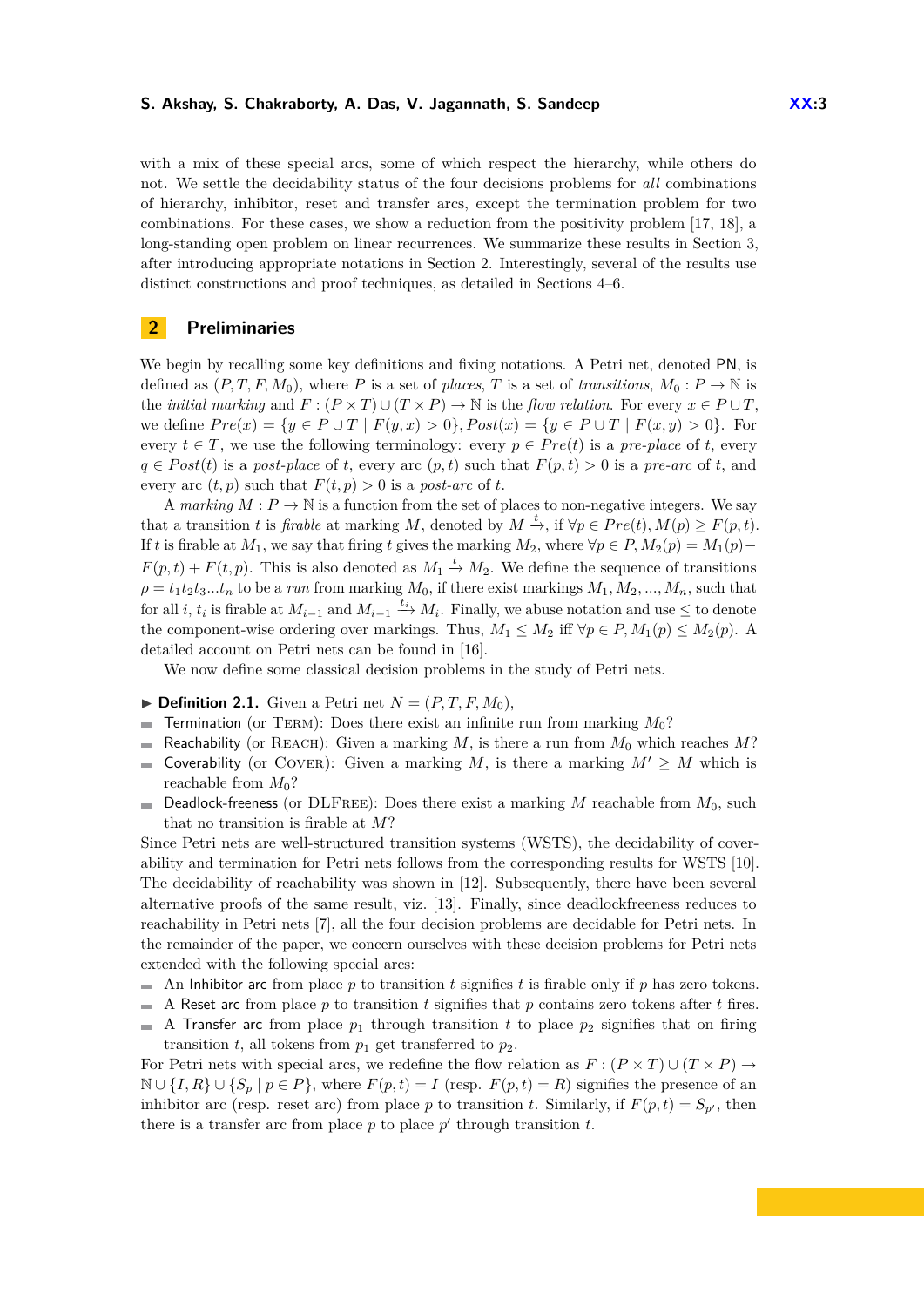with a mix of these special arcs, some of which respect the hierarchy, while others do not. We settle the decidability status of the four decisions problems for *all* combinations of hierarchy, inhibitor, reset and transfer arcs, except the termination problem for two combinations. For these cases, we show a reduction from the positivity problem [\[17,](#page-15-1) [18\]](#page-15-2), a long-standing open problem on linear recurrences. We summarize these results in Section [3,](#page-3-0) after introducing appropriate notations in Section [2.](#page-2-0) Interestingly, several of the results use distinct constructions and proof techniques, as detailed in Sections [4–](#page-5-0)[6.](#page-11-0)

# <span id="page-2-0"></span>**2 Preliminaries**

We begin by recalling some key definitions and fixing notations. A Petri net, denoted PN, is defined as  $(P, T, F, M_0)$ , where P is a set of *places*, T is a set of *transitions*,  $M_0: P \to \mathbb{N}$  is the *initial marking* and  $F : (P \times T) \cup (T \times P) \rightarrow \mathbb{N}$  is the *flow relation*. For every  $x \in P \cup T$ , we define  $Pre(x) = \{y \in P \cup T \mid F(y, x) > 0\}, Post(x) = \{y \in P \cup T \mid F(x, y) > 0\}.$  For every  $t \in T$ , we use the following terminology: every  $p \in Pre(t)$  is a *pre-place* of *t*, every  $q \in Post(t)$  is a *post-place* of *t*, every arc  $(p, t)$  such that  $F(p, t) > 0$  is a *pre-arc* of *t*, and every arc  $(t, p)$  such that  $F(t, p) > 0$  is a *post-arc* of *t*.

A *marking*  $M: P \to \mathbb{N}$  is a function from the set of places to non-negative integers. We say that a transition *t* is *firable* at marking *M*, denoted by  $M \xrightarrow{t}$ , if  $\forall p \in Pre(t), M(p) \geq F(p, t)$ . If *t* is firable at  $M_1$ , we say that firing *t* gives the marking  $M_2$ , where  $\forall p \in P$ ,  $M_2(p) = M_1(p)$  $F(p,t) + F(t,p)$ . This is also denoted as  $M_1 \stackrel{t}{\rightarrow} M_2$ . We define the sequence of transitions  $\rho = t_1 t_2 t_3 \dots t_n$  to be a *run* from marking  $M_0$ , if there exist markings  $M_1, M_2, \dots, M_n$ , such that for all *i*,  $t_i$  is firable at  $M_{i-1}$  and  $M_{i-1} \stackrel{t_i}{\rightarrow} M_i$ . Finally, we abuse notation and use  $\leq$  to denote the component-wise ordering over markings. Thus,  $M_1 \leq M_2$  iff  $\forall p \in P, M_1(p) \leq M_2(p)$ . A detailed account on Petri nets can be found in [\[16\]](#page-14-10).

We now define some classical decision problems in the study of Petri nets.

- $\blacktriangleright$  **Definition 2.1.** Given a Petri net  $N = (P, T, F, M_0)$ ,
- Termination (or TERM): Does there exist an infinite run from marking  $M_0$ ?  $\overline{a}$
- Reachability (or REACH): Given a marking  $M$ , is there a run from  $M_0$  which reaches  $M$ ?
- Coverability (or COVER): Given a marking *M*, is there a marking  $M' \geq M$  which is  $\sim$ reachable from *M*0?
- Deadlock-freeness (or DLFree): Does there exist a marking *M* reachable from *M*0, such  $\blacksquare$ that no transition is firable at *M*?

Since Petri nets are well-structured transition systems (WSTS), the decidability of coverability and termination for Petri nets follows from the corresponding results for WSTS [\[10\]](#page-14-3). The decidability of reachability was shown in [\[12\]](#page-14-11). Subsequently, there have been several alternative proofs of the same result, viz. [\[13\]](#page-14-1). Finally, since deadlockfreeness reduces to reachability in Petri nets [\[7\]](#page-14-12), all the four decision problems are decidable for Petri nets. In the remainder of the paper, we concern ourselves with these decision problems for Petri nets extended with the following special arcs:

- An Inhibitor arc from place *p* to transition *t* signifies *t* is firable only if *p* has zero tokens.  $\mathbf{r}$
- A Reset arc from place *p* to transition *t* signifies that *p* contains zero tokens after *t* fires.  $\mathcal{L}_{\mathcal{A}}$
- A Transfer arc from place  $p_1$  through transition  $t$  to place  $p_2$  signifies that on firing  $\overline{\phantom{a}}$ transition *t*, all tokens from  $p_1$  get transferred to  $p_2$ .

For Petri nets with special arcs, we redefine the flow relation as  $F : (P \times T) \cup (T \times P) \rightarrow$ N ∪  $\{I, R\}$  ∪  $\{S_p | p \in P\}$ , where  $F(p, t) = I$  (resp.  $F(p, t) = R$ ) signifies the presence of an inhibitor arc (resp. reset arc) from place *p* to transition *t*. Similarly, if  $F(p, t) = S_{p'}$ , then there is a transfer arc from place  $p$  to place  $p'$  through transition  $t$ .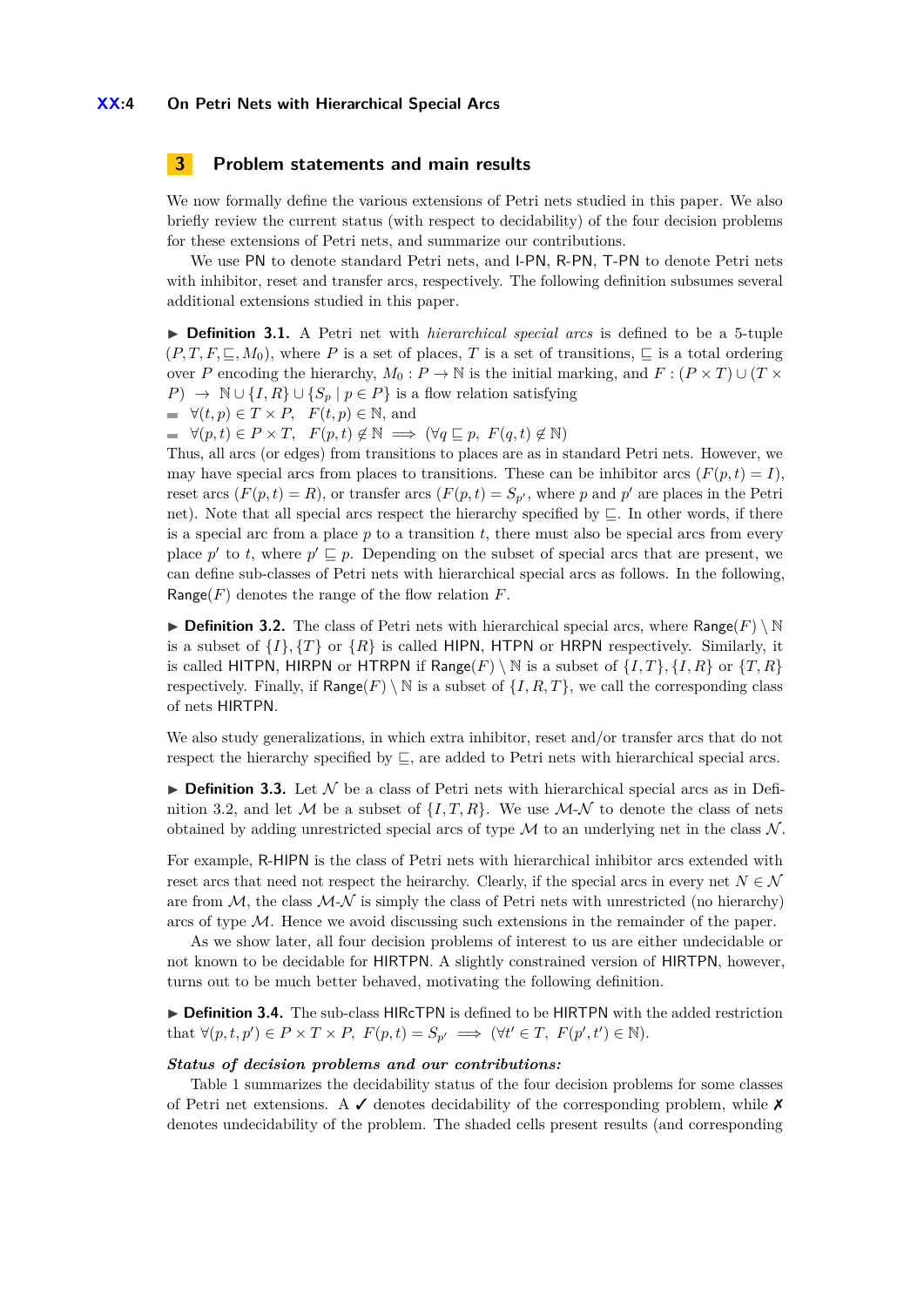# <span id="page-3-0"></span>**3 Problem statements and main results**

We now formally define the various extensions of Petri nets studied in this paper. We also briefly review the current status (with respect to decidability) of the four decision problems for these extensions of Petri nets, and summarize our contributions.

We use PN to denote standard Petri nets, and I-PN, R-PN, T-PN to denote Petri nets with inhibitor, reset and transfer arcs, respectively. The following definition subsumes several additional extensions studied in this paper.

▶ **Definition 3.1.** A Petri net with *hierarchical special arcs* is defined to be a 5-tuple  $(P, T, F, \subseteq, M_0)$ , where P is a set of places, T is a set of transitions,  $\subseteq$  is a total ordering over *P* encoding the hierarchy,  $M_0: P \to \mathbb{N}$  is the initial marking, and  $F: (P \times T) \cup (T \times T)$ *P*) →  $\mathbb{N} \cup \{I, R\} \cup \{S_p | p \in P\}$  is a flow relation satisfying

$$
\blacksquare \quad \forall (t, p) \in T \times P, \quad F(t, p) \in \mathbb{N}, \text{ and}
$$

 $\forall (p, t) \in P \times T$ ,  $F(p, t) \notin \mathbb{N} \implies (\forall q \sqsubseteq p, F(q, t) \notin \mathbb{N})$ 

Thus, all arcs (or edges) from transitions to places are as in standard Petri nets. However, we may have special arcs from places to transitions. These can be inhibitor arcs  $(F(p, t) = I)$ , reset arcs  $(F(p, t) = R)$ , or transfer arcs  $(F(p, t) = S_{p}$ , where p and p' are places in the Petri net). Note that all special arcs respect the hierarchy specified by  $\sqsubseteq$ . In other words, if there is a special arc from a place  $p$  to a transition  $t$ , there must also be special arcs from every place p' to t, where  $p' \sqsubseteq p$ . Depending on the subset of special arcs that are present, we can define sub-classes of Petri nets with hierarchical special arcs as follows. In the following, Range(*F*) denotes the range of the flow relation *F*.

<span id="page-3-1"></span>**Definition 3.2.** The class of Petri nets with hierarchical special arcs, where Range( $F \setminus \mathbb{N}$ is a subset of  $\{I\}$ ,  $\{T\}$  or  $\{R\}$  is called HIPN, HTPN or HRPN respectively. Similarly, it is called HITPN, HIRPN or HTRPN if Range(*F*) \ N is a subset of  $\{I, T\}$ ,  $\{I, R\}$  or  $\{T, R\}$ respectively. Finally, if  $\textsf{Range}(F) \setminus \mathbb{N}$  is a subset of  $\{I, R, T\}$ , we call the corresponding class of nets HIRTPN.

We also study generalizations, in which extra inhibitor, reset and/or transfer arcs that do not respect the hierarchy specified by  $\sqsubseteq$ , are added to Petri nets with hierarchical special arcs.

**Definition 3.3.** Let  $\mathcal N$  be a class of Petri nets with hierarchical special arcs as in Defi-nition [3.2,](#page-3-1) and let M be a subset of  $\{I, T, R\}$ . We use M-N to denote the class of nets obtained by adding unrestricted special arcs of type  $\mathcal M$  to an underlying net in the class  $\mathcal N$ .

For example, R-HIPN is the class of Petri nets with hierarchical inhibitor arcs extended with reset arcs that need not respect the heirarchy. Clearly, if the special arcs in every net  $N \in \mathcal{N}$ are from  $M$ , the class  $M-N$  is simply the class of Petri nets with unrestricted (no hierarchy) arcs of type  $M$ . Hence we avoid discussing such extensions in the remainder of the paper.

As we show later, all four decision problems of interest to us are either undecidable or not known to be decidable for HIRTPN. A slightly constrained version of HIRTPN, however, turns out to be much better behaved, motivating the following definition.

▶ **Definition 3.4.** The sub-class HIRcTPN is defined to be HIRTPN with the added restriction that  $\forall (p, t, p') \in P \times T \times P$ ,  $F(p, t) = S_{p'} \implies (\forall t' \in T, F(p', t') \in \mathbb{N})$ .

#### *Status of decision problems and our contributions:*

Table [1](#page-4-0) summarizes the decidability status of the four decision problems for some classes of Petri net extensions. A  $\checkmark$  denotes decidability of the corresponding problem, while  $\checkmark$ denotes undecidability of the problem. The shaded cells present results (and corresponding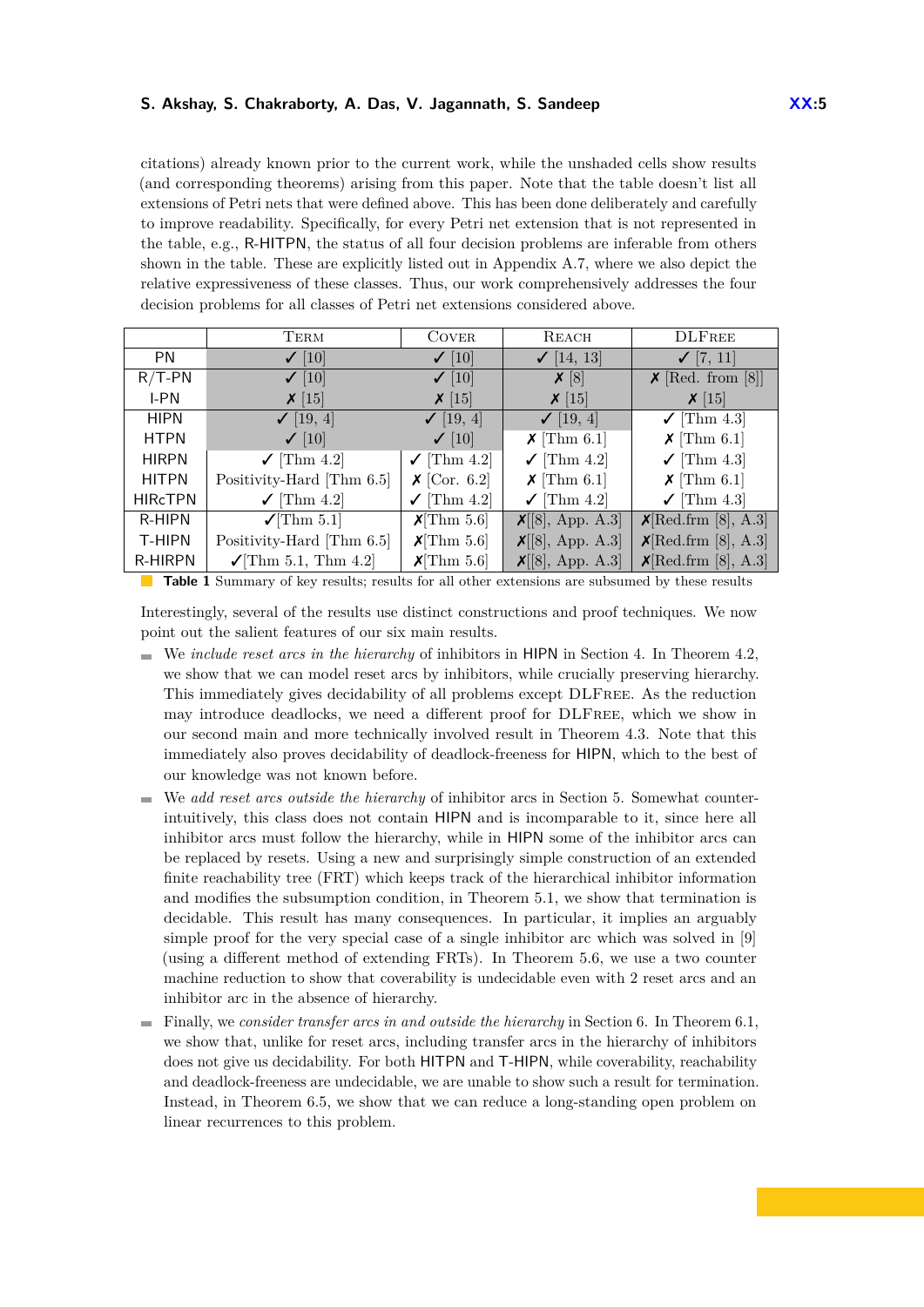citations) already known prior to the current work, while the unshaded cells show results (and corresponding theorems) arising from this paper. Note that the table doesn't list all extensions of Petri nets that were defined above. This has been done deliberately and carefully to improve readability. Specifically, for every Petri net extension that is not represented in the table, e.g., R-HITPN, the status of all four decision problems are inferable from others shown in the table. These are explicitly listed out in Appendix [A.7,](#page-30-0) where we also depict the relative expressiveness of these classes. Thus, our work comprehensively addresses the four decision problems for all classes of Petri net extensions considered above.

|                | TERM                               | <b>COVER</b>                         | REACH                               | <b>DLFREE</b>                         |
|----------------|------------------------------------|--------------------------------------|-------------------------------------|---------------------------------------|
| <b>PN</b>      | $\checkmark$ [10]                  | $\checkmark$ [10]                    | $\checkmark$ [14, 13]               | $\checkmark$ [7, 11]                  |
| $R/T-PN$       | $\checkmark$ [10]                  | $\checkmark$ [10]                    | $\boldsymbol{\mathsf{X}}$ [8]       | $\boldsymbol{\times}$ [Red. from [8]] |
| I-PN           | $\boldsymbol{\chi}$ [15]           | $\chi$ [15]                          | $\chi$ [15]                         | $\chi$ [15]                           |
| <b>HIPN</b>    | $\checkmark$ [19, 4]               | $\checkmark$ [19, 4]                 | $\checkmark$ [19, 4]                | $\checkmark$ [Thm 4.3]                |
| <b>HTPN</b>    | $\checkmark$ [10]                  | $\checkmark$ [10]                    | $\boldsymbol{\mathsf{X}}$ [Thm 6.1] | $\boldsymbol{\mathsf{X}}$ [Thm 6.1]   |
| <b>HIRPN</b>   | $\checkmark$ [Thm 4.2]             | $\checkmark$ [Thm 4.2]               | $\checkmark$ [Thm 4.2]              | $\checkmark$ [Thm 4.3]                |
| <b>HITPN</b>   | Positivity-Hard [Thm 6.5]          | $\boldsymbol{\mathsf{X}}$ [Cor. 6.2] | $\boldsymbol{\mathsf{X}}$ [Thm 6.1] | $\boldsymbol{\mathsf{X}}$ [Thm 6.1]   |
| <b>HIRCTPN</b> | $\checkmark$ [Thm 4.2]             | $\checkmark$ [Thm 4.2]               | $\checkmark$ [Thm 4.2]              | $\checkmark$ [Thm 4.3]                |
| R-HIPN         | $\sqrt{\text{Thm } 5.1}$           | $X[\text{Thm } 5.6]$                 | X[[8], App. A.3]                    | X[Red.frm [8], A.3]                   |
| T-HIPN         | Positivity-Hard [Thm 6.5]          | $X[\text{Thm } 5.6]$                 | X[[8], App. A.3]                    | $\mathsf{X}[\text{Red.frm }[8], A.3]$ |
| R-HIRPN        | $\sqrt{\text{Thm } 5.1}$ , Thm 4.2 | $X[\text{Thm } 5.6]$                 | $X[8]$ , App. A.3                   | X[Red.ffrm [8], A.3]                  |

<span id="page-4-0"></span>**Table 1** Summary of key results; results for all other extensions are subsumed by these results

Interestingly, several of the results use distinct constructions and proof techniques. We now point out the salient features of our six main results.

- We *include reset arcs in the hierarchy* of inhibitors in HIPN in Section [4.](#page-5-0) In Theorem [4.2,](#page-6-0) we show that we can model reset arcs by inhibitors, while crucially preserving hierarchy. This immediately gives decidability of all problems except DLFree. As the reduction may introduce deadlocks, we need a different proof for DLFree, which we show in our second main and more technically involved result in Theorem [4.3.](#page-7-0) Note that this immediately also proves decidability of deadlock-freeness for HIPN, which to the best of our knowledge was not known before.
- We *add reset arcs outside the hierarchy* of inhibitor arcs in Section [5.](#page-7-1) Somewhat counterintuitively, this class does not contain HIPN and is incomparable to it, since here all inhibitor arcs must follow the hierarchy, while in HIPN some of the inhibitor arcs can be replaced by resets. Using a new and surprisingly simple construction of an extended finite reachability tree (FRT) which keeps track of the hierarchical inhibitor information and modifies the subsumption condition, in Theorem [5.1,](#page-8-0) we show that termination is decidable. This result has many consequences. In particular, it implies an arguably simple proof for the very special case of a single inhibitor arc which was solved in [\[9\]](#page-14-6) (using a different method of extending FRTs). In Theorem [5.6,](#page-9-0) we use a two counter machine reduction to show that coverability is undecidable even with 2 reset arcs and an inhibitor arc in the absence of hierarchy.
- Finally, we *consider transfer arcs in and outside the hierarchy* in Section [6.](#page-11-0) In Theorem [6.1,](#page-11-1) we show that, unlike for reset arcs, including transfer arcs in the hierarchy of inhibitors does not give us decidability. For both HITPN and T-HIPN, while coverability, reachability and deadlock-freeness are undecidable, we are unable to show such a result for termination. Instead, in Theorem [6.5,](#page-13-0) we show that we can reduce a long-standing open problem on linear recurrences to this problem.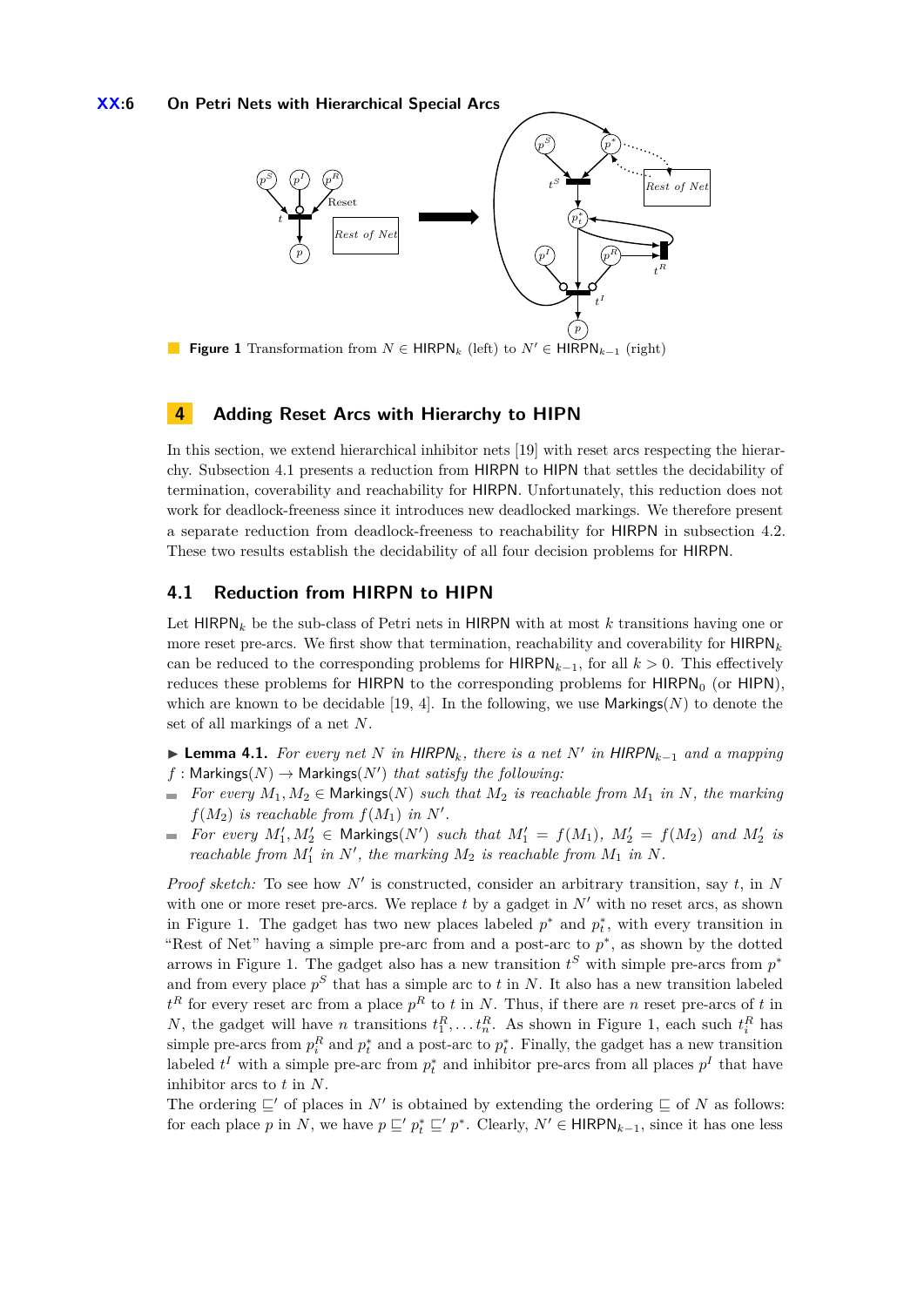### **XX:6 On Petri Nets with Hierarchical Special Arcs**

<span id="page-5-2"></span>

**Figure 1** Transformation from  $N \in \text{HIRPN}_k$  (left) to  $N' \in \text{HIRPN}_{k-1}$  (right)

# <span id="page-5-0"></span>**4 Adding Reset Arcs with Hierarchy to HIPN**

In this section, we extend hierarchical inhibitor nets [\[19\]](#page-15-0) with reset arcs respecting the hierarchy. Subsection [4.1](#page-5-1) presents a reduction from HIRPN to HIPN that settles the decidability of termination, coverability and reachability for HIRPN. Unfortunately, this reduction does not work for deadlock-freeness since it introduces new deadlocked markings. We therefore present a separate reduction from deadlock-freeness to reachability for HIRPN in subsection [4.2.](#page-6-1) These two results establish the decidability of all four decision problems for HIRPN.

### <span id="page-5-1"></span>**4.1 Reduction from HIRPN to HIPN**

Let HIRPN*<sup>k</sup>* be the sub-class of Petri nets in HIRPN with at most *k* transitions having one or more reset pre-arcs. We first show that termination, reachability and coverability for HIRPN*<sup>k</sup>* can be reduced to the corresponding problems for  $HIRPN_{k-1}$ , for all  $k > 0$ . This effectively reduces these problems for HIRPN to the corresponding problems for  $HIRPN<sub>0</sub>$  (or HIPN), which are known to be decidable [\[19,](#page-15-0) [4\]](#page-14-0). In the following, we use Markings(*N*) to denote the set of all markings of a net *N*.

- <span id="page-5-3"></span>▶ **Lemma 4.1.** *For every net N in*  $HIRPN_k$ *, there is a net*  $N'$  *in*  $HIRPN_{k-1}$  *and a mapping*  $f:$  Markings $(N) \rightarrow$  Markings $(N')$  *that satisfy the following:*
- $\blacksquare$  *For every*  $M_1, M_2 \in \text{Markings}(N)$  *such that*  $M_2$  *is reachable from*  $M_1$  *in*  $N$ *, the marking*  $f(M_2)$  *is reachable from*  $f(M_1)$  *in*  $N'$ *.*
- *For every*  $M'_1, M'_2 \in \text{Markings}(N')$  *such that*  $M'_1 = f(M_1), M'_2 = f(M_2)$  *and*  $M'_2$  *is* L. *reachable from*  $M'_1$  *in*  $N'$ *, the marking*  $M_2$  *is reachable from*  $M_1$  *in*  $N$ *.*

*Proof sketch:* To see how  $N'$  is constructed, consider an arbitrary transition, say  $t$ , in  $N$ with one or more reset pre-arcs. We replace  $t$  by a gadget in  $N'$  with no reset arcs, as shown in Figure [1.](#page-5-2) The gadget has two new places labeled  $p^*$  and  $p_t^*$ , with every transition in "Rest of Net" having a simple pre-arc from and a post-arc to *p* ∗ , as shown by the dotted arrows in Figure [1.](#page-5-2) The gadget also has a new transition  $t^S$  with simple pre-arcs from  $p^*$ and from every place *p <sup>S</sup>* that has a simple arc to *t* in *N*. It also has a new transition labeled  $t^R$  for every reset arc from a place  $p^R$  to *t* in *N*. Thus, if there are *n* reset pre-arcs of *t* in *N*, the gadget will have *n* transitions  $t_1^R, \ldots, t_n^R$ . As shown in Figure [1,](#page-5-2) each such  $t_i^R$  has simple pre-arcs from  $p_i^R$  and  $p_t^*$  and a post-arc to  $p_t^*$ . Finally, the gadget has a new transition labeled  $t^I$  with a simple pre-arc from  $p_t^*$  and inhibitor pre-arcs from all places  $p^I$  that have inhibitor arcs to *t* in *N*.

The ordering  $\subseteq'$  of places in *N'* is obtained by extending the ordering  $\subseteq$  of *N* as follows: for each place *p* in *N*, we have  $p \subseteq' p_t^* \subseteq' p^*$ . Clearly,  $N' \in \text{HIRPN}_{k-1}$ , since it has one less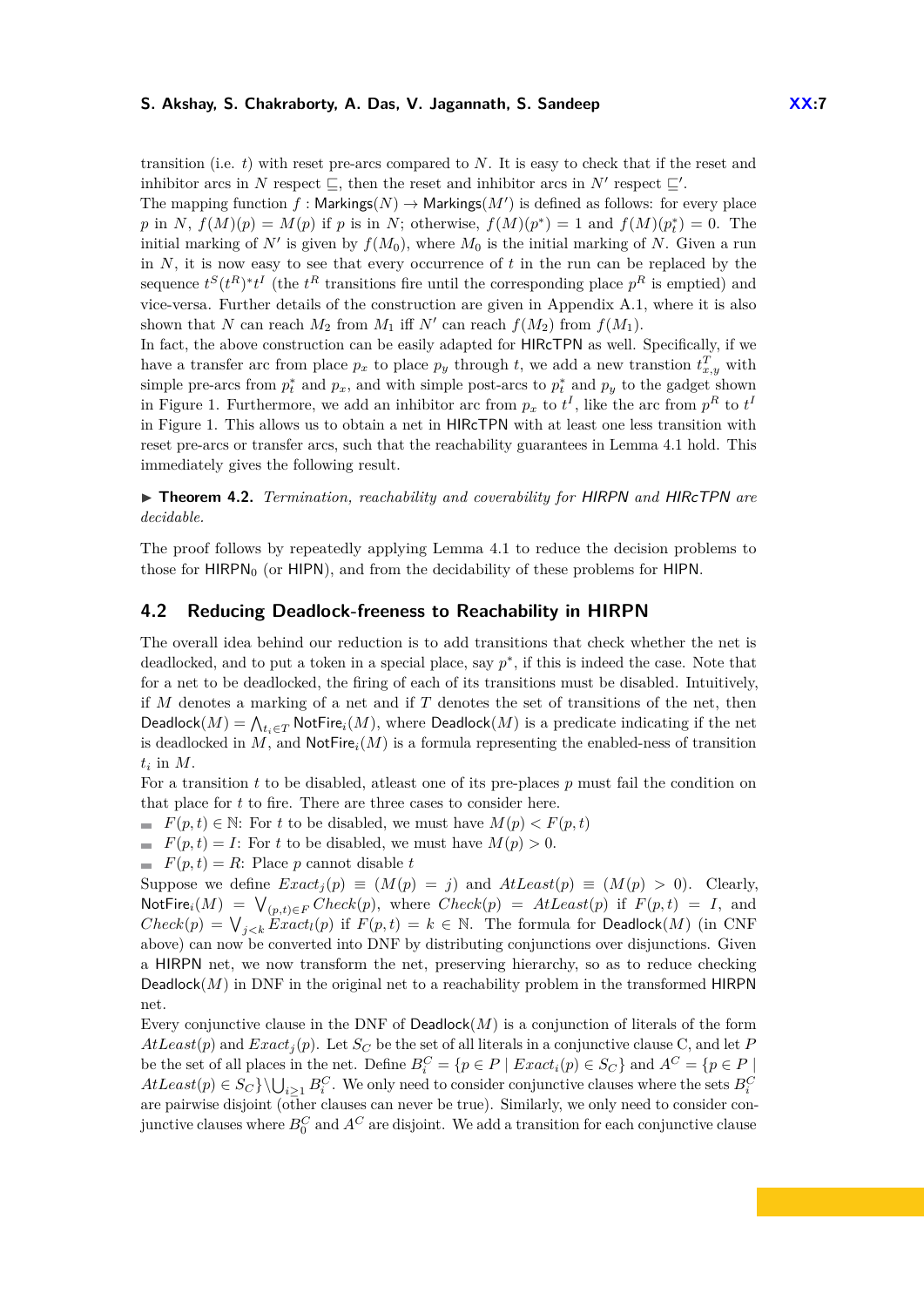transition (i.e. *t*) with reset pre-arcs compared to *N*. It is easy to check that if the reset and inhibitor arcs in *N* respect  $\subseteq$ , then the reset and inhibitor arcs in *N*<sup>*n*</sup> respect  $\subseteq'$ . The mapping function  $f :$  Markings( $N$ )  $\rightarrow$  Markings( $M'$ ) is defined as follows: for every place *p* in *N*,  $f(M)(p) = M(p)$  if *p* is in *N*; otherwise,  $f(M)(p^*) = 1$  and  $f(M)(p_t^*) = 0$ . The initial marking of  $N'$  is given by  $f(M_0)$ , where  $M_0$  is the initial marking of  $N$ . Given a run in  $N$ , it is now easy to see that every occurrence of  $t$  in the run can be replaced by the sequence  $t^{S}(t^{R})^{*}t^{I}$  (the  $t^{R}$  transitions fire until the corresponding place  $p^{R}$  is emptied) and vice-versa. Further details of the construction are given in Appendix [A.1,](#page-15-3) where it is also shown that *N* can reach  $M_2$  from  $M_1$  iff  $N'$  can reach  $f(M_2)$  from  $f(M_1)$ .

In fact, the above construction can be easily adapted for HIRcTPN as well. Specifically, if we have a transfer arc from place  $p_x$  to place  $p_y$  through *t*, we add a new transtion  $t_{x,y}^T$  with simple pre-arcs from  $p_t^*$  and  $p_x$ , and with simple post-arcs to  $p_t^*$  and  $p_y$  to the gadget shown in Figure [1.](#page-5-2) Furthermore, we add an inhibitor arc from  $p_x$  to  $t^I$ , like the arc from  $p^R$  to  $t^I$ in Figure [1.](#page-5-2) This allows us to obtain a net in HIRcTPN with at least one less transition with reset pre-arcs or transfer arcs, such that the reachability guarantees in Lemma [4.1](#page-5-3) hold. This immediately gives the following result.

<span id="page-6-0"></span>I **Theorem 4.2.** *Termination, reachability and coverability for* HIRPN *and* HIRcTPN *are decidable.*

The proof follows by repeatedly applying Lemma [4.1](#page-5-3) to reduce the decision problems to those for  $HIPN<sub>0</sub>$  (or  $HIPN$ ), and from the decidability of these problems for  $HIPN$ .

### <span id="page-6-1"></span>**4.2 Reducing Deadlock-freeness to Reachability in HIRPN**

The overall idea behind our reduction is to add transitions that check whether the net is deadlocked, and to put a token in a special place, say  $p^*$ , if this is indeed the case. Note that for a net to be deadlocked, the firing of each of its transitions must be disabled. Intuitively, if *M* denotes a marking of a net and if *T* denotes the set of transitions of the net, then  $\mathsf{Deadlock}(M) = \bigwedge_{t_i \in T} \mathsf{NotFire}_i(M),$  where  $\mathsf{Deadlock}(M)$  is a predicate indicating if the net is deadlocked in  $M$ , and  $\mathsf{NotFire}_i(M)$  is a formula representing the enabled-ness of transition  $t_i$  in  $M$ .

For a transition *t* to be disabled, atleast one of its pre-places *p* must fail the condition on that place for *t* to fire. There are three cases to consider here.

- *F*(*p, t*)  $\in$  N: For *t* to be disabled, we must have  $M(p) \lt F(p, t)$
- $F(p, t) = I$ : For *t* to be disabled, we must have  $M(p) > 0$ .
- $F(p,t) = R$ : Place *p* cannot disable *t*

Suppose we define  $Exact_j(p) \equiv (M(p) = j)$  and  $AtLeast(p) \equiv (M(p) > 0)$ . Clearly,  $\text{NotFire}_i(M) = \bigvee_{(p,t) \in F} Check(p), \text{ where } Check(p) = AtLeast(p) \text{ if } F(p,t) = I, \text{ and }$  $Check(p) = V_{j < k}$  *Exact<sub>l</sub>*(*p*) if  $F(p, t) = k \in \mathbb{N}$ . The formula for Deadlock(*M*) (in CNF above) can now be converted into DNF by distributing conjunctions over disjunctions. Given a HIRPN net, we now transform the net, preserving hierarchy, so as to reduce checking Deadlock $(M)$  in DNF in the original net to a reachability problem in the transformed HIRPN net.

Every conjunctive clause in the DNF of Deadlock(*M*) is a conjunction of literals of the form  $AtLeast(p)$  and  $Exact<sub>j</sub>(p)$ . Let  $S<sub>C</sub>$  be the set of all literals in a conjunctive clause C, and let *P* be the set of all places in the net. Define  $B_i^C = \{p \in P \mid Exact_i(p) \in S_C\}$  and  $A^C = \{p \in P \mid C_i(p) \in S_C\}$  $AtLeast(p) \in S_C$  }  $\bigcup_{i\geq 1} B_i^C$ . We only need to consider conjunctive clauses where the sets  $B_i^C$ are pairwise disjoint (other clauses can never be true). Similarly, we only need to consider conjunctive clauses where  $B_0^C$  and  $A^C$  are disjoint. We add a transition for each conjunctive clause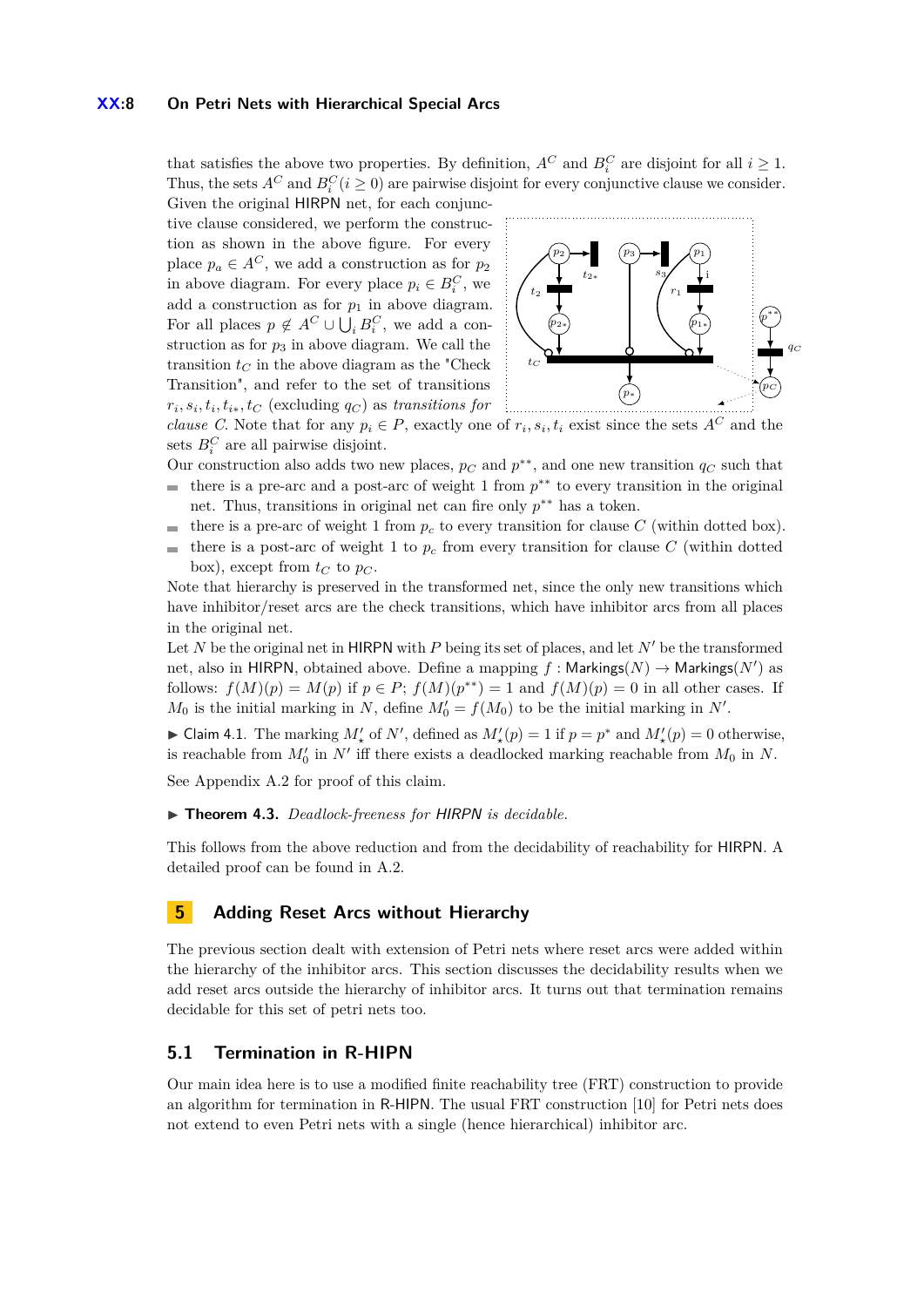### **XX:8 On Petri Nets with Hierarchical Special Arcs**

that satisfies the above two properties. By definition,  $A^C$  and  $B_i^C$  are disjoint for all  $i \geq 1$ . Thus, the sets  $A^C$  and  $B_i^C$  ( $i \geq 0$ ) are pairwise disjoint for every conjunctive clause we consider. Given the original HIRPN net, for each conjunc-

tive clause considered, we perform the construction as shown in the above figure. For every place  $p_a \in A^C$ , we add a construction as for  $p_2$ in above diagram. For every place  $p_i \in B_i^C$ , we add a construction as for  $p_1$  in above diagram. For all places  $p \notin A^C \cup \bigcup_i B_i^C$ , we add a construction as for  $p_3$  in above diagram. We call the transition  $t_C$  in the above diagram as the "Check" Transition", and refer to the set of transitions  $r_i, s_i, t_i, t_{i*}, t_C$  (excluding  $q_C$ ) as *transitions for* 



*clause C*. Note that for any  $p_i \in P$ , exactly one of  $r_i, s_i, t_i$  exist since the sets  $A^C$  and the sets  $B_i^C$  are all pairwise disjoint.

Our construction also adds two new places,  $p_C$  and  $p^{**}$ , and one new transition  $q_C$  such that there is a pre-arc and a post-arc of weight 1 from  $p^{**}$  to every transition in the original  $\equiv$ net. Thus, transitions in original net can fire only  $p^{**}$  has a token.

- there is a pre-arc of weight 1 from  $p_c$  to every transition for clause C (within dotted box). m.
- there is a post-arc of weight 1 to  $p_c$  from every transition for clause  $C$  (within dotted  $\blacksquare$ box), except from  $t_C$  to  $p_C$ .

Note that hierarchy is preserved in the transformed net, since the only new transitions which have inhibitor/reset arcs are the check transitions, which have inhibitor arcs from all places in the original net.

Let *N* be the original net in HIRPN with *P* being its set of places, and let  $N'$  be the transformed net, also in HIRPN, obtained above. Define a mapping  $f :$  Markings( $N$ )  $\rightarrow$  Markings( $N'$ ) as follows:  $f(M)(p) = M(p)$  if  $p \in P$ ;  $f(M)(p^{**}) = 1$  and  $f(M)(p) = 0$  in all other cases. If  $M_0$  is the initial marking in *N*, define  $M'_0 = f(M_0)$  to be the initial marking in *N'*.

▶ Claim 4.1. The marking  $M'_{\star}$  of  $N'$ , defined as  $M'_{\star}(p) = 1$  if  $p = p^*$  and  $M'_{\star}(p) = 0$  otherwise, is reachable from  $M'_0$  in  $N'$  iff there exists a deadlocked marking reachable from  $M_0$  in  $N$ .

See Appendix [A.2](#page-17-0) for proof of this claim.

### <span id="page-7-0"></span>▶ **Theorem 4.3.** *Deadlock-freeness for HIRPN is decidable.*

This follows from the above reduction and from the decidability of reachability for HIRPN. A detailed proof can be found in [A.2.](#page-17-0)

# <span id="page-7-1"></span>**5 Adding Reset Arcs without Hierarchy**

The previous section dealt with extension of Petri nets where reset arcs were added within the hierarchy of the inhibitor arcs. This section discusses the decidability results when we add reset arcs outside the hierarchy of inhibitor arcs. It turns out that termination remains decidable for this set of petri nets too.

## <span id="page-7-2"></span>**5.1 Termination in R-HIPN**

Our main idea here is to use a modified finite reachability tree (FRT) construction to provide an algorithm for termination in R-HIPN. The usual FRT construction [\[10\]](#page-14-3) for Petri nets does not extend to even Petri nets with a single (hence hierarchical) inhibitor arc.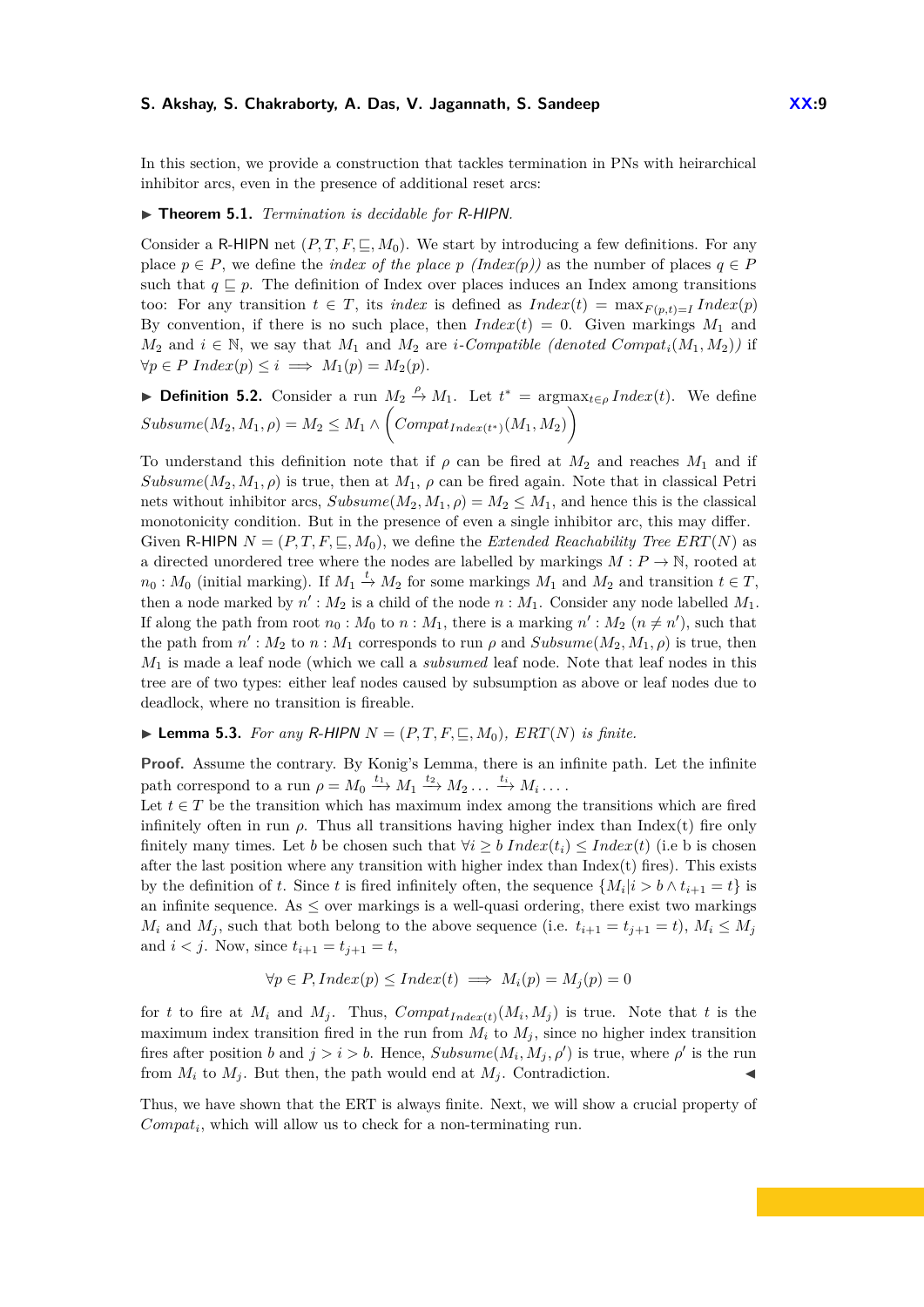In this section, we provide a construction that tackles termination in PNs with heirarchical inhibitor arcs, even in the presence of additional reset arcs:

## <span id="page-8-0"></span>▶ **Theorem 5.1.** *Termination is decidable for R-HIPN.*

Consider a R-HIPN net  $(P, T, F, \subseteq, M_0)$ . We start by introducing a few definitions. For any place  $p \in P$ , we define the *index of the place*  $p(\text{Index}(p))$  as the number of places  $q \in P$ such that  $q \subseteq p$ . The definition of Index over places induces an Index among transitions too: For any transition  $t \in T$ , its *index* is defined as  $Index(t) = \max_{F(p,t)=I} Index(p)$ By convention, if there is no such place, then  $Index(t) = 0$ . Given markings  $M_1$  and *M*<sub>2</sub> and *i* ∈ N, we say that *M*<sub>1</sub> and *M*<sub>2</sub> are *i-Compatible (denoted Compat<sub>i</sub>*(*M*<sub>1</sub>*, M*<sub>2</sub>)*)* if  $\forall p \in P \; Index(p) \leq i \implies M_1(p) = M_2(p).$ 

► **Definition 5.2.** Consider a run  $M_2 \xrightarrow{\rho} M_1$ . Let  $t^* = \arg \max_{t \in \rho} Index(t)$ . We define  $Subsume(M_2, M_1, \rho) = M_2 \leq M_1 \wedge \Big(Compat_{Index(t^*)}(M_1, M_2)\Big)$ 

To understand this definition note that if  $\rho$  can be fired at  $M_2$  and reaches  $M_1$  and if  $Subsume(M_2, M_1, \rho)$  is true, then at  $M_1, \rho$  can be fired again. Note that in classical Petri nets without inhibitor arcs,  $Subsume(M_2, M_1, \rho) = M_2 \leq M_1$ , and hence this is the classical monotonicity condition. But in the presence of even a single inhibitor arc, this may differ. Given R-HIPN  $N = (P, T, F, \subseteq, M_0)$ , we define the *Extended Reachability Tree ERT*(*N*) as a directed unordered tree where the nodes are labelled by markings  $M: P \to \mathbb{N}$ , rooted at  $n_0: M_0$  (initial marking). If  $M_1 \stackrel{t}{\rightarrow} M_2$  for some markings  $M_1$  and  $M_2$  and transition  $t \in T$ , then a node marked by  $n'$ :  $M_2$  is a child of the node  $n : M_1$ . Consider any node labelled  $M_1$ . If along the path from root  $n_0$ :  $M_0$  to  $n$ :  $M_1$ , there is a marking  $n'$ :  $M_2$   $(n \neq n')$ , such that the path from  $n'$ :  $M_2$  to  $n : M_1$  corresponds to run  $\rho$  and  $Subsume(M_2, M_1, \rho)$  is true, then *M*<sup>1</sup> is made a leaf node (which we call a *subsumed* leaf node. Note that leaf nodes in this tree are of two types: either leaf nodes caused by subsumption as above or leaf nodes due to deadlock, where no transition is fireable.

# **Example 5.3.** For any R-HIPN  $N = (P, T, F, \subseteq, M_0)$ ,  $ERT(N)$  is finite.

**Proof.** Assume the contrary. By Konig's Lemma, there is an infinite path. Let the infinite path correspond to a run  $\rho = M_0 \xrightarrow{t_1} M_1 \xrightarrow{t_2} M_2 \dots \xrightarrow{t_i} M_i \dots$ 

Let  $t \in T$  be the transition which has maximum index among the transitions which are fired infinitely often in run  $\rho$ . Thus all transitions having higher index than Index(t) fire only finitely many times. Let *b* be chosen such that  $\forall i \geq b$  Index(*t<sub>i</sub>*)  $\leq Index(t)$  (i.e b is chosen after the last position where any transition with higher index than  $Index(t)$  fires). This exists by the definition of *t*. Since *t* is fired infinitely often, the sequence  $\{M_i|i > b \wedge t_{i+1} = t\}$  is an infinite sequence. As  $\leq$  over markings is a well-quasi ordering, there exist two markings *M*<sup>*i*</sup> and *M*<sup>*j*</sup>, such that both belong to the above sequence (i.e.  $t_{i+1} = t_{i+1} = t$ ),  $M_i \leq M_j$ and  $i < j$ . Now, since  $t_{i+1} = t_{i+1} = t$ ,

$$
\forall p \in P, Index(p) \leq Index(t) \implies M_i(p) = M_j(p) = 0
$$

for *t* to fire at  $M_i$  and  $M_j$ . Thus,  $Compat_{Index(t)}(M_i, M_j)$  is true. Note that *t* is the maximum index transition fired in the run from  $M_i$  to  $M_j$ , since no higher index transition fires after position *b* and  $j > i > b$ . Hence,  $Subsume(M_i, M_j, \rho')$  is true, where  $\rho'$  is the run from  $M_i$  to  $M_j$ . But then, the path would end at  $M_j$ . Contradiction.

Thus, we have shown that the ERT is always finite. Next, we will show a crucial property of  $Compat<sub>i</sub>$ , which will allow us to check for a non-terminating run.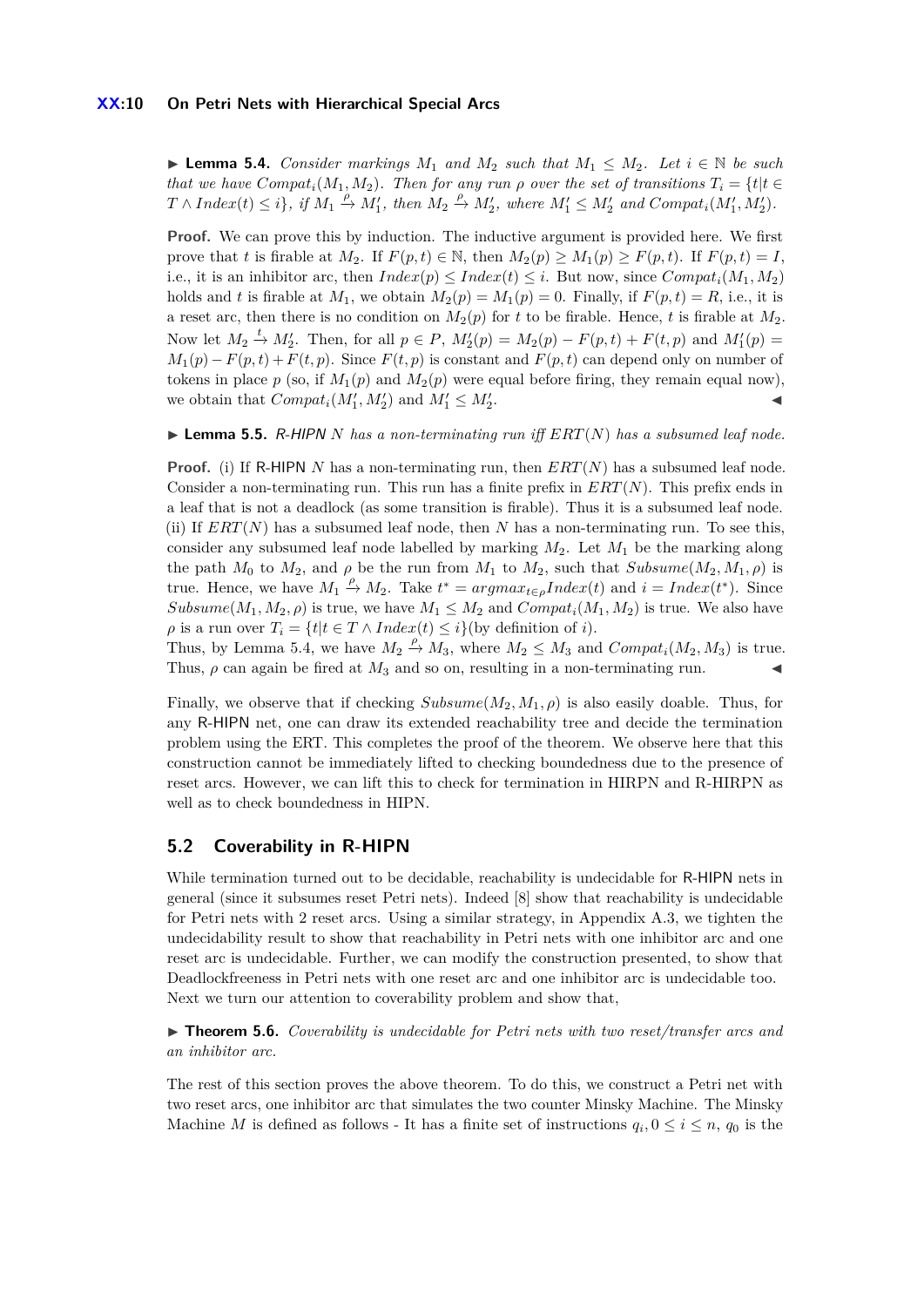<span id="page-9-1"></span>▶ **Lemma 5.4.** *Consider markings*  $M_1$  *and*  $M_2$  *such that*  $M_1 \n≤ M_2$ *. Let*  $i ∈ ℕ$  *be such that we have*  $Compat<sub>i</sub>(M<sub>1</sub>, M<sub>2</sub>)$ *. Then for any run*  $\rho$  *over the set of transitions*  $T<sub>i</sub> = \{t | t \in$  $T \wedge Index(t) \leq i$ , if  $M_1 \stackrel{\rho}{\rightarrow} M'_1$ , then  $M_2 \stackrel{\rho}{\rightarrow} M'_2$ , where  $M'_1 \leq M'_2$  and  $Compat_i(M'_1, M'_2)$ .

**Proof.** We can prove this by induction. The inductive argument is provided here. We first prove that *t* is firable at  $M_2$ . If  $F(p, t) \in \mathbb{N}$ , then  $M_2(p) \geq M_1(p) \geq F(p, t)$ . If  $F(p, t) = I$ , i.e., it is an inhibitor arc, then  $Index(p) \leq Index(t) \leq i$ . But now, since  $Compat_i(M_1, M_2)$ holds and *t* is firable at  $M_1$ , we obtain  $M_2(p) = M_1(p) = 0$ . Finally, if  $F(p, t) = R$ , i.e., it is a reset arc, then there is no condition on  $M_2(p)$  for t to be firable. Hence, t is firable at  $M_2$ . Now let  $M_2 \stackrel{t}{\to} M'_2$ . Then, for all  $p \in P$ ,  $M'_2(p) = M_2(p) - F(p, t) + F(t, p)$  and  $M'_1(p) =$  $M_1(p) - F(p, t) + F(t, p)$ . Since  $F(t, p)$  is constant and  $F(p, t)$  can depend only on number of tokens in place  $p$  (so, if  $M_1(p)$  and  $M_2(p)$  were equal before firing, they remain equal now), we obtain that  $Compat_i(M'_1, M'_2)$  and  $M'_1 \leq M'_2$ . John Stein Stein Stein Stein Stein Stein Stein Stein Stein Stein Stein Stein Stein Stein Stein Stein Stein S<br>Die Stein Stein Stein Stein Stein Stein Stein Stein Stein Stein Stein Stein Stein Stein Stein Stein Stein Stei

 $\blacktriangleright$  **Lemma 5.5.** R-HIPN *N* has a non-terminating run iff  $ERT(N)$  has a subsumed leaf node.

**Proof.** (i) If R-HIPN *N* has a non-terminating run, then *ERT*(*N*) has a subsumed leaf node. Consider a non-terminating run. This run has a finite prefix in *ERT*(*N*). This prefix ends in a leaf that is not a deadlock (as some transition is firable). Thus it is a subsumed leaf node. (ii) If  $ERT(N)$  has a subsumed leaf node, then N has a non-terminating run. To see this, consider any subsumed leaf node labelled by marking *M*2. Let *M*<sup>1</sup> be the marking along the path  $M_0$  to  $M_2$ , and  $\rho$  be the run from  $M_1$  to  $M_2$ , such that  $Subsume(M_2, M_1, \rho)$  is true. Hence, we have  $M_1 \stackrel{\rho}{\rightarrow} M_2$ . Take  $t^* = argmax_{t \in \rho} Index(t)$  and  $i = Index(t^*)$ . Since *Subsume*( $M_1, M_2, \rho$ ) is true, we have  $M_1 \leq M_2$  and  $Compat_i(M_1, M_2)$  is true. We also have  $\rho$  is a run over  $T_i = \{t | t \in T \land Index(t) \leq i\}$  (by definition of *i*).

Thus, by Lemma [5.4,](#page-9-1) we have  $M_2 \stackrel{\rho}{\rightarrow} M_3$ , where  $M_2 \leq M_3$  and  $Compat_i(M_2, M_3)$  is true. Thus,  $\rho$  can again be fired at  $M_3$  and so on, resulting in a non-terminating run.

Finally, we observe that if checking  $Subsume(M_2, M_1, \rho)$  is also easily doable. Thus, for any R-HIPN net, one can draw its extended reachability tree and decide the termination problem using the ERT. This completes the proof of the theorem. We observe here that this construction cannot be immediately lifted to checking boundedness due to the presence of reset arcs. However, we can lift this to check for termination in HIRPN and R-HIRPN as well as to check boundedness in HIPN.

### <span id="page-9-2"></span>**5.2 Coverability in R-HIPN**

While termination turned out to be decidable, reachability is undecidable for R-HIPN nets in general (since it subsumes reset Petri nets). Indeed [\[8\]](#page-14-2) show that reachability is undecidable for Petri nets with 2 reset arcs. Using a similar strategy, in Appendix [A.3,](#page-20-0) we tighten the undecidability result to show that reachability in Petri nets with one inhibitor arc and one reset arc is undecidable. Further, we can modify the construction presented, to show that Deadlockfreeness in Petri nets with one reset arc and one inhibitor arc is undecidable too. Next we turn our attention to coverability problem and show that,

<span id="page-9-0"></span>**► Theorem 5.6.** *Coverability is undecidable for Petri nets with two reset/transfer arcs and an inhibitor arc.*

The rest of this section proves the above theorem. To do this, we construct a Petri net with two reset arcs, one inhibitor arc that simulates the two counter Minsky Machine. The Minsky Machine *M* is defined as follows - It has a finite set of instructions  $q_i, 0 \leq i \leq n$ ,  $q_0$  is the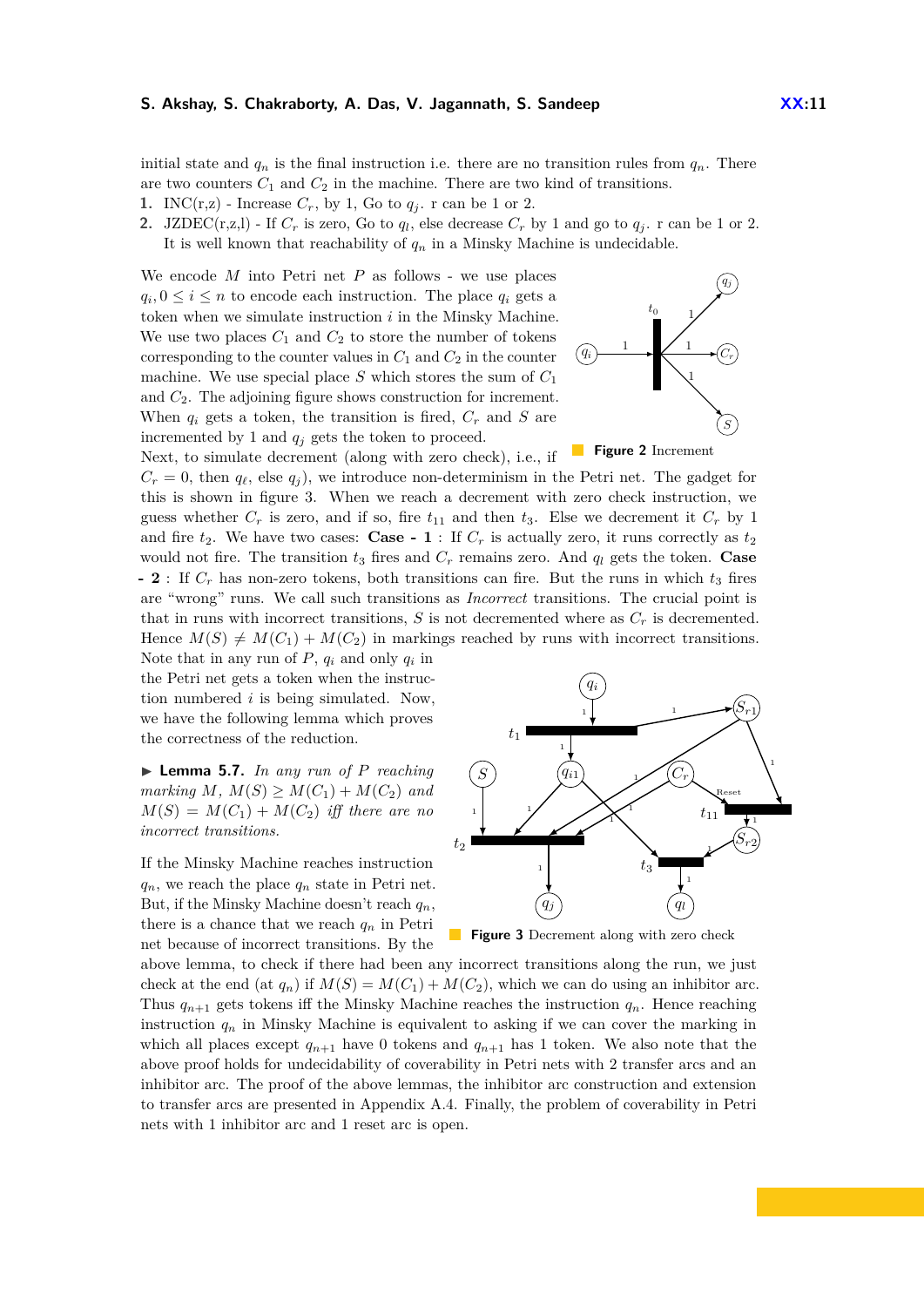initial state and  $q_n$  is the final instruction i.e. there are no transition rules from  $q_n$ . There are two counters  $C_1$  and  $C_2$  in the machine. There are two kind of transitions.

- **1.** INC(r,z) Increase  $C_r$ , by 1, Go to  $q_i$ . r can be 1 or 2.
- **2.** JZDEC(r,z,l) If  $C_r$  is zero, Go to  $q_l$ , else decrease  $C_r$  by 1 and go to  $q_j$ . r can be 1 or 2. It is well known that reachability of  $q_n$  in a Minsky Machine is undecidable.

We encode *M* into Petri net *P* as follows - we use places  $q_i, 0 \leq i \leq n$  to encode each instruction. The place  $q_i$  gets a token when we simulate instruction *i* in the Minsky Machine. We use two places  $C_1$  and  $C_2$  to store the number of tokens corresponding to the counter values in  $C_1$  and  $C_2$  in the counter machine. We use special place *S* which stores the sum of *C*<sup>1</sup> and *C*2. The adjoining figure shows construction for increment. When  $q_i$  gets a token, the transition is fired,  $C_r$  and  $S$  are incremented by 1 and  $q_i$  gets the token to proceed. Next, to simulate decrement (along with zero check), i.e., if



**Figure 2** Increment

 $C_r = 0$ , then  $q_\ell$ , else  $q_j$ ), we introduce non-determinism in the Petri net. The gadget for this is shown in figure [3.](#page-10-0) When we reach a decrement with zero check instruction, we guess whether  $C_r$  is zero, and if so, fire  $t_{11}$  and then  $t_3$ . Else we decrement it  $C_r$  by 1 and fire  $t_2$ . We have two cases: **Case - 1** : If  $C_r$  is actually zero, it runs correctly as  $t_2$ would not fire. The transition  $t_3$  fires and  $C_r$  remains zero. And  $q_l$  gets the token. **Case - 2** : If  $C_r$  has non-zero tokens, both transitions can fire. But the runs in which  $t_3$  fires are "wrong" runs. We call such transitions as *Incorrect* transitions. The crucial point is that in runs with incorrect transitions,  $S$  is not decremented where as  $C_r$  is decremented. Hence  $M(S) \neq M(C_1) + M(C_2)$  in markings reached by runs with incorrect transitions.

Note that in any run of  $P$ ,  $q_i$  and only  $q_i$  in the Petri net gets a token when the instruction numbered *i* is being simulated. Now, we have the following lemma which proves the correctness of the reduction.

 $\blacktriangleright$  **Lemma 5.7.** *In any run of P reaching marking*  $M$ *,*  $M(S) \geq M(C_1) + M(C_2)$  *and*  $M(S) = M(C_1) + M(C_2)$  *iff there are no incorrect transitions.*

If the Minsky Machine reaches instruction  $q_n$ , we reach the place  $q_n$  state in Petri net. But, if the Minsky Machine doesn't reach *qn*, there is a chance that we reach  $q_n$  in Petri net because of incorrect transitions. By the

<span id="page-10-0"></span>

**Figure 3** Decrement along with zero check

above lemma, to check if there had been any incorrect transitions along the run, we just check at the end (at  $q_n$ ) if  $M(S) = M(C_1) + M(C_2)$ , which we can do using an inhibitor arc. Thus  $q_{n+1}$  gets tokens iff the Minsky Machine reaches the instruction  $q_n$ . Hence reaching instruction  $q_n$  in Minsky Machine is equivalent to asking if we can cover the marking in which all places except  $q_{n+1}$  have 0 tokens and  $q_{n+1}$  has 1 token. We also note that the above proof holds for undecidability of coverability in Petri nets with 2 transfer arcs and an inhibitor arc. The proof of the above lemmas, the inhibitor arc construction and extension to transfer arcs are presented in Appendix [A.4.](#page-23-0) Finally, the problem of coverability in Petri nets with 1 inhibitor arc and 1 reset arc is open.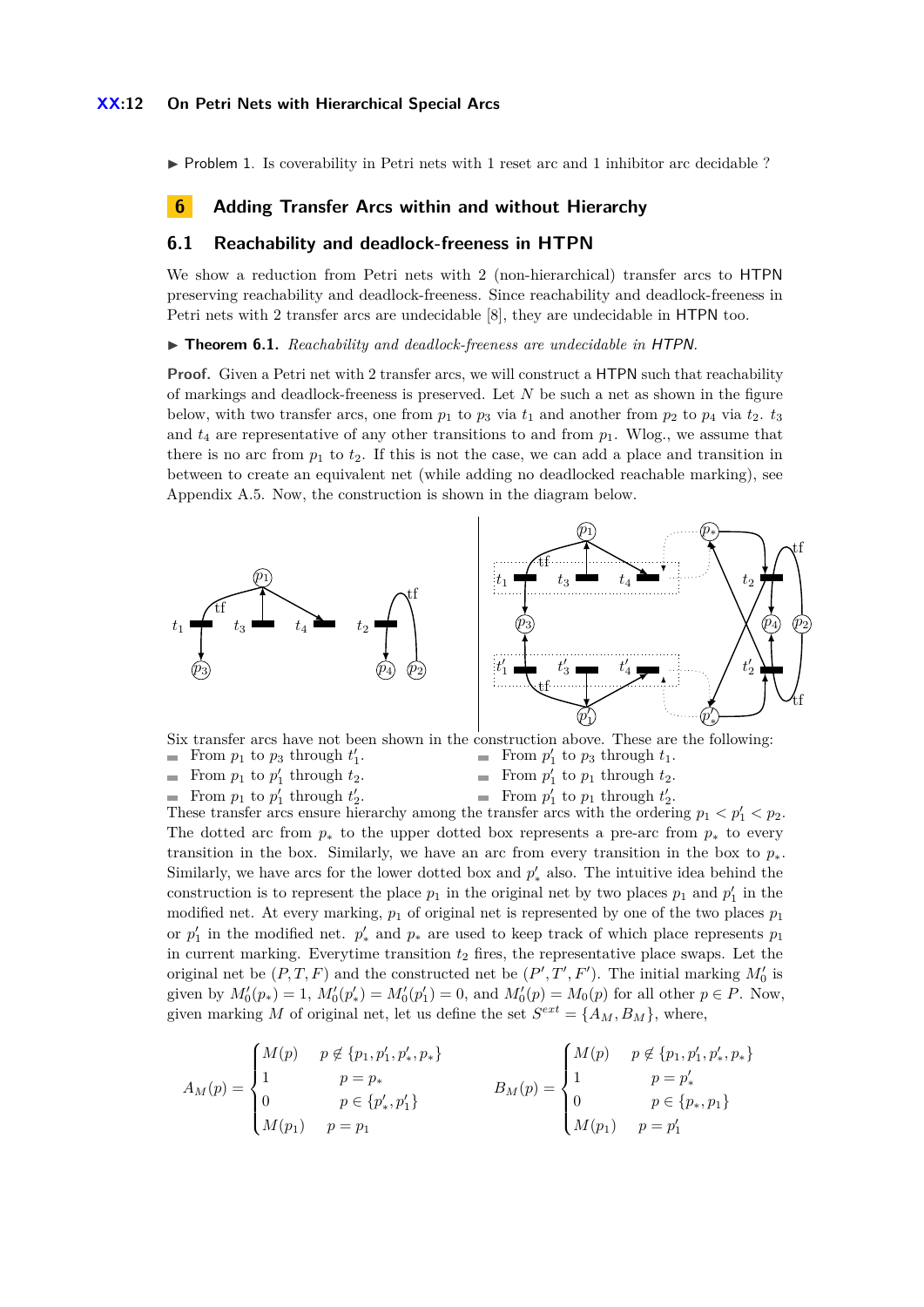### **XX:12 On Petri Nets with Hierarchical Special Arcs**

 $\triangleright$  Problem 1. Is coverability in Petri nets with 1 reset arc and 1 inhibitor arc decidable ?

### <span id="page-11-0"></span>**6 Adding Transfer Arcs within and without Hierarchy**

### <span id="page-11-2"></span>**6.1 Reachability and deadlock-freeness in HTPN**

We show a reduction from Petri nets with 2 (non-hierarchical) transfer arcs to HTPN preserving reachability and deadlock-freeness. Since reachability and deadlock-freeness in Petri nets with 2 transfer arcs are undecidable [\[8\]](#page-14-2), they are undecidable in HTPN too.

<span id="page-11-1"></span>▶ **Theorem 6.1.** *Reachability and deadlock-freeness are undecidable in* HTPN.

**Proof.** Given a Petri net with 2 transfer arcs, we will construct a HTPN such that reachability of markings and deadlock-freeness is preserved. Let *N* be such a net as shown in the figure below, with two transfer arcs, one from  $p_1$  to  $p_3$  via  $t_1$  and another from  $p_2$  to  $p_4$  via  $t_2$ .  $t_3$ and  $t_4$  are representative of any other transitions to and from  $p_1$ . Wlog., we assume that there is no arc from  $p_1$  to  $t_2$ . If this is not the case, we can add a place and transition in between to create an equivalent net (while adding no deadlocked reachable marking), see Appendix [A.5.](#page-26-0) Now, the construction is shown in the diagram below.



Six transfer arcs have not been shown in the construction above. These are the following: From  $p_1$  to  $p_3$  through  $t'_1$ . From  $p_1$  to  $p'_1$  through  $t_2$ . From  $p_1$  to  $p'_1$  through  $t'_2$ . From  $p'_1$  to  $p_3$  through  $t_1$ . From  $p'_1$  to  $p_1$  through  $t_2$ . From  $p'_1$  to  $p_1$  through  $t'_2$ .

These transfer arcs ensure hierarchy among the transfer arcs with the ordering  $p_1 < p_1 < p_2$ . The dotted arc from  $p_*$  to the upper dotted box represents a pre-arc from  $p_*$  to every transition in the box. Similarly, we have an arc from every transition in the box to  $p_*$ . Similarly, we have arcs for the lower dotted box and  $p'_{*}$  also. The intuitive idea behind the construction is to represent the place  $p_1$  in the original net by two places  $p_1$  and  $p'_1$  in the modified net. At every marking,  $p_1$  of original net is represented by one of the two places  $p_1$ or  $p'_1$  in the modified net.  $p'_*$  and  $p_*$  are used to keep track of which place represents  $p_1$ in current marking. Everytime transition  $t_2$  fires, the representative place swaps. Let the original net be  $(P, T, F)$  and the constructed net be  $(P', T', F')$ . The initial marking  $M'_0$  is given by  $M_0'(p_*) = 1$ ,  $M_0'(p'_*) = M_0'(p'_1) = 0$ , and  $M_0'(p) = M_0(p)$  for all other  $p \in P$ . Now, given marking *M* of original net, let us define the set  $S^{ext} = \{A_M, B_M\}$ , where,

$$
A_M(p) = \begin{cases} M(p) & p \notin \{p_1, p_1', p_*, p_*\} \\ 1 & p = p_* \\ 0 & p \in \{p_*', p_1'\} \\ M(p_1) & p = p_1 \end{cases} \qquad B_M(p) = \begin{cases} M(p) & p \notin \{p_1, p_1', p_*, p_*\} \\ 1 & p = p_*' \\ 0 & p \in \{p_*, p_1\} \\ M(p_1) & p = p_1' \end{cases}
$$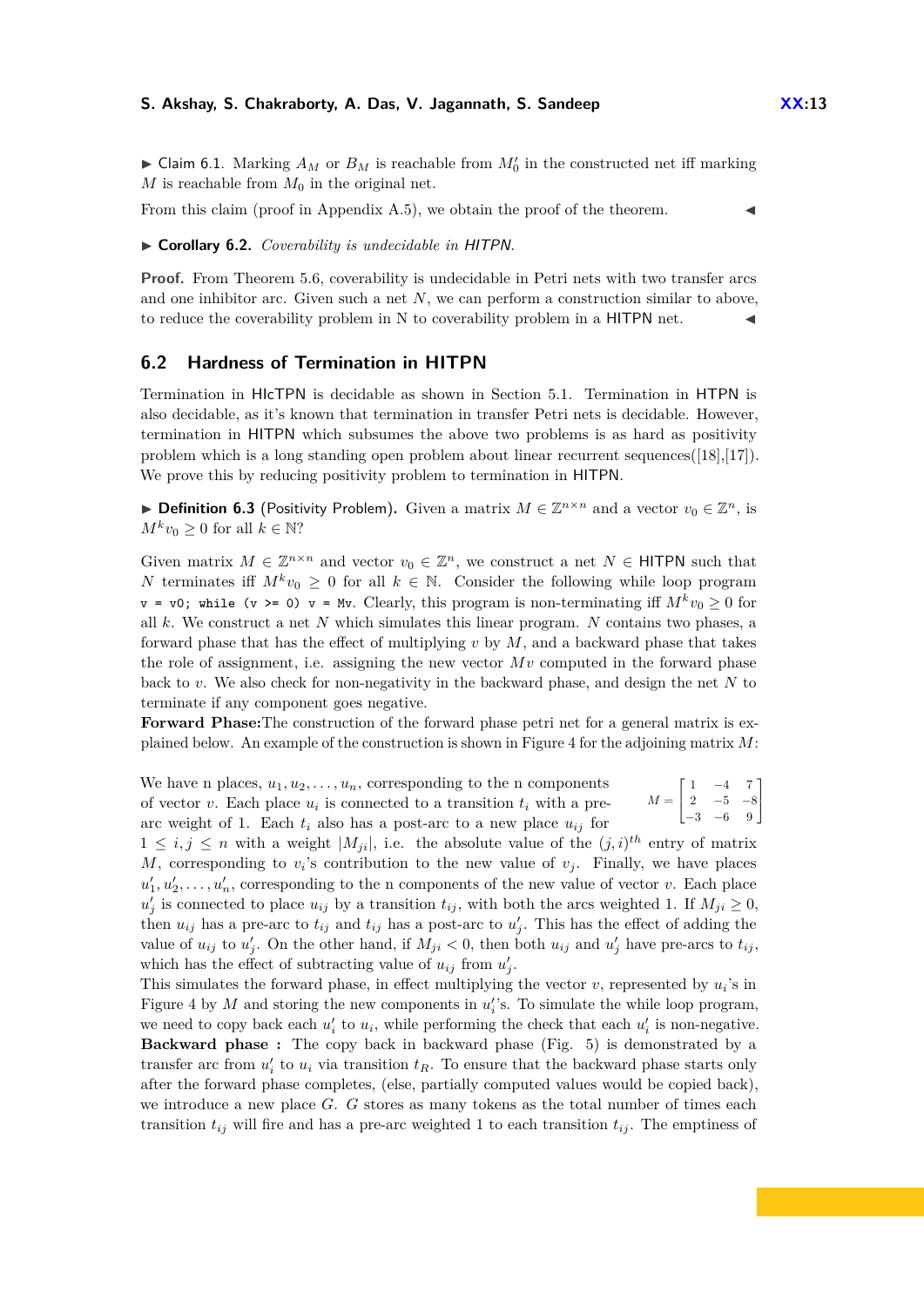$\blacktriangleright$  Claim 6.1. Marking  $A_M$  or  $B_M$  is reachable from  $M'_0$  in the constructed net iff marking *M* is reachable from  $M_0$  in the original net.

From this claim (proof in Appendix [A.5\)](#page-26-0), we obtain the proof of the theorem.

<span id="page-12-1"></span>I **Corollary 6.2.** *Coverability is undecidable in* HITPN*.*

**Proof.** From Theorem [5.6,](#page-9-0) coverability is undecidable in Petri nets with two transfer arcs and one inhibitor arc. Given such a net *N*, we can perform a construction similar to above, to reduce the coverability problem in N to coverability problem in a HITPN net.

# <span id="page-12-0"></span>**6.2 Hardness of Termination in HITPN**

Termination in HIcTPN is decidable as shown in Section [5.1.](#page-7-2) Termination in HTPN is also decidable, as it's known that termination in transfer Petri nets is decidable. However, termination in HITPN which subsumes the above two problems is as hard as positivity problem which is a long standing open problem about linear recurrent sequences([\[18\]](#page-15-2),[\[17\]](#page-15-1)). We prove this by reducing positivity problem to termination in HITPN.

▶ **Definition 6.3** (Positivity Problem). Given a matrix  $M \in \mathbb{Z}^{n \times n}$  and a vector  $v_0 \in \mathbb{Z}^n$ , is  $M^k v_0 \geq 0$  for all  $k \in \mathbb{N}$ ?

Given matrix  $M \in \mathbb{Z}^{n \times n}$  and vector  $v_0 \in \mathbb{Z}^n$ , we construct a net  $N \in \mathsf{HITPN}$  such that *N* terminates iff  $M^k v_0 \geq 0$  for all  $k \in \mathbb{N}$ . Consider the following while loop program  $v = v0$ ; while (v >= 0)  $v = Mv$ . Clearly, this program is non-terminating iff  $M^k v_0 \ge 0$  for all *k*. We construct a net *N* which simulates this linear program. *N* contains two phases, a forward phase that has the effect of multiplying *v* by *M*, and a backward phase that takes the role of assignment, i.e. assigning the new vector *Mv* computed in the forward phase back to *v*. We also check for non-negativity in the backward phase, and design the net *N* to terminate if any component goes negative.

**Forward Phase:**The construction of the forward phase petri net for a general matrix is explained below. An example of the construction is shown in Figure [4](#page-13-1) for the adjoining matrix *M*:

 $M =$  $\sqrt{ }$  $\mathbf{I}$  $1 \quad -4 \quad 7$ 2 −5 −8  $-3$   $-6$  9 1 Τ We have n places,  $u_1, u_2, \ldots, u_n$ , corresponding to the n components of vector *v*. Each place  $u_i$  is connected to a transition  $t_i$  with a prearc weight of 1. Each  $t_i$  also has a post-arc to a new place  $u_{ij}$  for

 $1 \leq i, j \leq n$  with a weight  $|M_{ji}|$ , i.e. the absolute value of the  $(j,i)^{th}$  entry of matrix *M*, corresponding to  $v_i$ 's contribution to the new value of  $v_j$ . Finally, we have places  $u'_1, u'_2, \ldots, u'_n$ , corresponding to the n components of the new value of vector *v*. Each place  $u'_{j}$  is connected to place  $u_{ij}$  by a transition  $t_{ij}$ , with both the arcs weighted 1. If  $M_{ji} \geq 0$ , then  $u_{ij}$  has a pre-arc to  $t_{ij}$  and  $t_{ij}$  has a post-arc to  $u'_{j}$ . This has the effect of adding the value of  $u_{ij}$  to  $u'_{j}$ . On the other hand, if  $M_{ji} < 0$ , then both  $u_{ij}$  and  $u'_{j}$  have pre-arcs to  $t_{ij}$ , which has the effect of subtracting value of  $u_{ij}$  from  $u'_{j}$ .

This simulates the forward phase, in effect multiplying the vector  $v$ , represented by  $u_i$ 's in Figure [4](#page-13-1) by  $M$  and storing the new components in  $u_i$ 's. To simulate the while loop program, we need to copy back each  $u'_i$  to  $u_i$ , while performing the check that each  $u'_i$  is non-negative. **Backward phase :** The copy back in backward phase (Fig. [5\)](#page-13-1) is demonstrated by a transfer arc from  $u_i'$  to  $u_i$  via transition  $t_R$ . To ensure that the backward phase starts only after the forward phase completes, (else, partially computed values would be copied back), we introduce a new place *G*. *G* stores as many tokens as the total number of times each transition  $t_{ij}$  will fire and has a pre-arc weighted 1 to each transition  $t_{ij}$ . The emptiness of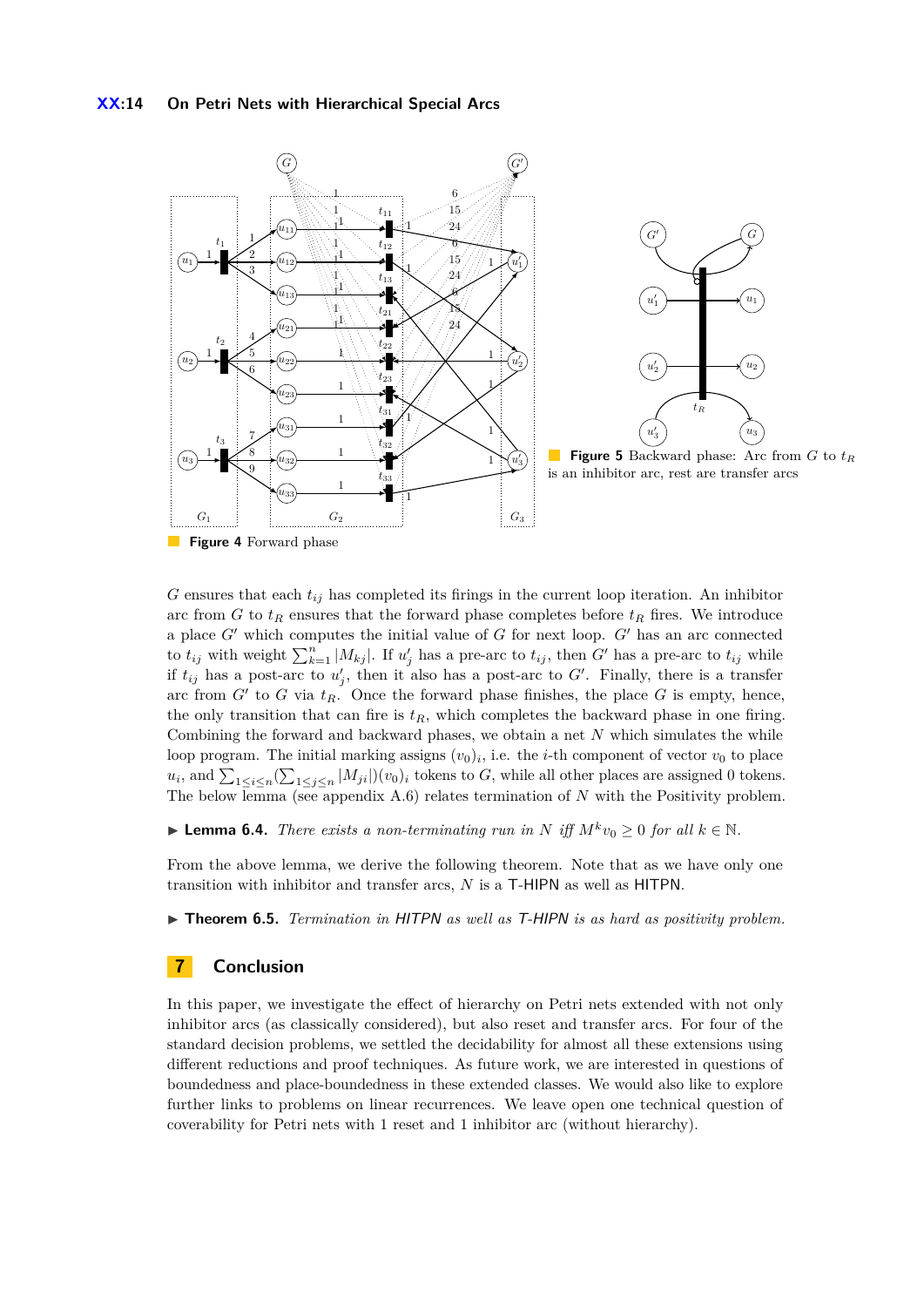<span id="page-13-1"></span>

**Figure 4** Forward phase n a

 $G$  ensures that each  $t_{ij}$  has completed its firings in the current loop iteration. An inhibitor arc from *G* to  $t_R$  ensures that the forward phase completes before  $t_R$  fires. We introduce a place  $G'$  which computes the initial value of  $G$  for next loop.  $G'$  has an arc connected to  $t_{ij}$  with weight  $\sum_{k=1}^{n} |M_{kj}|$ . If  $u'_{j}$  has a pre-arc to  $t_{ij}$ , then *G*<sup> $\prime$ </sup> has a pre-arc to  $t_{ij}$  while if  $t_{ij}$  has a post-arc to  $u'_{j}$ , then it also has a post-arc to  $G'$ . Finally, there is a transfer arc from  $G'$  to  $G$  via  $t_R$ . Once the forward phase finishes, the place  $G$  is empty, hence, the only transition that can fire is  $t_R$ , which completes the backward phase in one firing. Combining the forward and backward phases, we obtain a net *N* which simulates the while loop program. The initial marking assigns  $(v_0)_i$ , i.e. the *i*-th component of vector  $v_0$  to place  $u_i$ , and  $\sum_{1 \le i \le n} (\sum_{1 \le j \le n} |M_{ji}|)(v_0)_i$  tokens to *G*, while all other places are assigned 0 tokens. The below lemma (see appendix [A.6\)](#page-28-0) relates termination of *N* with the Positivity problem.

<span id="page-13-2"></span>▶ **Lemma 6.4.** *There exists a non-terminating run in N iff*  $M^k v_0 \geq 0$  *for all*  $k \in \mathbb{N}$ *.* 

From the above lemma, we derive the following theorem. Note that as we have only one transition with inhibitor and transfer arcs, *N* is a T-HIPN as well as HITPN.

<span id="page-13-0"></span>▶ **Theorem 6.5.** *Termination in HITPN as well as T-HIPN is as hard as positivity problem.* 

# **7 Conclusion**

In this paper, we investigate the effect of hierarchy on Petri nets extended with not only inhibitor arcs (as classically considered), but also reset and transfer arcs. For four of the standard decision problems, we settled the decidability for almost all these extensions using different reductions and proof techniques. As future work, we are interested in questions of boundedness and place-boundedness in these extended classes. We would also like to explore further links to problems on linear recurrences. We leave open one technical question of coverability for Petri nets with 1 reset and 1 inhibitor arc (without hierarchy).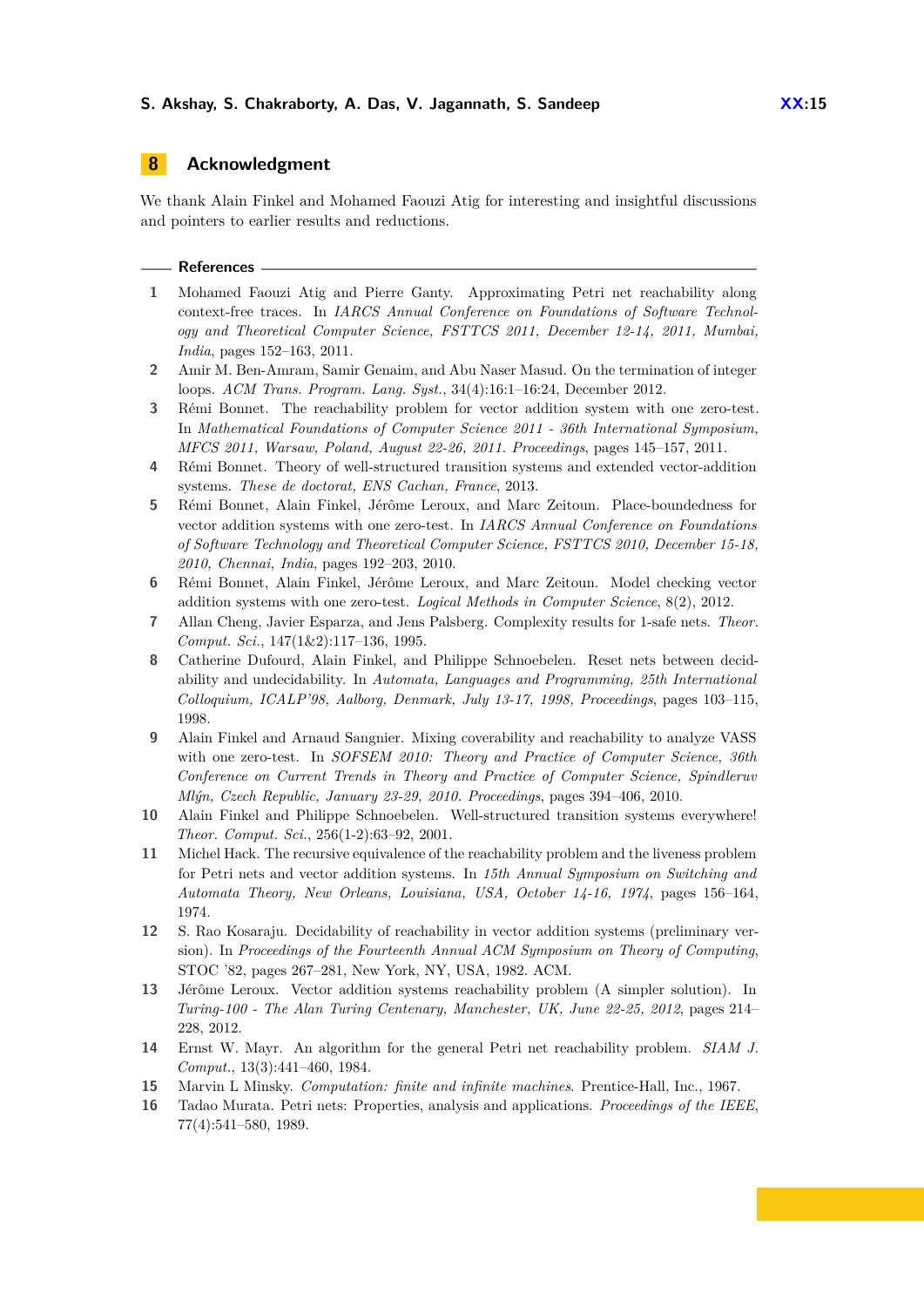# **8 Acknowledgment**

We thank Alain Finkel and Mohamed Faouzi Atig for interesting and insightful discussions and pointers to earlier results and reductions.

#### **References**

- <span id="page-14-5"></span>**1** Mohamed Faouzi Atig and Pierre Ganty. Approximating Petri net reachability along context-free traces. In *IARCS Annual Conference on Foundations of Software Technology and Theoretical Computer Science, FSTTCS 2011, December 12-14, 2011, Mumbai, India*, pages 152–163, 2011.
- <span id="page-14-9"></span>**2** Amir M. Ben-Amram, Samir Genaim, and Abu Naser Masud. On the termination of integer loops. *ACM Trans. Program. Lang. Syst.*, 34(4):16:1–16:24, December 2012.
- <span id="page-14-4"></span>**3** Rémi Bonnet. The reachability problem for vector addition system with one zero-test. In *Mathematical Foundations of Computer Science 2011 - 36th International Symposium, MFCS 2011, Warsaw, Poland, August 22-26, 2011. Proceedings*, pages 145–157, 2011.
- <span id="page-14-0"></span>**4** Rémi Bonnet. Theory of well-structured transition systems and extended vector-addition systems. *These de doctorat, ENS Cachan, France*, 2013.
- <span id="page-14-7"></span>**5** Rémi Bonnet, Alain Finkel, Jérôme Leroux, and Marc Zeitoun. Place-boundedness for vector addition systems with one zero-test. In *IARCS Annual Conference on Foundations of Software Technology and Theoretical Computer Science, FSTTCS 2010, December 15-18, 2010, Chennai, India*, pages 192–203, 2010.
- <span id="page-14-8"></span>**6** Rémi Bonnet, Alain Finkel, Jérôme Leroux, and Marc Zeitoun. Model checking vector addition systems with one zero-test. *Logical Methods in Computer Science*, 8(2), 2012.
- <span id="page-14-12"></span>**7** Allan Cheng, Javier Esparza, and Jens Palsberg. Complexity results for 1-safe nets. *Theor. Comput. Sci.*, 147(1&2):117–136, 1995.
- <span id="page-14-2"></span>**8** Catherine Dufourd, Alain Finkel, and Philippe Schnoebelen. Reset nets between decidability and undecidability. In *Automata, Languages and Programming, 25th International Colloquium, ICALP'98, Aalborg, Denmark, July 13-17, 1998, Proceedings*, pages 103–115, 1998.
- <span id="page-14-6"></span>**9** Alain Finkel and Arnaud Sangnier. Mixing coverability and reachability to analyze VASS with one zero-test. In *SOFSEM 2010: Theory and Practice of Computer Science, 36th Conference on Current Trends in Theory and Practice of Computer Science, Spindleruv Mlýn, Czech Republic, January 23-29, 2010. Proceedings*, pages 394–406, 2010.
- <span id="page-14-3"></span>**10** Alain Finkel and Philippe Schnoebelen. Well-structured transition systems everywhere! *Theor. Comput. Sci.*, 256(1-2):63–92, 2001.
- <span id="page-14-14"></span>**11** Michel Hack. The recursive equivalence of the reachability problem and the liveness problem for Petri nets and vector addition systems. In *15th Annual Symposium on Switching and Automata Theory, New Orleans, Louisiana, USA, October 14-16, 1974*, pages 156–164, 1974.
- <span id="page-14-11"></span>**12** S. Rao Kosaraju. Decidability of reachability in vector addition systems (preliminary version). In *Proceedings of the Fourteenth Annual ACM Symposium on Theory of Computing*, STOC '82, pages 267–281, New York, NY, USA, 1982. ACM.
- <span id="page-14-1"></span>**13** Jérôme Leroux. Vector addition systems reachability problem (A simpler solution). In *Turing-100 - The Alan Turing Centenary, Manchester, UK, June 22-25, 2012*, pages 214– 228, 2012.
- <span id="page-14-13"></span>**14** Ernst W. Mayr. An algorithm for the general Petri net reachability problem. *SIAM J. Comput.*, 13(3):441–460, 1984.
- <span id="page-14-15"></span>**15** Marvin L Minsky. *Computation: finite and infinite machines*. Prentice-Hall, Inc., 1967.
- <span id="page-14-10"></span>**16** Tadao Murata. Petri nets: Properties, analysis and applications. *Proceedings of the IEEE*, 77(4):541–580, 1989.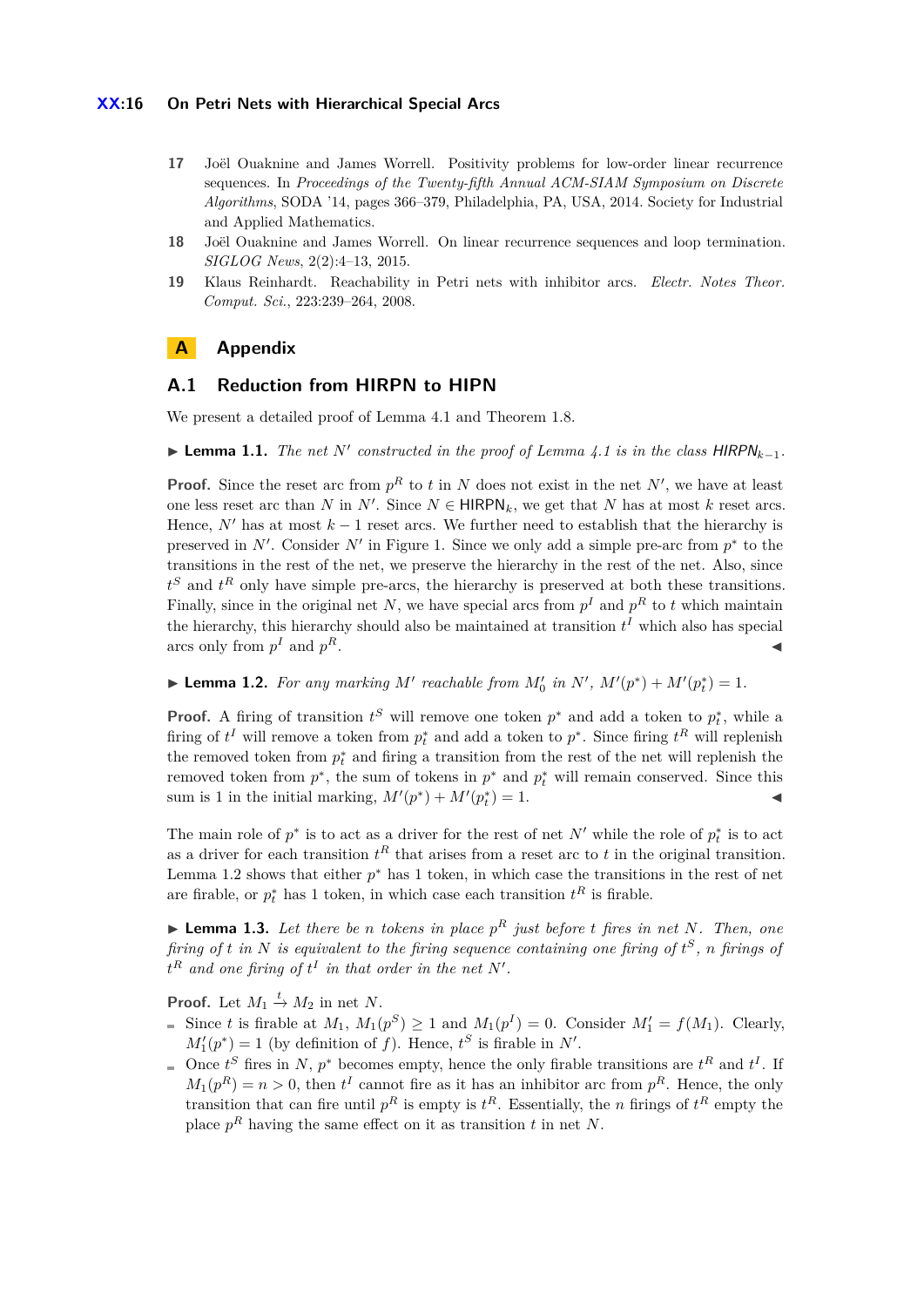### **XX:16 On Petri Nets with Hierarchical Special Arcs**

- <span id="page-15-1"></span>**17** Joël Ouaknine and James Worrell. Positivity problems for low-order linear recurrence sequences. In *Proceedings of the Twenty-fifth Annual ACM-SIAM Symposium on Discrete Algorithms*, SODA '14, pages 366–379, Philadelphia, PA, USA, 2014. Society for Industrial and Applied Mathematics.
- <span id="page-15-2"></span>**18** Joël Ouaknine and James Worrell. On linear recurrence sequences and loop termination. *SIGLOG News*, 2(2):4–13, 2015.
- <span id="page-15-0"></span>**19** Klaus Reinhardt. Reachability in Petri nets with inhibitor arcs. *Electr. Notes Theor. Comput. Sci.*, 223:239–264, 2008.

# **A Appendix**

# <span id="page-15-3"></span>**A.1 Reduction from HIRPN to HIPN**

We present a detailed proof of Lemma [4.1](#page-5-3) and Theorem [1.8.](#page-17-1)

▶ **Lemma 1.1.** *The net*  $N'$  constructed in the proof of Lemma [4.1](#page-5-3) is in the class HIRPN<sub>k−1</sub>.

**Proof.** Since the reset arc from  $p<sup>R</sup>$  to *t* in *N* does not exist in the net *N'*, we have at least one less reset arc than *N* in  $N'$ . Since  $N \in \text{HIRPN}_k$ , we get that *N* has at most *k* reset arcs. Hence,  $N'$  has at most  $k-1$  reset arcs. We further need to establish that the hierarchy is preserved in  $N'$ . Consider  $N'$  in Figure [1.](#page-5-2) Since we only add a simple pre-arc from  $p^*$  to the transitions in the rest of the net, we preserve the hierarchy in the rest of the net. Also, since *t <sup>S</sup>* and *t <sup>R</sup>* only have simple pre-arcs, the hierarchy is preserved at both these transitions. Finally, since in the original net *N*, we have special arcs from  $p<sup>I</sup>$  and  $p<sup>R</sup>$  to *t* which maintain the hierarchy, this hierarchy should also be maintained at transition  $t<sup>I</sup>$  which also has special arcs only from  $p<sup>I</sup>$  and  $p<sup>I</sup>$  $R$ .

<span id="page-15-4"></span>▶ **Lemma 1.2.** *For any marking*  $M'$  *reachable from*  $M'_0$  *in*  $N'$ *,*  $M'(p^*) + M'(p_i^*) = 1$ *.* 

**Proof.** A firing of transition  $t^S$  will remove one token  $p^*$  and add a token to  $p_t^*$ , while a firing of  $t^I$  will remove a token from  $p_t^*$  and add a token to  $p^*$ . Since firing  $t^R$  will replenish the removed token from  $p_t^*$  and firing a transition from the rest of the net will replenish the removed token from  $p^*$ , the sum of tokens in  $p^*$  and  $p_t^*$  will remain conserved. Since this sum is 1 in the initial marking,  $M'(p^*) + M'(p_t^*) = 1$ .

The main role of  $p^*$  is to act as a driver for the rest of net  $N'$  while the role of  $p_t^*$  is to act as a driver for each transition  $t^R$  that arises from a reset arc to  $t$  in the original transition. Lemma [1.2](#page-15-4) shows that either  $p^*$  has 1 token, in which case the transitions in the rest of net are firable, or  $p_t^*$  has 1 token, in which case each transition  $t^R$  is firable.

<span id="page-15-5"></span>**Example 1.3.** Let there be *n* tokens in place  $p^R$  just before *t* fires in net N. Then, one *firing of t in N is equivalent to the firing sequence containing one firing of t <sup>S</sup>, n firings of*  $t^R$  *and one firing of*  $t^I$  *in that order in the net*  $N'$ *.* 

**Proof.** Let  $M_1 \stackrel{t}{\rightarrow} M_2$  in net N.

- Since *t* is firable at  $M_1$ ,  $M_1(p^S) \ge 1$  and  $M_1(p^I) = 0$ . Consider  $M'_1 = f(M_1)$ . Clearly,  $M_1'(p^*) = 1$  (by definition of *f*). Hence,  $t^S$  is firable in *N'*.
- Once  $t^S$  fires in *N*,  $p^*$  becomes empty, hence the only firable transitions are  $t^R$  and  $t^I$ . If  $M_1(p^R) = n > 0$ , then  $t^I$  cannot fire as it has an inhibitor arc from  $p^R$ . Hence, the only transition that can fire until  $p^R$  is empty is  $t^R$ . Essentially, the *n* firings of  $t^R$  empty the place  $p<sup>R</sup>$  having the same effect on it as transition *t* in net *N*.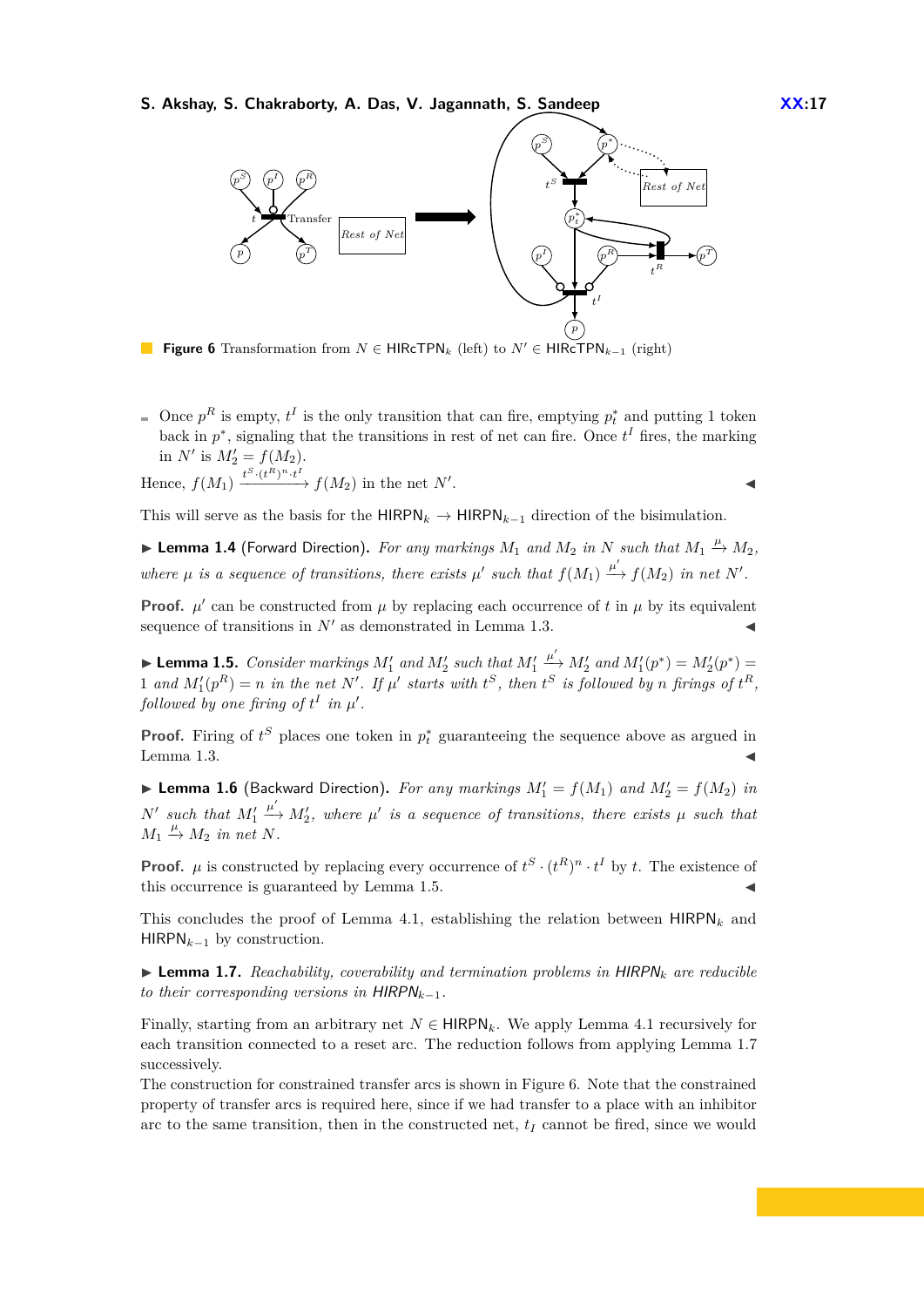<span id="page-16-2"></span>**S. Akshay, S. Chakraborty, A. Das, V. Jagannath, S. Sandeep**  $\overline{XX:17}$ 



**Figure 6** Transformation from  $N \in \text{HIRcTPN}_k$  (left) to  $N' \in \text{HIRcTPN}_{k-1}$  (right)

Once  $p^R$  is empty,  $t^I$  is the only transition that can fire, emptying  $p_t^*$  and putting 1 token back in  $p^*$ , signaling that the transitions in rest of net can fire. Once  $t^I$  fires, the marking in *N'* is  $M'_2 = f(M_2)$ .

. John Paris, John Paris, John Paris, John Paris, John Paris, John Paris, John Paris, John Paris, John Paris,

Hence,  $f(M_1) \xrightarrow{t^S \cdot (t^R)^n \cdot t^I} f(M_2)$  in the net  $N'$ 

This will serve as the basis for the  $HIRPN_k \rightarrow HIRPN_{k-1}$  direction of the bisimulation.

▶ **Lemma 1.4** (Forward Direction). For any markings  $M_1$  and  $M_2$  in  $N$  such that  $M_1$   $\stackrel{\mu}{\rightarrow} M_2$ , where  $\mu$  is a sequence of transitions, there exists  $\mu'$  such that  $f(M_1) \xrightarrow{\mu'} f(M_2)$  in net N'.

**Proof.**  $\mu'$  can be constructed from  $\mu$  by replacing each occurrence of t in  $\mu$  by its equivalent sequence of transitions in  $N'$  as demonstrated in Lemma [1.3.](#page-15-5)

<span id="page-16-0"></span> $\blacktriangleright$  **Lemma 1.5.** *Consider markings*  $M'_1$  *and*  $M'_2$  *such that*  $M'_1$  $\stackrel{\mu'}{\longrightarrow} M'_2$  and  $M'_1(p^*) = M'_2(p^*) =$ 1 and  $M'_1(p^R) = n$  in the net N'. If  $\mu'$  starts with  $t^S$ , then  $t^S$  is followed by n firings of  $t^R$ , *followed by one firing of*  $t^I$  *in*  $\mu'$ *.* 

**Proof.** Firing of  $t^S$  places one token in  $p_t^*$  guaranteeing the sequence above as argued in Lemma  $1.3$ .

**Example 1.6** (Backward Direction). For any markings  $M'_1 = f(M_1)$  and  $M'_2 = f(M_2)$  in  $N'$  such that  $M'_1$  $\stackrel{\mu'}{\longrightarrow} M'_2$ , where  $\mu'$  is a sequence of transitions, there exists  $\mu$  such that  $M_1 \stackrel{\mu}{\rightarrow} M_2$  *in net N*.

**Proof.**  $\mu$  is constructed by replacing every occurrence of  $t^S \cdot (t^R)^n \cdot t^I$  by *t*. The existence of this occurrence is guaranteed by Lemma [1.5.](#page-16-0)

This concludes the proof of Lemma [4.1,](#page-5-3) establishing the relation between  $HIRPN<sub>k</sub>$  and HIRPN*k*−<sup>1</sup> by construction.

<span id="page-16-1"></span> $\triangleright$  **Lemma 1.7.** *Reachability, coverability and termination problems in HIRPN<sub>k</sub> are reducible to their corresponding versions in*  $HIRPN_{k-1}$ .

Finally, starting from an arbitrary net  $N \in \mathsf{HIRPN}_k$ . We apply Lemma [4.1](#page-5-3) recursively for each transition connected to a reset arc. The reduction follows from applying Lemma [1.7](#page-16-1) successively.

The construction for constrained transfer arcs is shown in Figure [6.](#page-16-2) Note that the constrained property of transfer arcs is required here, since if we had transfer to a place with an inhibitor arc to the same transition, then in the constructed net,  $t_I$  cannot be fired, since we would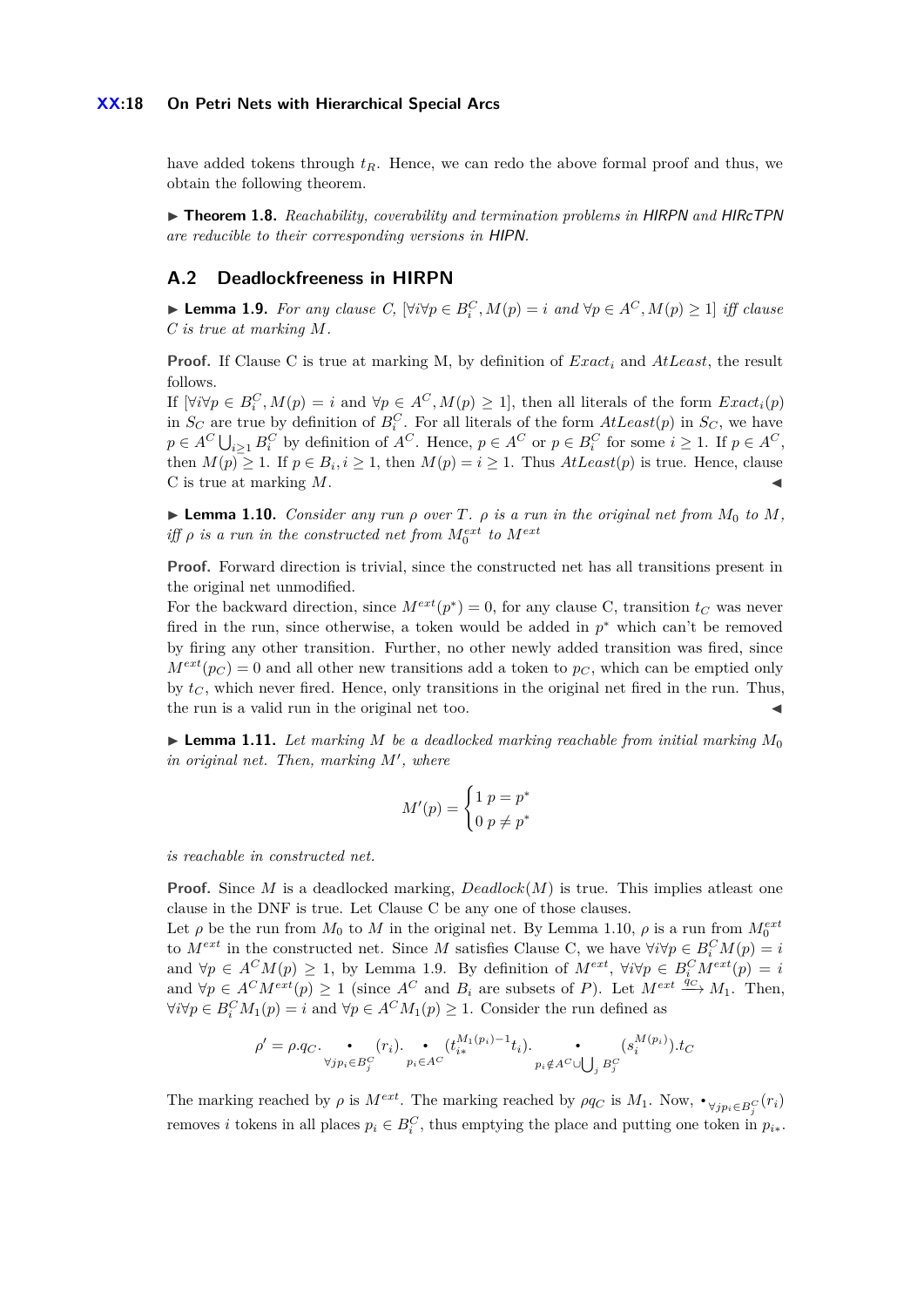### **XX:18 On Petri Nets with Hierarchical Special Arcs**

have added tokens through  $t_R$ . Hence, we can redo the above formal proof and thus, we obtain the following theorem.

<span id="page-17-1"></span>▶ **Theorem 1.8.** *Reachability, coverability and termination problems in HIRPN and HIRcTPN are reducible to their corresponding versions in* HIPN*.*

# <span id="page-17-0"></span>**A.2 Deadlockfreeness in HIRPN**

<span id="page-17-3"></span>▶ **Lemma 1.9.** *For any clause C*,  $[\forall i \forall p \in B_i^C, M(p) = i$  and  $\forall p \in A^C, M(p) \ge 1]$  *iff clause C is true at marking M.*

**Proof.** If Clause C is true at marking M, by definition of *Exact<sup>i</sup>* and *AtLeast*, the result follows.

If  $[\forall i \forall p \in B_i^C, M(p) = i$  and  $\forall p \in A^C, M(p) \ge 1]$ , then all literals of the form  $Exact_i(p)$ in  $S_C$  are true by definition of  $B_i^C$ . For all literals of the form  $AtLeast(p)$  in  $S_C$ , we have  $p \in A^C \bigcup_{i \geq 1} B_i^C$  by definition of  $A^C$ . Hence,  $p \in A^C$  or  $p \in B_i^C$  for some  $i \geq 1$ . If  $p \in A^C$ , then  $M(p) \geq 1$ . If  $p \in B_i$ ,  $i \geq 1$ , then  $M(p) = i \geq 1$ . Thus  $AtLeast(p)$  is true. Hence, clause C is true at marking M.

<span id="page-17-2"></span>**Example 1.10.** *Consider any run*  $\rho$  *over*  $T$ *.*  $\rho$  *is a run in the original net from*  $M_0$  *to*  $M$ *, iff*  $\rho$  *is a run in the constructed net from*  $M_0^{ext}$  *to*  $M^{ext}$ 

**Proof.** Forward direction is trivial, since the constructed net has all transitions present in the original net unmodified.

For the backward direction, since  $M^{ext}(p^*) = 0$ , for any clause C, transition  $t_C$  was never fired in the run, since otherwise, a token would be added in  $p^*$  which can't be removed by firing any other transition. Further, no other newly added transition was fired, since  $M^{ext}(p_C) = 0$  and all other new transitions add a token to  $p_C$ , which can be emptied only by  $t_C$ , which never fired. Hence, only transitions in the original net fired in the run. Thus, the run is a valid run in the original net too.

<span id="page-17-4"></span> $\blacktriangleright$  **Lemma 1.11.** Let marking M be a deadlocked marking reachable from initial marking  $M_0$  $in$  original net. Then, marking  $M'$ , where

$$
M'(p) = \begin{cases} 1 & p = p^* \\ 0 & p \neq p^* \end{cases}
$$

*is reachable in constructed net.*

**Proof.** Since *M* is a deadlocked marking,  $Deadlock(M)$  is true. This implies at least one clause in the DNF is true. Let Clause C be any one of those clauses.

Let  $\rho$  be the run from  $M_0$  to  $M$  in the original net. By Lemma [1.10,](#page-17-2)  $\rho$  is a run from  $M_0^{ext}$ to  $M^{ext}$  in the constructed net. Since *M* satisfies Clause C, we have  $\forall i \forall p \in B_i^C M(p) = i$ and  $\forall p \in A^C M(p) \geq 1$ , by Lemma [1.9.](#page-17-3) By definition of  $M^{ext}$ ,  $\forall i \forall p \in B_i^C M^{ext}(p) = i$ and  $\forall p \in A^C M^{ext}(p) \ge 1$  (since  $A^C$  and  $B_i$  are subsets of *P*). Let  $M^{ext} \xrightarrow{\hat{q}_C} M_1$ . Then,  $\forall i \forall p \in B_i^C M_1(p) = i$  and  $\forall p \in A^C M_1(p) \geq 1$ . Consider the run defined as

$$
\rho' = \rho.q_C.\underbrace{\bullet}_{\forall j p_i \in B_j^C} (r_i).\underbrace{\bullet}_{p_i \in A^C} (t_{i*}^{M_1(p_i)-1}t_i).\underbrace{\bullet}_{p_i \notin A^C \cup \bigcup_j B_j^C} (s_i^{M(p_i)}).t_C
$$

The marking reached by  $\rho$  is  $M^{ext}$ . The marking reached by  $\rho q_C$  is  $M_1$ . Now,  $\bullet_{\forall j p_i \in B_j^C}(r_i)$ removes *i* tokens in all places  $p_i \in B_i^C$ , thus emptying the place and putting one token in  $p_{i*}$ .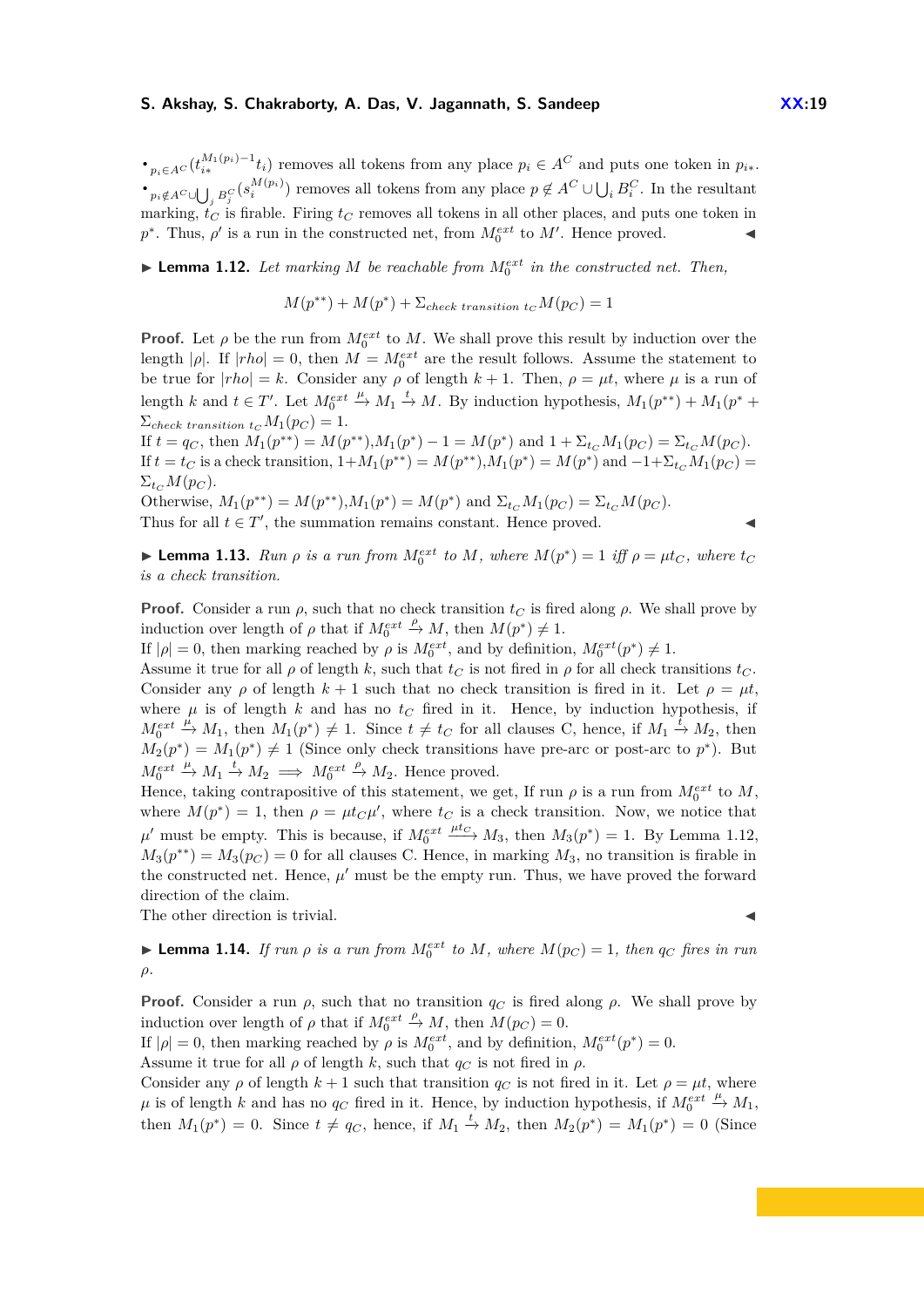*•*<sub>*p*<sup>*i*∈</sup>*A*<sup>*C*</sup> (*t*<sup>*M*<sub>1</sub>(*p*<sup>*i*</sup>) *i*</sub> *t*<sub>*i*</sub>) removes all tokens from any place  $p_i \in A^C$  and puts one token in  $p_{i*}$ .</sub></sup>  $\begin{array}{c}\n\bullet_{p_i \notin A^C \cup \bigcup_i B_j^C}(s_i^{M(p_i)})\n\end{array}$  removes all tokens from any place  $p \notin A^C \cup \bigcup_i B_i^C$ . In the resultant marking,  $t_C$  is firable. Firing  $t_C$  removes all tokens in all other places, and puts one token in  $p^*$ . Thus,  $\rho'$  is a run in the constructed net, from  $M_0^{ext}$  to  $M'$ . Hence proved.

<span id="page-18-0"></span> $\blacktriangleright$  **Lemma 1.12.** Let marking M be reachable from  $M_0^{ext}$  in the constructed net. Then,

$$
M(p^{**}) + M(p^*) + \Sigma_{check\ transition\ tc} M(p_C) = 1
$$

**Proof.** Let  $\rho$  be the run from  $M_0^{ext}$  to M. We shall prove this result by induction over the length  $|\rho|$ . If  $|rho| = 0$ , then  $M = M_0^{ext}$  are the result follows. Assume the statement to be true for  $|rho| = k$ . Consider any  $\rho$  of length  $k + 1$ . Then,  $\rho = \mu t$ , where  $\mu$  is a run of length *k* and  $t \in T'$ . Let  $M_0^{ext}$  $\stackrel{\mu}{\rightarrow} M_1 \stackrel{t}{\rightarrow} M$ . By induction hypothesis,  $M_1(p^{**}) + M_1(p^* +$  $\Sigma_{check}$  transition  $t_C M_1(p_C) = 1$ .

If  $t = q_C$ , then  $M_1(p^{**}) = M(p^{**}), M_1(p^*) - 1 = M(p^*)$  and  $1 + \Sigma_{tc} M_1(p_C) = \Sigma_{tc} M(p_C)$ . If  $t = t_C$  is a check transition,  $1 + M_1(p^{**}) = M(p^{**}), M_1(p^{*}) = M(p^{*})$  and  $-1 + \Sigma_{t_C} M_1(p_C) =$  $\Sigma_{tc} M(p_C)$ .

Otherwise,  $M_1(p^{**}) = M(p^{**}), M_1(p^{*}) = M(p^{*})$  and  $\Sigma_{t_C} M_1(p_C) = \Sigma_{t_C} M(p_C)$ . Thus for all  $t \in T'$ , the summation remains constant. Hence proved.

<span id="page-18-2"></span>**Example 1.13.** *Run*  $\rho$  *is a run from*  $M_0^{ext}$  *to*  $M$ *, where*  $M(p^*) = 1$  *iff*  $\rho = \mu t_C$ *, where*  $t_C$ *is a check transition.*

**Proof.** Consider a run  $\rho$ , such that no check transition  $t_C$  is fired along  $\rho$ . We shall prove by induction over length of  $\rho$  that if  $M_0^{ext}$  $\stackrel{\rho}{\to} M$ , then  $M(p^*) \neq 1$ .

If  $|\rho| = 0$ , then marking reached by  $\rho$  is  $M_0^{ext}$ , and by definition,  $M_0^{ext}(p^*) \neq 1$ .

Assume it true for all  $\rho$  of length  $k$ , such that  $t_C$  is not fired in  $\rho$  for all check transitions  $t_C$ . Consider any  $\rho$  of length  $k + 1$  such that no check transition is fired in it. Let  $\rho = \mu t$ , where  $\mu$  is of length  $k$  and has no  $t_C$  fired in it. Hence, by induction hypothesis, if  $M_0^{ext}$  $\stackrel{\mu}{\to} M_1$ , then  $M_1(p^*) \neq 1$ . Since  $t \neq t_C$  for all clauses C, hence, if  $M_1 \stackrel{\bar{t}}{\to} M_2$ , then  $M_2(p^*) = M_1(p^*) \neq 1$  (Since only check transitions have pre-arc or post-arc to  $p^*$ ). But  $M_0^{ext}$  $\xrightarrow{\mu} M_1 \xrightarrow{t} M_2 \implies M_0^{ext}$  $\stackrel{\rho}{\rightarrow}$  *M*<sub>2</sub>. Hence proved.

Hence, taking contrapositive of this statement, we get, If run  $\rho$  is a run from  $M_0^{ext}$  to  $M$ , where  $M(p^*) = 1$ , then  $\rho = \mu t_C \mu'$ , where  $t_C$  is a check transition. Now, we notice that  $\mu'$  must be empty. This is because, if  $M_0^{ext} \xrightarrow{\mu tc} M_3$ , then  $M_3(p^*) = 1$ . By Lemma [1.12,](#page-18-0)  $M_3(p^{**}) = M_3(p_C) = 0$  for all clauses C. Hence, in marking  $M_3$ , no transition is firable in the constructed net. Hence,  $\mu'$  must be the empty run. Thus, we have proved the forward direction of the claim.

The other direction is trivial.

<span id="page-18-1"></span>**Example 1.14.** If run  $\rho$  is a run from  $M_0^{ext}$  to  $M$ , where  $M(p_C) = 1$ , then  $q_C$  fires in run *ρ.*

**Proof.** Consider a run  $\rho$ , such that no transition  $q_C$  is fired along  $\rho$ . We shall prove by induction over length of  $\rho$  that if  $M_0^{ext}$  $\stackrel{\rho}{\rightarrow} M$ , then  $\stackrel{\sim}{M}(p_C) = 0$ .

If  $|\rho| = 0$ , then marking reached by  $\rho$  is  $M_0^{ext}$ , and by definition,  $M_0^{ext}(p^*) = 0$ .

Assume it true for all  $\rho$  of length k, such that  $q_C$  is not fired in  $\rho$ .

Consider any  $\rho$  of length  $k + 1$  such that transition  $q_C$  is not fired in it. Let  $\rho = \mu t$ , where  $\mu$  is of length  $k$  and has no  $q_C$  fired in it. Hence, by induction hypothesis, if  $M_0^{ext}$  $\xrightarrow{\mu} M_1$ , then  $M_1(p^*) = 0$ . Since  $t \neq q_C$ , hence, if  $M_1 \stackrel{t}{\rightarrow} M_2$ , then  $M_2(p^*) = M_1(p^*) = 0$  (Since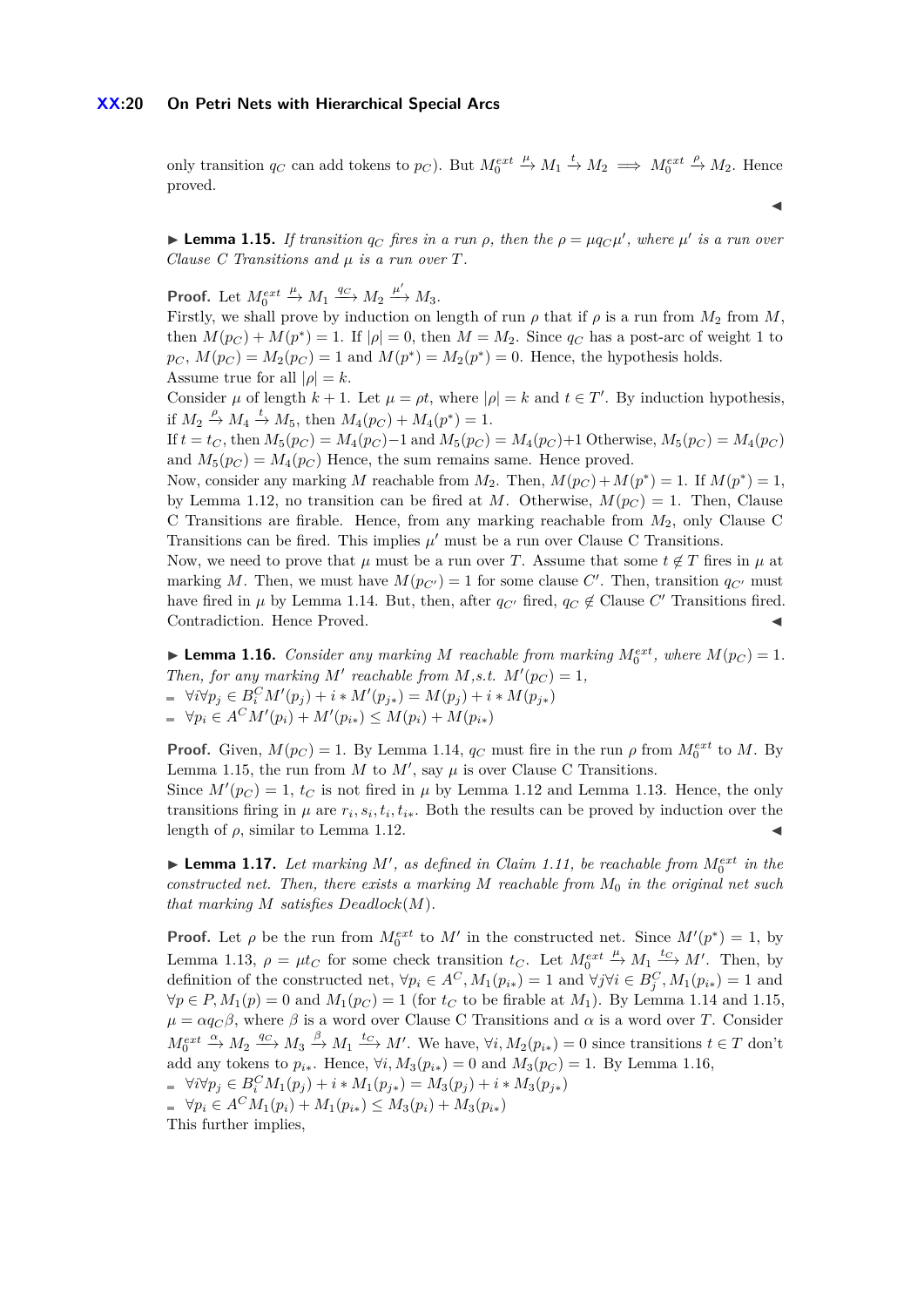### **XX:20 On Petri Nets with Hierarchical Special Arcs**

only transition  $q_C$  can add tokens to  $p_C$ ). But  $M_0^{ext}$  $\stackrel{\mu}{\rightarrow} M_1 \stackrel{t}{\rightarrow} M_2 \implies M_0^{ext}$  $\stackrel{\rho}{\rightarrow}$  *M*<sub>2</sub>. Hence proved.

 $\blacktriangleleft$ 

<span id="page-19-0"></span>**Example 1.15.** *If transition*  $q_C$  *fires in a run*  $\rho$ *, then the*  $\rho = \mu q_C \mu'$ *, where*  $\mu'$  *is a run over Clause C Transitions and µ is a run over T.*

**Proof.** Let *Mext* 0  $\xrightarrow{\mu} M_1 \xrightarrow{q_C} M_2 \xrightarrow{\mu'} M_3.$ 

Firstly, we shall prove by induction on length of run  $\rho$  that if  $\rho$  is a run from  $M_2$  from  $M$ , then  $M(p_C) + M(p^*) = 1$ . If  $|\rho| = 0$ , then  $M = M_2$ . Since  $q_C$  has a post-arc of weight 1 to  $p_C$ ,  $M(p_C) = M_2(p_C) = 1$  and  $M(p^*) = M_2(p^*) = 0$ . Hence, the hypothesis holds. Assume true for all  $|\rho| = k$ .

Consider  $\mu$  of length  $k + 1$ . Let  $\mu = \rho t$ , where  $|\rho| = k$  and  $t \in T'$ . By induction hypothesis, if  $M_2 \stackrel{\rho}{\to} M_4 \stackrel{t}{\to} M_5$ , then  $M_4(p_C) + M_4(p^*) = 1$ .

If  $t = t_C$ , then  $M_5(p_C) = M_4(p_C) - 1$  and  $M_5(p_C) = M_4(p_C) + 1$  Otherwise,  $M_5(p_C) = M_4(p_C)$ and  $M_5(p_C) = M_4(p_C)$  Hence, the sum remains same. Hence proved.

Now, consider any marking *M* reachable from  $M_2$ . Then,  $M(p_C) + M(p^*) = 1$ . If  $M(p^*) = 1$ , by Lemma [1.12,](#page-18-0) no transition can be fired at *M*. Otherwise,  $M(p_C) = 1$ . Then, Clause C Transitions are firable. Hence, from any marking reachable from *M*2, only Clause C Transitions can be fired. This implies  $\mu'$  must be a run over Clause C Transitions.

Now, we need to prove that  $\mu$  must be a run over *T*. Assume that some  $t \notin T$  fires in  $\mu$  at marking *M*. Then, we must have  $M(p_{C'}) = 1$  for some clause  $C'$ . Then, transition  $q_{C'}$  must have fired in  $\mu$  by Lemma [1.14.](#page-18-1) But, then, after  $q_{C'}$  fired,  $q_C \notin \text{Clause } C'$  Transitions fired. Contradiction. Hence Proved.

<span id="page-19-1"></span>**Example 1.16.** *Consider any marking M reachable from marking*  $M_0^{ext}$ , *where*  $M(p_C) = 1$ *. Then, for any marking*  $M'$  *reachable from*  $M$ *,s.t.*  $M'(p_C) = 1$ *,*  $\forall i \forall p_j \in B_i^C M'(p_j) + i * M'(p_{j*}) = M(p_j) + i * M(p_{j*})$  $\forall p_i \in A^C M'(p_i) + M'(p_{i*}) \leq M(p_i) + M(p_{i*})$ 

**Proof.** Given,  $M(p_C) = 1$ . By Lemma [1.14,](#page-18-1)  $q_C$  must fire in the run  $\rho$  from  $M_0^{ext}$  to M. By Lemma [1.15,](#page-19-0) the run from  $M$  to  $M'$ , say  $\mu$  is over Clause C Transitions.

Since  $M'(p_C) = 1$ ,  $t_C$  is not fired in  $\mu$  by Lemma [1.12](#page-18-0) and Lemma [1.13.](#page-18-2) Hence, the only transitions firing in  $\mu$  are  $r_i$ ,  $s_i$ ,  $t_i$ ,  $t_{i*}$ . Both the results can be proved by induction over the length of  $\rho$ , similar to Lemma [1.12.](#page-18-0)

**Example 1.17.** Let marking  $M'$ , as defined in Claim [1.11,](#page-17-4) be reachable from  $M_0^{ext}$  in the *constructed net. Then, there exists a marking M reachable from M*<sup>0</sup> *in the original net such that marking M satisfies Deadlock*(*M*)*.*

**Proof.** Let  $\rho$  be the run from  $M_0^{ext}$  to  $M'$  in the constructed net. Since  $M'(p^*) = 1$ , by Lemma [1.13,](#page-18-2)  $\rho = \mu t_C$  for some check transition  $t_C$ . Let  $M_0^{ext}$  $\stackrel{\mu}{\to} M_1 \stackrel{t_C}{\longrightarrow} M'$ . Then, by definition of the constructed net,  $\forall p_i \in A^C, M_1(p_{i*}) = 1$  and  $\forall j \forall i \in B^C_j, M_1(p_{i*}) = 1$  and  $∀p ∈ P, M_1(p) = 0$  and  $M_1(p_C) = 1$  (for  $t_C$  to be firable at  $M_1$ ). By Lemma [1.14](#page-18-1) and [1.15,](#page-19-0)  $\mu = \alpha q_C \beta$ , where  $\beta$  is a word over Clause C Transitions and  $\alpha$  is a word over *T*. Consider  $M_0^{ext} \xrightarrow{\alpha} M_2 \xrightarrow{qc} M_3 \xrightarrow{\beta} M_1 \xrightarrow{tc} M'$ . We have,  $\forall i, M_2(p_{i*}) = 0$  since transitions  $t \in T$  don't add any tokens to  $p_{i*}$ . Hence,  $\forall i, M_3(p_{i*}) = 0$  and  $M_3(p_C) = 1$ . By Lemma [1.16,](#page-19-1)  $\forall i \forall p_j \in B_i^C M_1(p_j) + i * M_1(p_{j*}) = M_3(p_j) + i * M_3(p_{j*})$ 

 $\forall p_i \in A^C M_1(p_i) + M_1(p_{i*}) \leq M_3(p_i) + M_3(p_{i*})$ 

This further implies,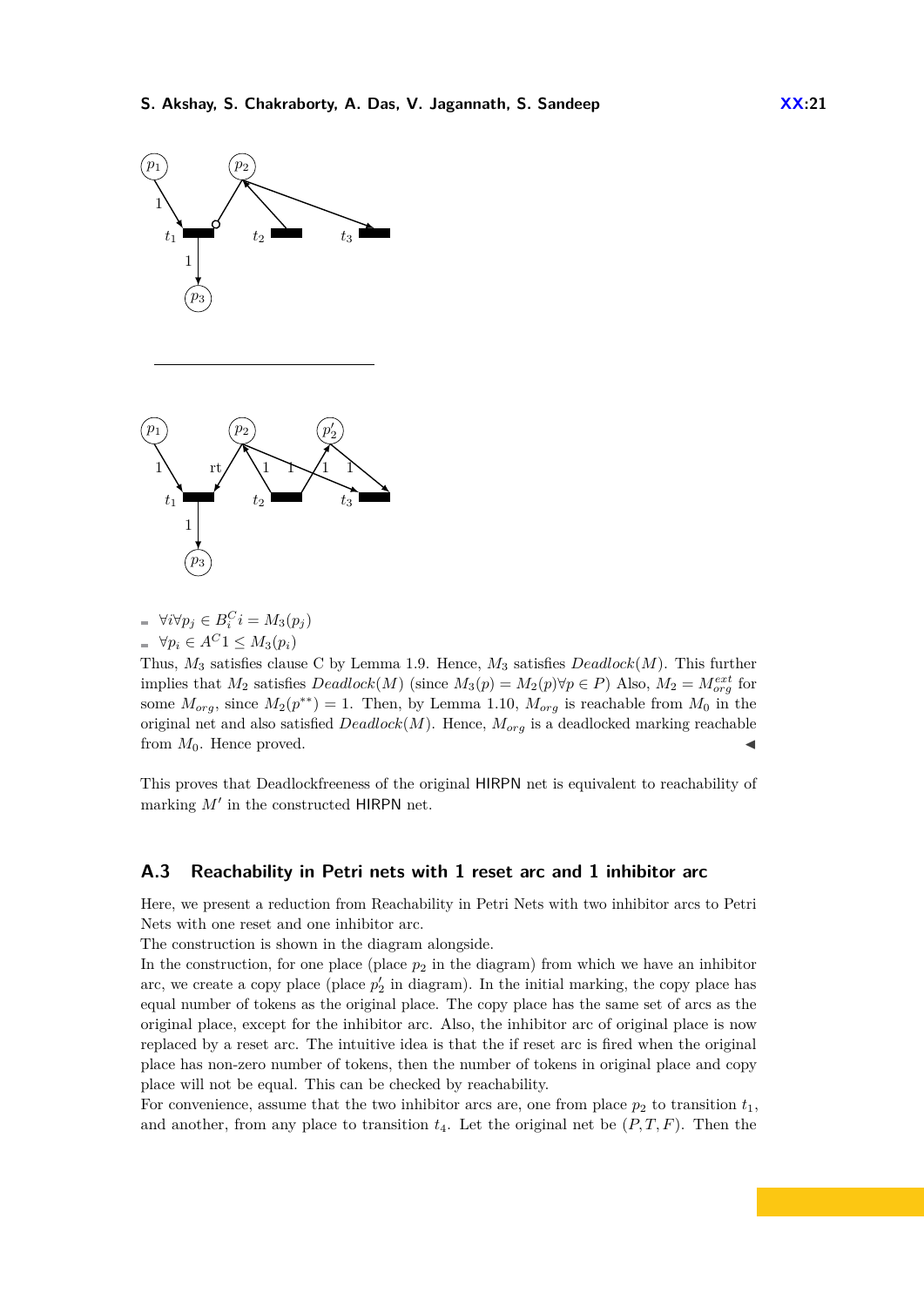

$$
\begin{aligned}\n&= \forall i \forall p_j \in B_i^C i = M_3(p_j) \\
&= \forall p_i \in A^C 1 \le M_3(p_i)\n\end{aligned}
$$

Thus, *M*<sup>3</sup> satisfies clause C by Lemma [1.9.](#page-17-3) Hence, *M*<sup>3</sup> satisfies *Deadlock*(*M*). This further implies that  $M_2$  satisfies  $Deadlock(M)$  (since  $M_3(p) = M_2(p) \forall p \in P$ ) Also,  $M_2 = M_{org}^{ext}$  for some  $M_{org}$ , since  $M_2(p^{**}) = 1$ . Then, by Lemma [1.10,](#page-17-2)  $M_{org}$  is reachable from  $M_0$  in the original net and also satisfied *Deadlock*(*M*). Hence, *Morg* is a deadlocked marking reachable from  $M_0$ . Hence proved.

This proves that Deadlockfreeness of the original HIRPN net is equivalent to reachability of marking  $M'$  in the constructed HIRPN net.

### <span id="page-20-0"></span>**A.3 Reachability in Petri nets with 1 reset arc and 1 inhibitor arc**

Here, we present a reduction from Reachability in Petri Nets with two inhibitor arcs to Petri Nets with one reset and one inhibitor arc.

The construction is shown in the diagram alongside.

In the construction, for one place (place  $p_2$  in the diagram) from which we have an inhibitor arc, we create a copy place (place  $p'_2$  in diagram). In the initial marking, the copy place has equal number of tokens as the original place. The copy place has the same set of arcs as the original place, except for the inhibitor arc. Also, the inhibitor arc of original place is now replaced by a reset arc. The intuitive idea is that the if reset arc is fired when the original place has non-zero number of tokens, then the number of tokens in original place and copy place will not be equal. This can be checked by reachability.

For convenience, assume that the two inhibitor arcs are, one from place  $p_2$  to transition  $t_1$ , and another, from any place to transition  $t_4$ . Let the original net be  $(P, T, F)$ . Then the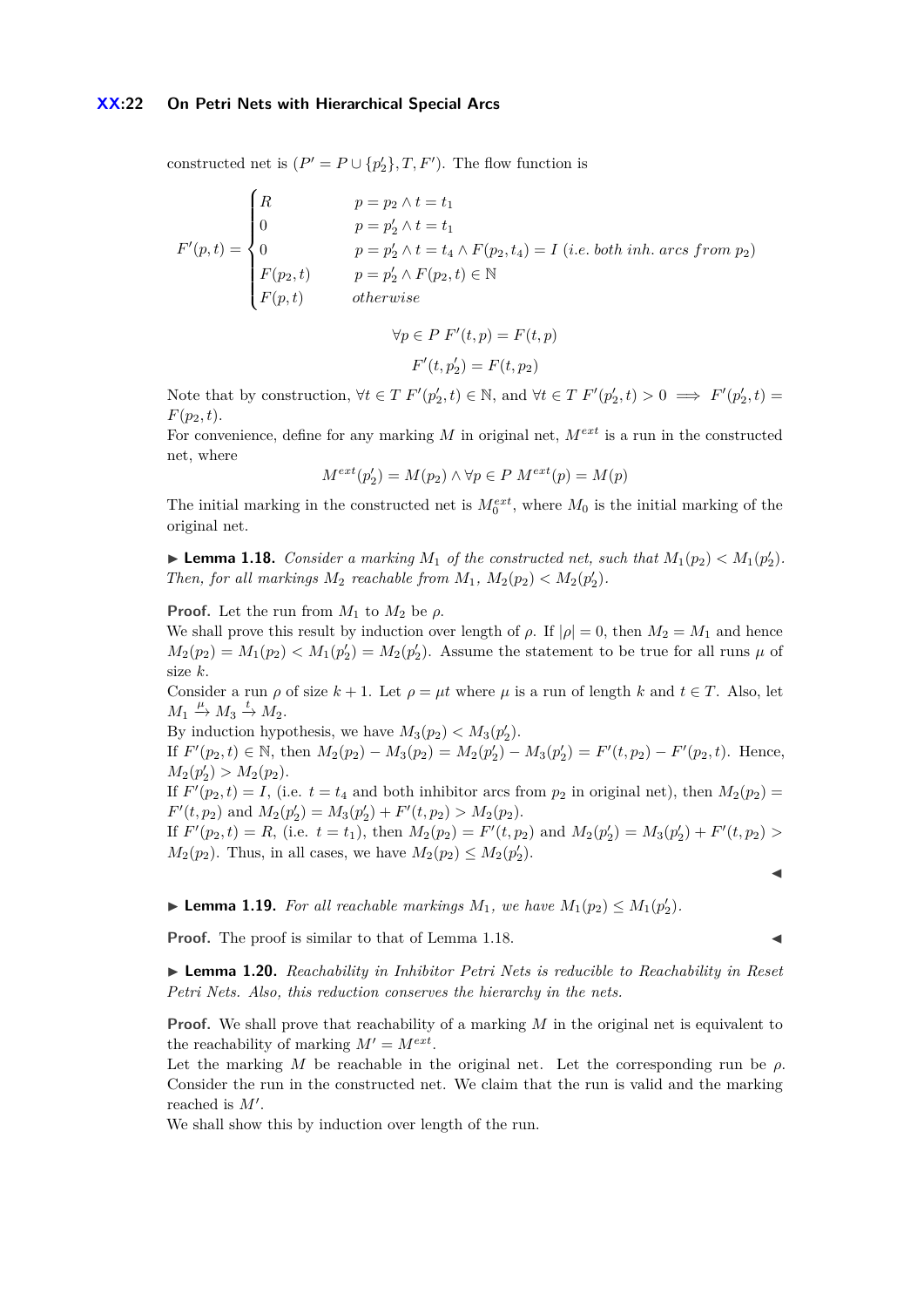### **XX:22 On Petri Nets with Hierarchical Special Arcs**

constructed net is  $(P' = P \cup \{p'_2\}, T, F')$ . The flow function is

$$
F'(p,t) = \begin{cases} R & p = p_2 \land t = t_1 \\ 0 & p = p'_2 \land t = t_1 \\ 0 & p = p'_2 \land t = t_4 \land F(p_2, t_4) = I \ (i.e. \ both \ inh. \ arcs \ from \ p_2) \\ F(p_2, t) & p = p'_2 \land F(p_2, t) \in \mathbb{N} \\ F(p, t) & otherwise \end{cases}
$$

$$
\forall p \in P \ F'(t, p) = F(t, p)
$$

$$
F'(t, p'_2) = F(t, p_2)
$$

Note that by construction,  $\forall t \in T \ F'(p'_2, t) \in \mathbb{N}$ , and  $\forall t \in T \ F'(p'_2, t) > 0 \implies F'(p'_2, t) =$  $F(p_2, t)$ .

For convenience, define for any marking *M* in original net, *Mext* is a run in the constructed net, where

$$
M^{ext}(p'_2) = M(p_2) \land \forall p \in P \ M^{ext}(p) = M(p)
$$

The initial marking in the constructed net is  $M_0^{ext}$ , where  $M_0$  is the initial marking of the original net.

<span id="page-21-0"></span>**Example 1.18.** *Consider a marking*  $M_1$  *of the constructed net, such that*  $M_1(p_2) < M_1(p_2')$ . *Then, for all markings*  $M_2$  *reachable from*  $M_1$ ,  $M_2(p_2) < M_2(p_2')$ .

**Proof.** Let the run from  $M_1$  to  $M_2$  be  $\rho$ .

We shall prove this result by induction over length of  $\rho$ . If  $|\rho| = 0$ , then  $M_2 = M_1$  and hence  $M_2(p_2) = M_1(p_2) < M_1(p'_2) = M_2(p'_2)$ . Assume the statement to be true for all runs  $\mu$  of size *k*.

Consider a run  $\rho$  of size  $k + 1$ . Let  $\rho = \mu t$  where  $\mu$  is a run of length  $k$  and  $t \in T$ . Also, let  $M_1 \stackrel{\mu}{\rightarrow} M_3 \stackrel{t}{\rightarrow} M_2.$ 

By induction hypothesis, we have  $M_3(p_2) < M_3(p_2')$ .

If  $F'(p_2, t) \in \mathbb{N}$ , then  $M_2(p_2) - M_3(p_2) = M_2(p'_2) - M_3(p'_2) = F'(t, p_2) - F'(p_2, t)$ . Hence,  $M_2(p'_2) > M_2(p_2).$ 

If  $F'(p_2, t) = I$ , (i.e.  $t = t_4$  and both inhibitor arcs from  $p_2$  in original net), then  $M_2(p_2) =$  $F'(t, p_2)$  and  $M_2(p'_2) = M_3(p'_2) + F'(t, p_2) > M_2(p_2)$ .

If  $F'(p_2, t) = R$ , (i.e.  $t = t_1$ ), then  $M_2(p_2) = F'(t, p_2)$  and  $M_2(p'_2) = M_3(p'_2) + F'(t, p_2) >$  $M_2(p_2)$ . Thus, in all cases, we have  $M_2(p_2) \leq M_2(p_2')$ .

<span id="page-21-1"></span>▶ **Lemma 1.19.** *For all reachable markings*  $M_1$ *, we have*  $M_1(p_2) \leq M_1(p_2')$ *.* 

**Proof.** The proof is similar to that of Lemma [1.18.](#page-21-0)

J

I **Lemma 1.20.** *Reachability in Inhibitor Petri Nets is reducible to Reachability in Reset Petri Nets. Also, this reduction conserves the hierarchy in the nets.*

**Proof.** We shall prove that reachability of a marking M in the original net is equivalent to the reachability of marking  $M' = M^{ext}$ .

Let the marking *M* be reachable in the original net. Let the corresponding run be  $\rho$ . Consider the run in the constructed net. We claim that the run is valid and the marking reached is  $M'$ .

We shall show this by induction over length of the run.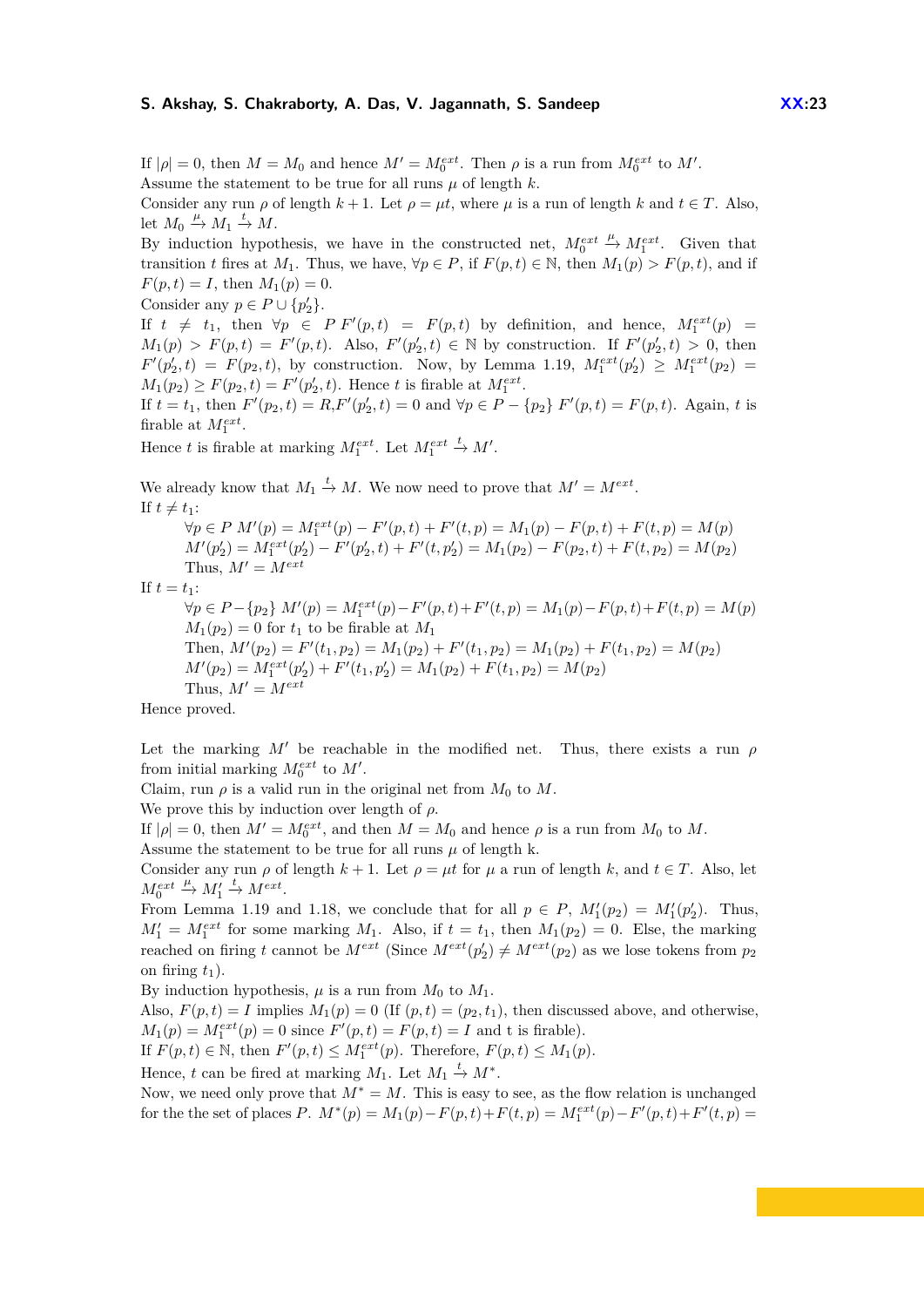If  $|\rho| = 0$ , then  $M = M_0$  and hence  $M' = M_0^{ext}$ . Then  $\rho$  is a run from  $M_0^{ext}$  to  $M'$ . Assume the statement to be true for all runs  $\mu$  of length  $k$ .

Consider any run  $\rho$  of length  $k + 1$ . Let  $\rho = \mu t$ , where  $\mu$  is a run of length  $k$  and  $t \in T$ . Also, let  $M_0 \stackrel{\mu}{\rightarrow} M_1 \stackrel{t}{\rightarrow} M$ .

By induction hypothesis, we have in the constructed net,  $M_0^{ext}$  $\stackrel{\mu}{\rightarrow} M_1^{ext}$ . Given that transition *t* fires at *M*<sub>1</sub>. Thus, we have,  $\forall p \in P$ , if  $F(p, t) \in \mathbb{N}$ , then  $M_1(p) > F(p, t)$ , and if  $F(p,t) = I$ , then  $M_1(p) = 0$ .

Consider any  $p \in P \cup \{p'_2\}.$ 

If  $t \neq t_1$ , then  $\forall p \in P$   $F'(p,t) = F(p,t)$  by definition, and hence,  $M_1^{ext}(p) =$  $M_1(p) > F(p,t) = F'(p,t)$ . Also,  $F'(p'_2, t) \in \mathbb{N}$  by construction. If  $F'(p'_2, t) > 0$ , then  $F'(p'_2, t) = F(p_2, t)$ , by construction. Now, by Lemma [1.19,](#page-21-1)  $M_1^{ext}(p'_2) \ge M_1^{ext}(p_2) =$  $M_1(p_2) \geq F(p_2, t) = F'(p'_2, t)$ . Hence *t* is firable at  $M_1^{ext}$ .

If  $t = t_1$ , then  $F'(p_2, t) = R$ ,  $F'(p'_2, t) = 0$  and  $\forall p \in P - \{p_2\}$   $F'(p, t) = F(p, t)$ . Again, t is firable at  $M_1^{ext}$ .

Hence *t* is firable at marking  $M_1^{ext}$ . Let  $M_1^{ext} \stackrel{t}{\to} M'$ .

We already know that  $M_1 \stackrel{t}{\rightarrow} M$ . We now need to prove that  $M' = M^{ext}$ . If  $t \neq t_1$ :

 $\forall p \in P \ M'(p) = M_1^{ext}(p) - F'(p, t) + F'(t, p) = M_1(p) - F(p, t) + F(t, p) = M(p)$  $M'(p'_2) = M_1^{ext}(p'_2) - F'(p'_2, t) + F'(t, p'_2) = M_1(p_2) - F(p_2, t) + F(t, p_2) = M(p_2)$ Thus,  $M' = M^{ext}$ If  $t = t_1$ :  $\forall p \in P - \{p_2\} \ M'(p) = M_1^{ext}(p) - F'(p, t) + F'(t, p) = M_1(p) - F(p, t) + F(t, p) = M(p)$  $M_1(p_2) = 0$  for  $t_1$  to be firable at  $M_1$ Then,  $M'(p_2) = F'(t_1, p_2) = M_1(p_2) + F'(t_1, p_2) = M_1(p_2) + F(t_1, p_2) = M(p_2)$  $M'(p_2) = M_1^{ext}(p'_2) + F'(t_1, p'_2) = M_1(p_2) + F(t_1, p_2) = M(p_2)$ Thus,  $M' = M^{ext}$ 

Hence proved.

Let the marking  $M'$  be reachable in the modified net. Thus, there exists a run  $\rho$ from initial marking  $M_0^{ext}$  to  $M'$ .

Claim, run  $\rho$  is a valid run in the original net from  $M_0$  to  $M$ .

We prove this by induction over length of *ρ*.

If  $|\rho| = 0$ , then  $M' = M_0^{ext}$ , and then  $M = M_0$  and hence  $\rho$  is a run from  $M_0$  to  $M$ . Assume the statement to be true for all runs  $\mu$  of length k.

Consider any run  $\rho$  of length  $k + 1$ . Let  $\rho = \mu t$  for  $\mu$  a run of length k, and  $t \in T$ . Also, let  $M_0^{ext}$  $x^{\mu} \rightarrow M_1' \rightarrow M^{ext}$ .

From Lemma [1.19](#page-21-1) and [1.18,](#page-21-0) we conclude that for all  $p \in P$ ,  $M'_1(p_2) = M'_1(p'_2)$ . Thus,  $M_1' = M_1^{ext}$  for some marking  $M_1$ . Also, if  $t = t_1$ , then  $M_1(p_2) = 0$ . Else, the marking reached on firing *t* cannot be  $M^{ext}$  (Since  $M^{ext}(p'_2) \neq M^{ext}(p_2)$  as we lose tokens from  $p_2$ on firing  $t_1$ ).

By induction hypothesis,  $\mu$  is a run from  $M_0$  to  $M_1$ .

Also,  $F(p, t) = I$  implies  $M_1(p) = 0$  (If  $(p, t) = (p_2, t_1)$ , then discussed above, and otherwise,  $M_1(p) = M_1^{ext}(p) = 0$  since  $F'(p, t) = F(p, t) = I$  and t is firable).

If  $F(p, t) \in \mathbb{N}$ , then  $F'(p, t) \leq M_1^{ext}(p)$ . Therefore,  $F(p, t) \leq M_1(p)$ .

Hence, *t* can be fired at marking  $M_1$ . Let  $M_1 \stackrel{t}{\rightarrow} M^*$ .

Now, we need only prove that *M*<sup>∗</sup> = *M*. This is easy to see, as the flow relation is unchanged for the the set of places *P*.  $M^*(p) = M_1(p) - F(p, t) + F(t, p) = M_1^{ext}(p) - F'(p, t) + F'(t, p) =$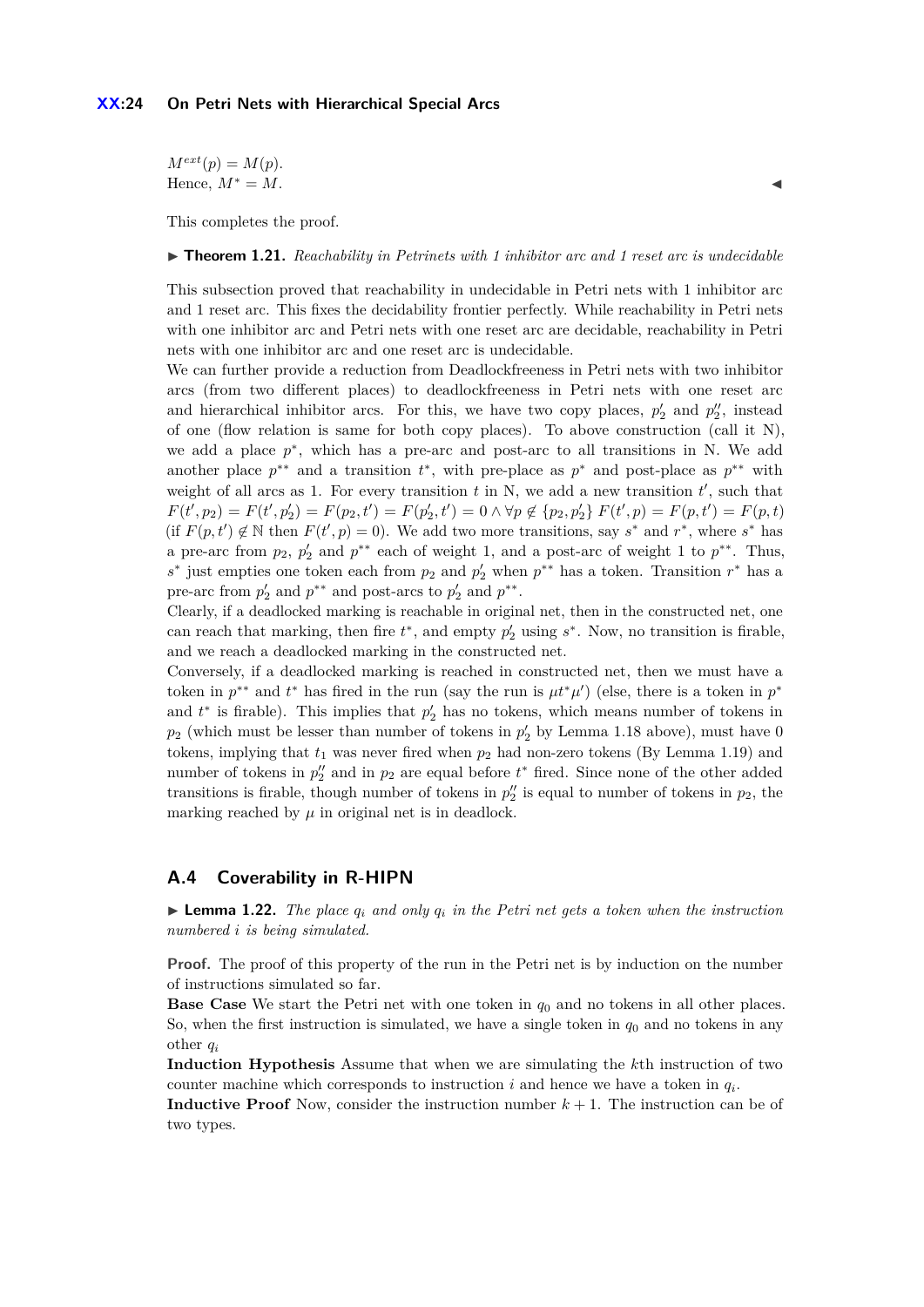### **XX:24 On Petri Nets with Hierarchical Special Arcs**

 $M^{ext}(p) = M(p).$ Hence,  $M^* = M$ .

This completes the proof.

▶ **Theorem 1.21.** *Reachability in Petrinets with 1 inhibitor arc and 1 reset arc is undecidable* 

This subsection proved that reachability in undecidable in Petri nets with 1 inhibitor arc and 1 reset arc. This fixes the decidability frontier perfectly. While reachability in Petri nets with one inhibitor arc and Petri nets with one reset arc are decidable, reachability in Petri nets with one inhibitor arc and one reset arc is undecidable.

We can further provide a reduction from Deadlockfreeness in Petri nets with two inhibitor arcs (from two different places) to deadlockfreeness in Petri nets with one reset arc and hierarchical inhibitor arcs. For this, we have two copy places,  $p'_2$  and  $p''_2$ , instead of one (flow relation is same for both copy places). To above construction (call it N), we add a place  $p^*$ , which has a pre-arc and post-arc to all transitions in N. We add another place  $p^{**}$  and a transition  $t^*$ , with pre-place as  $p^*$  and post-place as  $p^{**}$  with weight of all arcs as 1. For every transition  $t$  in N, we add a new transition  $t'$ , such that  $F(t', p_2) = F(t', p'_2) = F(p_2, t') = F(p'_2, t') = 0 \land \forall p \notin \{p_2, p'_2\} F(t', p) = F(p, t') = F(p, t)$ (if  $F(p, t') \notin \mathbb{N}$  then  $F(t', p) = 0$ ). We add two more transitions, say  $s^*$  and  $r^*$ , where  $s^*$  has a pre-arc from  $p_2$ ,  $p'_2$  and  $p^{**}$  each of weight 1, and a post-arc of weight 1 to  $p^{**}$ . Thus,  $s^*$  just empties one token each from  $p_2$  and  $p'_2$  when  $p^{**}$  has a token. Transition  $r^*$  has a pre-arc from  $p'_2$  and  $p^{**}$  and post-arcs to  $p'_2$  and  $p^{**}$ .

Clearly, if a deadlocked marking is reachable in original net, then in the constructed net, one can reach that marking, then fire  $t^*$ , and empty  $p'_2$  using  $s^*$ . Now, no transition is firable, and we reach a deadlocked marking in the constructed net.

Conversely, if a deadlocked marking is reached in constructed net, then we must have a token in  $p^{**}$  and  $t^*$  has fired in the run (say the run is  $\mu t^* \mu'$ ) (else, there is a token in  $p^*$ and  $t^*$  is firable). This implies that  $p'_2$  has no tokens, which means number of tokens in  $p_2$  (which must be lesser than number of tokens in  $p'_2$  by Lemma [1.18](#page-21-0) above), must have 0 tokens, implying that  $t_1$  was never fired when  $p_2$  had non-zero tokens (By Lemma [1.19\)](#page-21-1) and number of tokens in  $p_2^{\prime\prime}$  and in  $p_2$  are equal before  $t^*$  fired. Since none of the other added transitions is firable, though number of tokens in  $p''_2$  is equal to number of tokens in  $p_2$ , the marking reached by  $\mu$  in original net is in deadlock.

# <span id="page-23-0"></span>**A.4 Coverability in R-HIPN**

**Lemma 1.22.** The place  $q_i$  and only  $q_i$  in the Petri net gets a token when the instruction *numbered i is being simulated.*

**Proof.** The proof of this property of the run in the Petri net is by induction on the number of instructions simulated so far.

**Base Case** We start the Petri net with one token in *q*<sup>0</sup> and no tokens in all other places. So, when the first instruction is simulated, we have a single token in  $q_0$  and no tokens in any other *q<sup>i</sup>*

**Induction Hypothesis** Assume that when we are simulating the *k*th instruction of two counter machine which corresponds to instruction *i* and hence we have a token in *q<sup>i</sup>* .

**Inductive Proof** Now, consider the instruction number  $k + 1$ . The instruction can be of two types.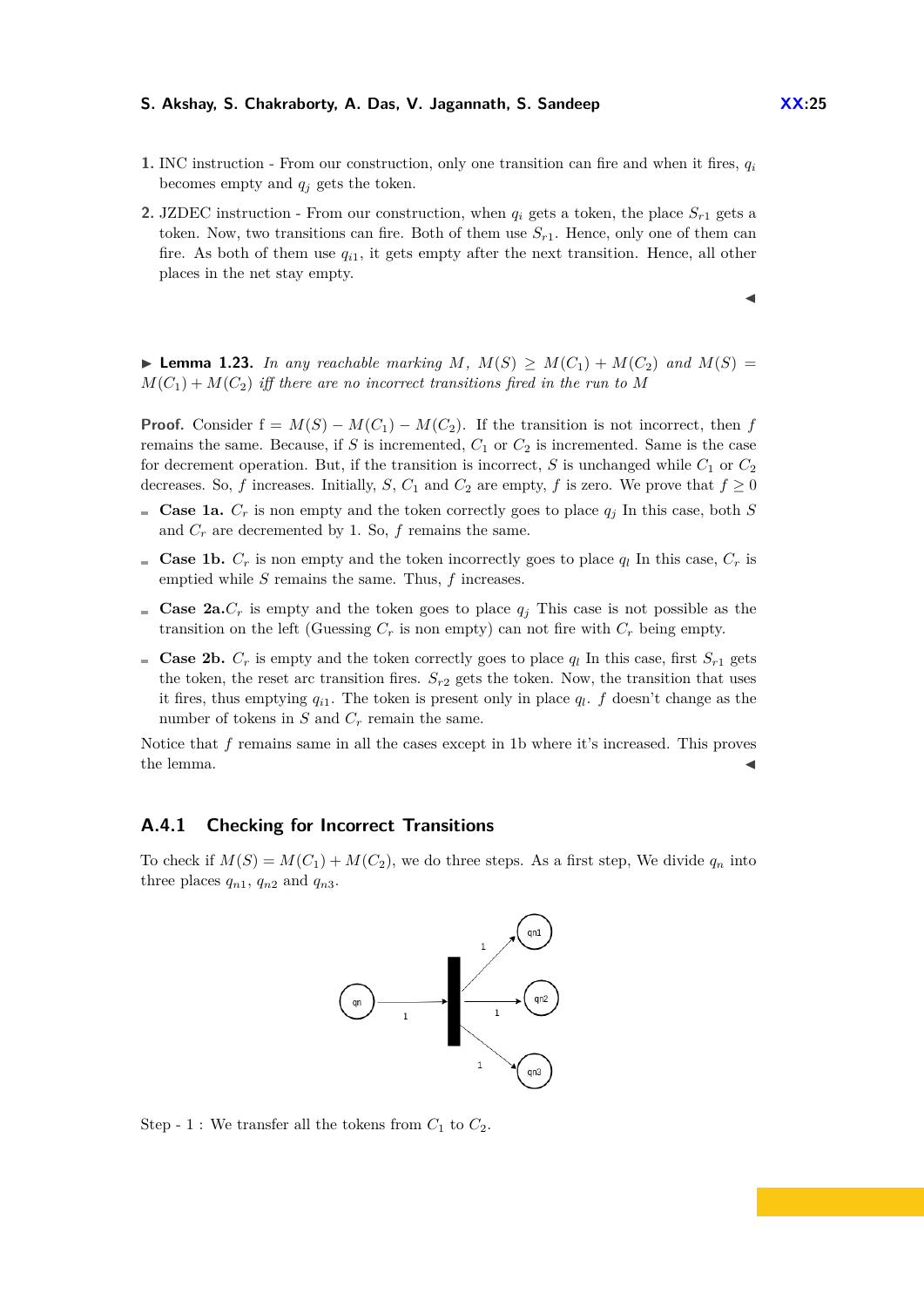- **1.** INC instruction From our construction, only one transition can fire and when it fires, *q<sup>i</sup>* becomes empty and  $q_i$  gets the token.
- **2.** JZDEC instruction From our construction, when  $q_i$  gets a token, the place  $S_{r1}$  gets a token. Now, two transitions can fire. Both of them use  $S_{r1}$ . Hence, only one of them can fire. As both of them use  $q_{i1}$ , it gets empty after the next transition. Hence, all other places in the net stay empty.

▶ **Lemma 1.23.** In any reachable marking M,  $M(S) \geq M(C_1) + M(C_2)$  and  $M(S) =$  $M(C_1) + M(C_2)$  *iff there are no incorrect transitions fired in the run to* M

**Proof.** Consider  $f = M(S) - M(C_1) - M(C_2)$ . If the transition is not incorrect, then *f* remains the same. Because, if  $S$  is incremented,  $C_1$  or  $C_2$  is incremented. Same is the case for decrement operation. But, if the transition is incorrect, *S* is unchanged while  $C_1$  or  $C_2$ decreases. So, *f* increases. Initially, *S*,  $C_1$  and  $C_2$  are empty, *f* is zero. We prove that  $f \ge 0$ 

- **Case 1a.**  $C_r$  is non empty and the token correctly goes to place  $q_j$  In this case, both *S* and  $C_r$  are decremented by 1. So,  $f$  remains the same.
- **Case 1b.**  $C_r$  is non empty and the token incorrectly goes to place  $q_l$  In this case,  $C_r$  is emptied while *S* remains the same. Thus, *f* increases.
- **Case 2a.***C<sub>r</sub>* is empty and the token goes to place  $q_i$  This case is not possible as the transition on the left (Guessing  $C_r$  is non empty) can not fire with  $C_r$  being empty.
- **Case 2b.**  $C_r$  is empty and the token correctly goes to place  $q_l$  In this case, first  $S_{r_1}$  gets the token, the reset arc transition fires.  $S_{r2}$  gets the token. Now, the transition that uses it fires, thus emptying  $q_{i1}$ . The token is present only in place  $q_l$ .  $f$  doesn't change as the number of tokens in  $S$  and  $C_r$  remain the same.

Notice that *f* remains same in all the cases except in 1b where it's increased. This proves the lemma.  $\blacktriangleleft$ 

### **A.4.1 Checking for Incorrect Transitions**

To check if  $M(S) = M(C_1) + M(C_2)$ , we do three steps. As a first step, We divide  $q_n$  into three places  $q_{n1}$ ,  $q_{n2}$  and  $q_{n3}$ .



Step - 1 : We transfer all the tokens from  $C_1$  to  $C_2$ .

J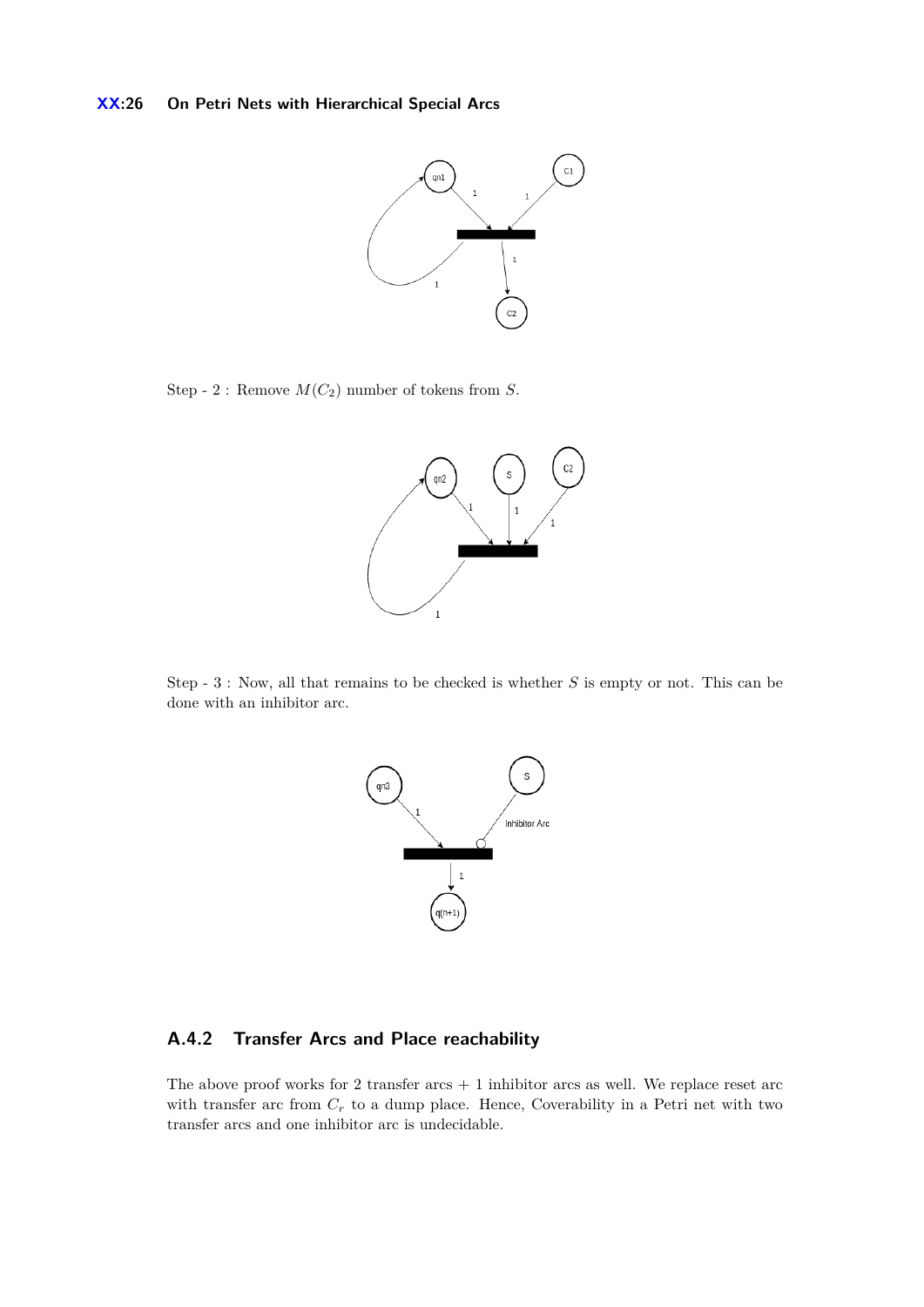

Step - 2 : Remove  $M(C_2)$  number of tokens from *S*.



Step - 3 : Now, all that remains to be checked is whether *S* is empty or not. This can be done with an inhibitor arc.



# **A.4.2 Transfer Arcs and Place reachability**

The above proof works for 2 transfer  $arcs + 1$  inhibitor arcs as well. We replace reset  $arc$ with transfer arc from  $C_r$  to a dump place. Hence, Coverability in a Petri net with two transfer arcs and one inhibitor arc is undecidable.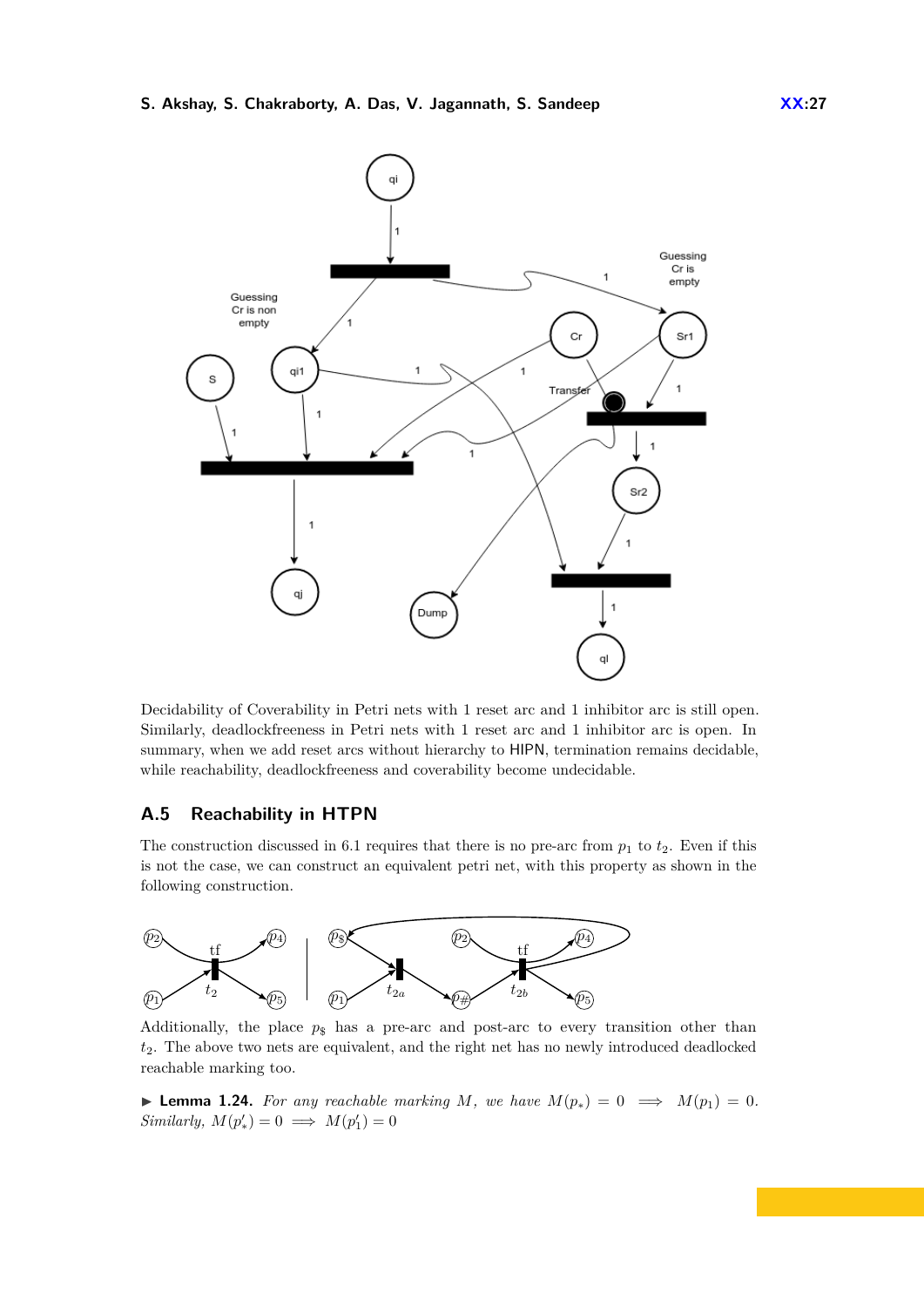

Decidability of Coverability in Petri nets with 1 reset arc and 1 inhibitor arc is still open. Similarly, deadlockfreeness in Petri nets with 1 reset arc and 1 inhibitor arc is open. In summary, when we add reset arcs without hierarchy to HIPN, termination remains decidable, while reachability, deadlockfreeness and coverability become undecidable.

# <span id="page-26-0"></span>**A.5 Reachability in HTPN**

The construction discussed in [6.1](#page-11-2) requires that there is no pre-arc from  $p_1$  to  $t_2$ . Even if this is not the case, we can construct an equivalent petri net, with this property as shown in the following construction.



Additionally, the place  $p_{\rm s}$  has a pre-arc and post-arc to every transition other than *t*2. The above two nets are equivalent, and the right net has no newly introduced deadlocked reachable marking too.

▶ **Lemma 1.24.** For any reachable marking M, we have  $M(p_*) = 0 \implies M(p_1) = 0$ . *Similarly,*  $M(p'_*) = 0 \implies M(p'_1) = 0$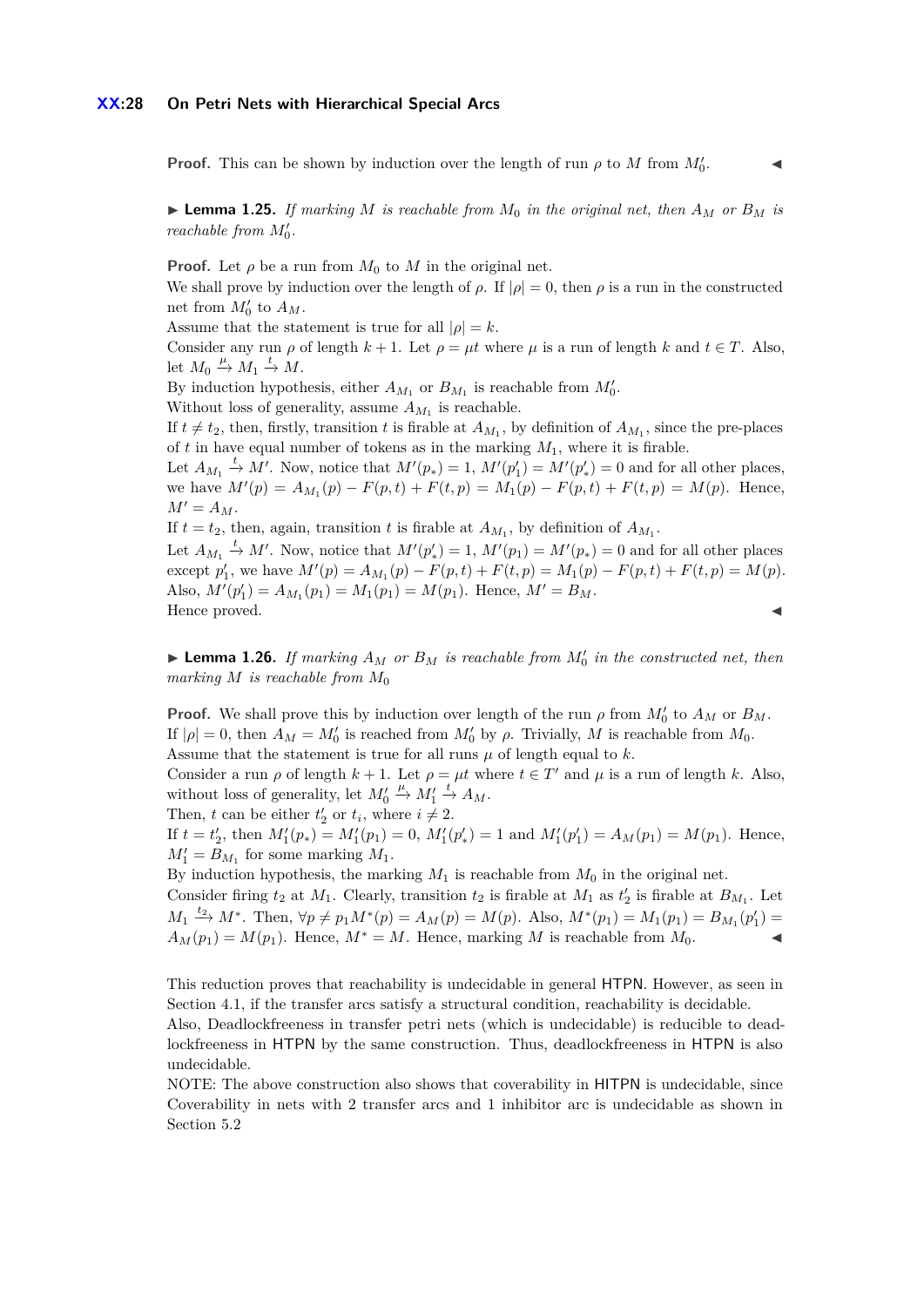### **XX:28 On Petri Nets with Hierarchical Special Arcs**

**Proof.** This can be shown by induction over the length of run  $\rho$  to *M* from  $M_0'$ 

 $\mathcal{L}$ 

 $\blacktriangleright$  **Lemma 1.25.** *If marking M is reachable from*  $M_0$  *in the original net, then*  $A_M$  *or*  $B_M$  *is reachable from*  $M'_0$ .

**Proof.** Let  $\rho$  be a run from  $M_0$  to  $M$  in the original net. We shall prove by induction over the length of  $\rho$ . If  $|\rho| = 0$ , then  $\rho$  is a run in the constructed net from  $M'_0$  to  $A_M$ .

Assume that the statement is true for all  $|\rho| = k$ .

Consider any run  $\rho$  of length  $k + 1$ . Let  $\rho = \mu t$  where  $\mu$  is a run of length  $k$  and  $t \in T$ . Also, let  $M_0 \stackrel{\mu}{\rightarrow} M_1 \stackrel{t}{\rightarrow} M$ .

By induction hypothesis, either  $A_{M_1}$  or  $B_{M_1}$  is reachable from  $M'_0$ .

Without loss of generality, assume  $A_{M_1}$  is reachable.

If  $t \neq t_2$ , then, firstly, transition *t* is firable at  $A_{M_1}$ , by definition of  $A_{M_1}$ , since the pre-places of  $t$  in have equal number of tokens as in the marking  $M_1$ , where it is firable.

Let  $A_{M_1} \stackrel{t}{\rightarrow} M'$ . Now, notice that  $M'(p_*) = 1$ ,  $M'(p'_1) = M'(p'_*) = 0$  and for all other places, we have  $M'(p) = A_{M_1}(p) - F(p, t) + F(t, p) = M_1(p) - F(p, t) + F(t, p) = M(p)$ . Hence,  $M' = A_M$ .

If  $t = t_2$ , then, again, transition  $t$  is firable at  $A_{M_1}$ , by definition of  $A_{M_1}$ .

Let  $A_{M_1} \stackrel{t}{\rightarrow} M'$ . Now, notice that  $M'(p'_*) = 1$ ,  $M'(p_1) = M'(p_*) = 0$  and for all other places except  $p'_1$ , we have  $M'(p) = A_{M_1}(p) - F(p, t) + F(t, p) = M_1(p) - F(p, t) + F(t, p) = M(p)$ . Also,  $M'(p'_1) = A_{M_1}(p_1) = M_1(p_1) = M(p_1)$ . Hence,  $M' = B_M$ . Hence proved.

**Example 1.26.** *If marking*  $A_M$  *or*  $B_M$  *is reachable from*  $M'_0$  *in the constructed net, then marking M is reachable from M*<sup>0</sup>

**Proof.** We shall prove this by induction over length of the run  $\rho$  from  $M_0'$  to  $A_M$  or  $B_M$ . If  $|\rho| = 0$ , then  $A_M = M'_0$  is reached from  $M'_0$  by  $\rho$ . Trivially, M is reachable from  $M_0$ . Assume that the statement is true for all runs  $\mu$  of length equal to  $k$ .

Consider a run  $\rho$  of length  $k + 1$ . Let  $\rho = \mu t$  where  $t \in T'$  and  $\mu$  is a run of length k. Also, without loss of generality, let  $M'_0$  $\stackrel{\mu}{\rightarrow} M'_1 \stackrel{t}{\rightarrow} A_M.$ 

Then, *t* can be either  $t'_2$  or  $t_i$ , where  $i \neq 2$ .

If  $t = t'_2$ , then  $M'_1(p_*) = M'_1(p_1) = 0$ ,  $M'_1(p'_*) = 1$  and  $M'_1(p'_1) = A_M(p_1) = M(p_1)$ . Hence,  $M_1' = B_{M_1}$  for some marking  $M_1$ .

By induction hypothesis, the marking  $M_1$  is reachable from  $M_0$  in the original net.

Consider firing  $t_2$  at  $M_1$ . Clearly, transition  $t_2$  is firable at  $M_1$  as  $t'_2$  is firable at  $B_{M_1}$ . Let  $M_1 \xrightarrow{t_2} M^*$ . Then,  $\forall p \neq p_1 M^*(p) = A_M(p) = M(p)$ . Also,  $M^*(p_1) = M_1(p_1) = B_{M_1}(p'_1) =$  $A_M(p_1) = M(p_1)$ . Hence,  $M^* = M$ . Hence, marking *M* is reachable from  $M_0$ .

This reduction proves that reachability is undecidable in general HTPN. However, as seen in Section 4.1, if the transfer arcs satisfy a structural condition, reachability is decidable.

Also, Deadlockfreeness in transfer petri nets (which is undecidable) is reducible to deadlockfreeness in HTPN by the same construction. Thus, deadlockfreeness in HTPN is also undecidable.

NOTE: The above construction also shows that coverability in HITPN is undecidable, since Coverability in nets with 2 transfer arcs and 1 inhibitor arc is undecidable as shown in Section [5.2](#page-9-2)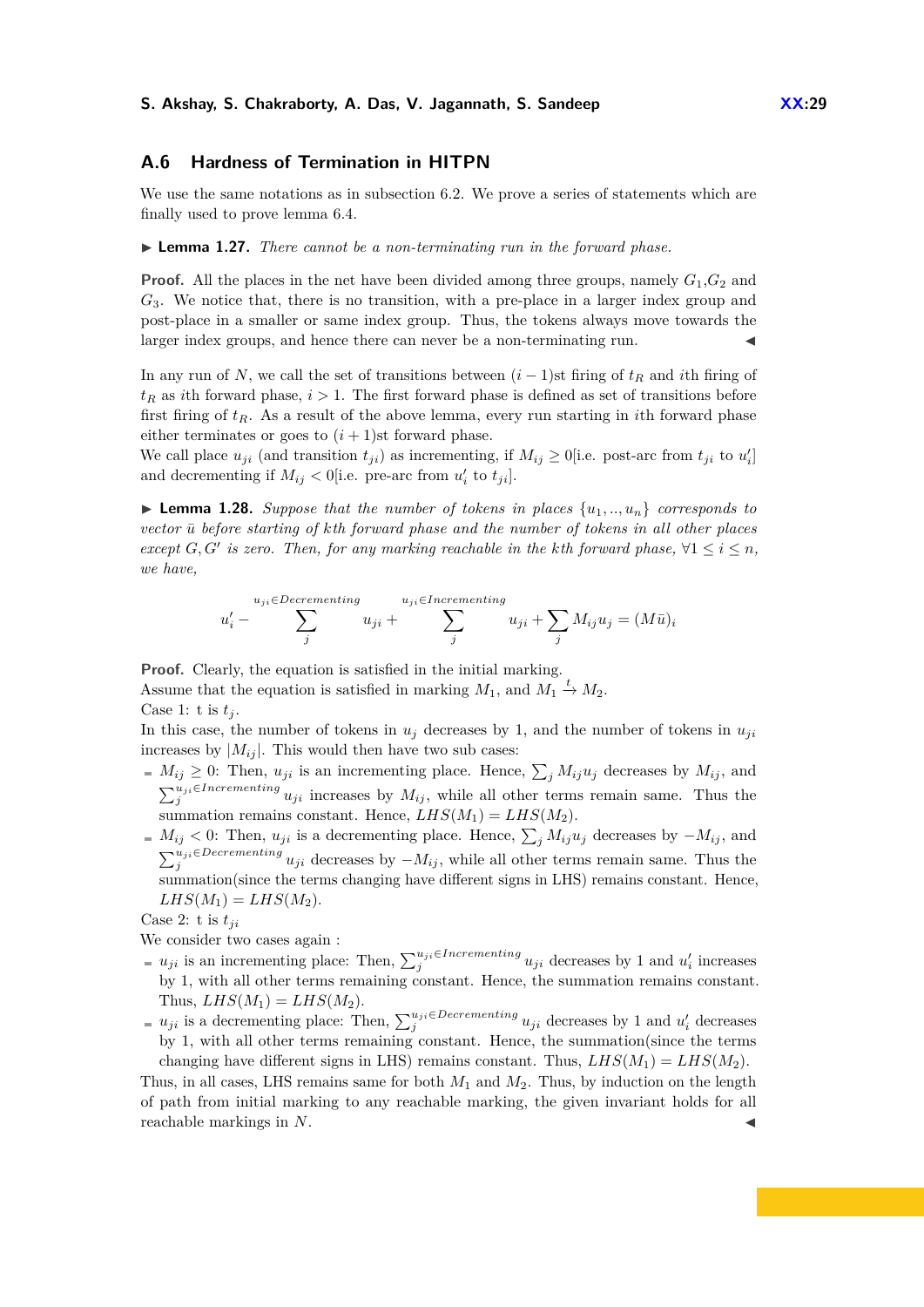# <span id="page-28-0"></span>**A.6 Hardness of Termination in HITPN**

We use the same notations as in subsection [6.2.](#page-12-0) We prove a series of statements which are finally used to prove lemma [6.4.](#page-13-2)

<span id="page-28-2"></span>I **Lemma 1.27.** *There cannot be a non-terminating run in the forward phase.*

**Proof.** All the places in the net have been divided among three groups, namely  $G_1$ ,  $G_2$  and *G*3. We notice that, there is no transition, with a pre-place in a larger index group and post-place in a smaller or same index group. Thus, the tokens always move towards the larger index groups, and hence there can never be a non-terminating run.

In any run of *N*, we call the set of transitions between  $(i - 1)$ st firing of  $t_R$  and *i*th firing of  $t_R$  as *i*th forward phase,  $i > 1$ . The first forward phase is defined as set of transitions before first firing of *tR*. As a result of the above lemma, every run starting in *i*th forward phase either terminates or goes to  $(i + 1)$ st forward phase.

We call place  $u_{ji}$  (and transition  $t_{ji}$ ) as incrementing, if  $M_{ij} \ge 0$  [i.e. post-arc from  $t_{ji}$  to  $u'_i$ ] and decrementing if  $M_{ij} < 0$  [i.e. pre-arc from  $u'_i$  to  $t_{ji}$ ].

<span id="page-28-1"></span>**I Lemma 1.28.** Suppose that the number of tokens in places  $\{u_1, \ldots, u_n\}$  corresponds to *vector u*¯ *before starting of kth forward phase and the number of tokens in all other places except G, G' is zero. Then, for any marking reachable in the kth forward phase,*  $\forall 1 \leq i \leq n$ , *we have,*

$$
u'_{i} - \sum_{j}^{u_{ji} \in Decrementing} u_{ji} + \sum_{j}^{u_{ji} \in Increasing} u_{ji} + \sum_{j} M_{ij} u_{j} = (M\bar{u})_{i}
$$

**Proof.** Clearly, the equation is satisfied in the initial marking. Assume that the equation is satisfied in marking  $M_1$ , and  $M_1 \stackrel{t}{\rightarrow} M_2$ . Case 1: t is  $t_j$ .

In this case, the number of tokens in  $u_j$  decreases by 1, and the number of tokens in  $u_{ji}$ increases by  $|M_{ij}|$ . This would then have two sub cases:

- $M_{ij} \geq 0$ : Then,  $u_{ji}$  is an incrementing place. Hence,  $\sum_j M_{ij}u_j$  decreases by  $M_{ij}$ , and  $\sum_{j}^{u_{ji}\in\text{Incrementing}} u_{ji}$  increases by  $M_{ij}$ , while all other terms remain same. Thus the summation remains constant. Hence,  $LHS(M_1) = LHS(M_2)$ .
- $M_{ij}$  < 0: Then,  $u_{ji}$  is a decrementing place. Hence,  $\sum_j M_{ij}u_j$  decreases by  $-M_{ij}$ , and  $\sum_{j}^{u_{ji} \in Decrementing} u_{ji}$  decreases by  $-M_{ij}$ , while all other terms remain same. Thus the summation(since the terms changing have different signs in LHS) remains constant. Hence,  $LHS(M_1) = LHS(M_2).$

Case 2: t is  $t_{ji}$ 

We consider two cases again :

- $u_{ji}$  is an incrementing place: Then,  $\sum_{j}^{u_{ji} \in {\text{Incrementing}}} u_{ji}$  decreases by 1 and  $u'_{i}$  increases by 1, with all other terms remaining constant. Hence, the summation remains constant. Thus,  $LHS(M_1) = LHS(M_2)$ .
- $u_{ji}$  is a decrementing place: Then,  $\sum_{j}^{u_{ji}\in Decembering} u_{ji}$  decreases by 1 and  $u'_i$  decreases by 1, with all other terms remaining constant. Hence, the summation(since the terms changing have different signs in LHS) remains constant. Thus,  $LHS(M_1) = LHS(M_2)$ .

Thus, in all cases, LHS remains same for both *M*<sup>1</sup> and *M*2. Thus, by induction on the length of path from initial marking to any reachable marking, the given invariant holds for all reachable markings in N.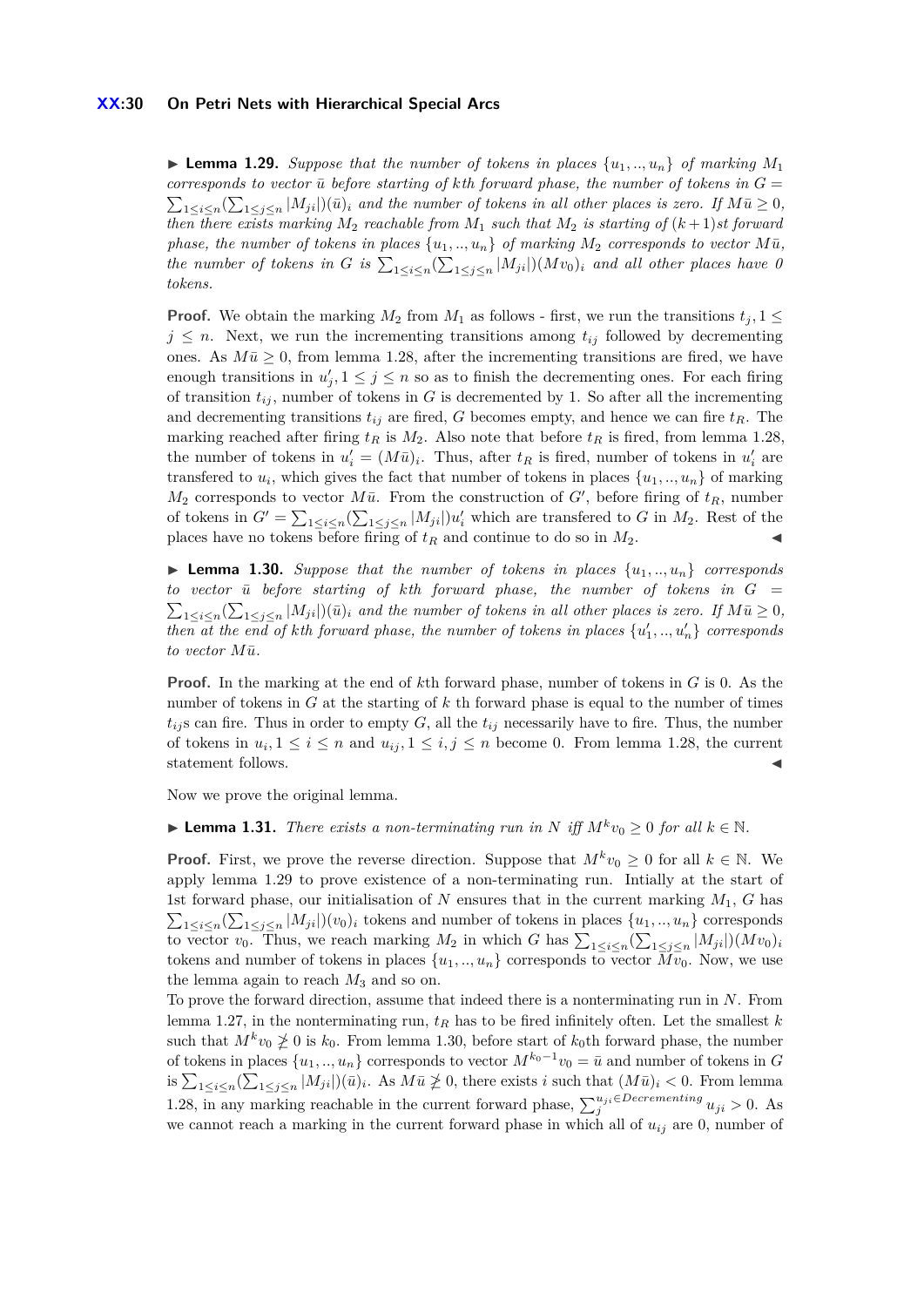### **XX:30 On Petri Nets with Hierarchical Special Arcs**

<span id="page-29-0"></span>**Example 1.29.** Suppose that the number of tokens in places  $\{u_1, \ldots, u_n\}$  of marking  $M_1$ *corresponds to vector*  $\bar{u}$  *before starting of kth forward phase, the number of tokens in*  $G =$  $\sum_{1 \leq i \leq n} (\sum_{1 \leq j \leq n} |M_{ji}|)(\bar{u})_i$  and the number of tokens in all other places is zero. If  $M\bar{u} \geq 0$ , *then there exists marking*  $M_2$  *reachable from*  $M_1$  *such that*  $M_2$  *is starting of*  $(k+1)$ *st forward phase, the number of tokens in places*  $\{u_1, \ldots, u_n\}$  *of marking*  $M_2$  *corresponds to vector*  $M\bar{u}$ *, the number of tokens in G is*  $\sum_{1 \leq i \leq n} (\sum_{1 \leq j \leq n} |M_{ji}|)(Mv_0)_i$  and all other places have 0 *tokens.*

**Proof.** We obtain the marking  $M_2$  from  $M_1$  as follows - first, we run the transitions  $t_i$ , 1  $\leq$  $j \leq n$ . Next, we run the incrementing transitions among  $t_{ij}$  followed by decrementing ones. As  $M\bar{u} \geq 0$ , from lemma [1.28,](#page-28-1) after the incrementing transitions are fired, we have enough transitions in  $u'_{j}$ ,  $1 \leq j \leq n$  so as to finish the decrementing ones. For each firing of transition  $t_{ij}$ , number of tokens in  $G$  is decremented by 1. So after all the incrementing and decrementing transitions  $t_{ij}$  are fired, *G* becomes empty, and hence we can fire  $t_R$ . The marking reached after firing  $t<sub>R</sub>$  is  $M<sub>2</sub>$ . Also note that before  $t<sub>R</sub>$  is fired, from lemma [1.28,](#page-28-1) the number of tokens in  $u'_{i} = (M\bar{u})_{i}$ . Thus, after  $t_R$  is fired, number of tokens in  $u'_{i}$  are transferred to  $u_i$ , which gives the fact that number of tokens in places  $\{u_1, \ldots, u_n\}$  of marking  $M_2$  corresponds to vector  $M\bar{u}$ . From the construction of *G*<sup> $\prime$ </sup>, before firing of  $t_R$ , number of tokens in  $G' = \sum_{1 \leq i \leq n} \left( \sum_{1 \leq j \leq n} |M_{ji}| \right) u'_i$  which are transferred to  $G$  in  $M_2$ . Rest of the places have no tokens before firing of  $t_R$  and continue to do so in  $M_2$ .

<span id="page-29-1"></span>**I Lemma 1.30.** Suppose that the number of tokens in places  $\{u_1, \ldots, u_n\}$  corresponds  $to$  vector  $\bar{u}$  before starting of kth forward phase, the number of tokens in  $G =$  $\sum_{1 \leq i \leq n} (\sum_{1 \leq j \leq n} |M_{ji}|)(\bar{u})_i$  and the number of tokens in all other places is zero. If  $M\bar{u} \geq 0$ , *then at the end of kth forward phase, the number of tokens in places*  $\{u'_1, ..., u'_n\}$  *corresponds*  $to vector M\bar{u}$ .

**Proof.** In the marking at the end of *k*th forward phase, number of tokens in *G* is 0. As the number of tokens in *G* at the starting of *k* th forward phase is equal to the number of times  $t_{ij}$ s can fire. Thus in order to empty *G*, all the  $t_{ij}$  necessarily have to fire. Thus, the number of tokens in  $u_i, 1 \leq i \leq n$  and  $u_{ij}, 1 \leq i, j \leq n$  become 0. From lemma [1.28,](#page-28-1) the current statement follows.

Now we prove the original lemma.

▶ **Lemma 1.31.** *There exists a non-terminating run in N iff*  $M^k v_0 \geq 0$  *for all*  $k \in \mathbb{N}$ *.* 

**Proof.** First, we prove the reverse direction. Suppose that  $M^k v_0 \geq 0$  for all  $k \in \mathbb{N}$ . We apply lemma [1.29](#page-29-0) to prove existence of a non-terminating run. Intially at the start of 1st forward phase, our initialisation of  $N$  ensures that in the current marking  $M_1$ ,  $G$  has  $\sum_{1 \leq i \leq n} (\sum_{1 \leq j \leq n} |M_{ji}|)(v_0)_i$  tokens and number of tokens in places  $\{u_1, ..., u_n\}$  corresponds to vector  $v_0$ . Thus, we reach marking  $M_2$  in which *G* has  $\sum_{1 \leq i \leq n} (\sum_{1 \leq j \leq n} |M_{ji}|)(Mv_0)_i$ tokens and number of tokens in places  $\{u_1, \ldots, u_n\}$  corresponds to vector  $\overline{M}_{v_0}$ . Now, we use the lemma again to reach  $M_3$  and so on.

To prove the forward direction, assume that indeed there is a nonterminating run in *N*. From lemma [1.27,](#page-28-2) in the nonterminating run, *t<sup>R</sup>* has to be fired infinitely often. Let the smallest *k* such that  $M^k v_0 \not\geq 0$  is  $k_0$ . From lemma [1.30,](#page-29-1) before start of  $k_0$ th forward phase, the number of tokens in places  $\{u_1, ..., u_n\}$  corresponds to vector  $M^{k_0-1}v_0 = \bar{u}$  and number of tokens in *G* is  $\sum_{1 \leq i \leq n} (\sum_{1 \leq j \leq n} |M_{ji}|)(\bar{u})_i$ . As  $M\bar{u} \ngeq 0$ , there exists *i* such that  $(M\bar{u})_i < 0$ . From lemma [1.28,](#page-28-1) in any marking reachable in the current forward phase,  $\sum_{j}^{u_{ji}\in Decembering} u_{ji} > 0$ . As we cannot reach a marking in the current forward phase in which all of  $u_{ij}$  are 0, number of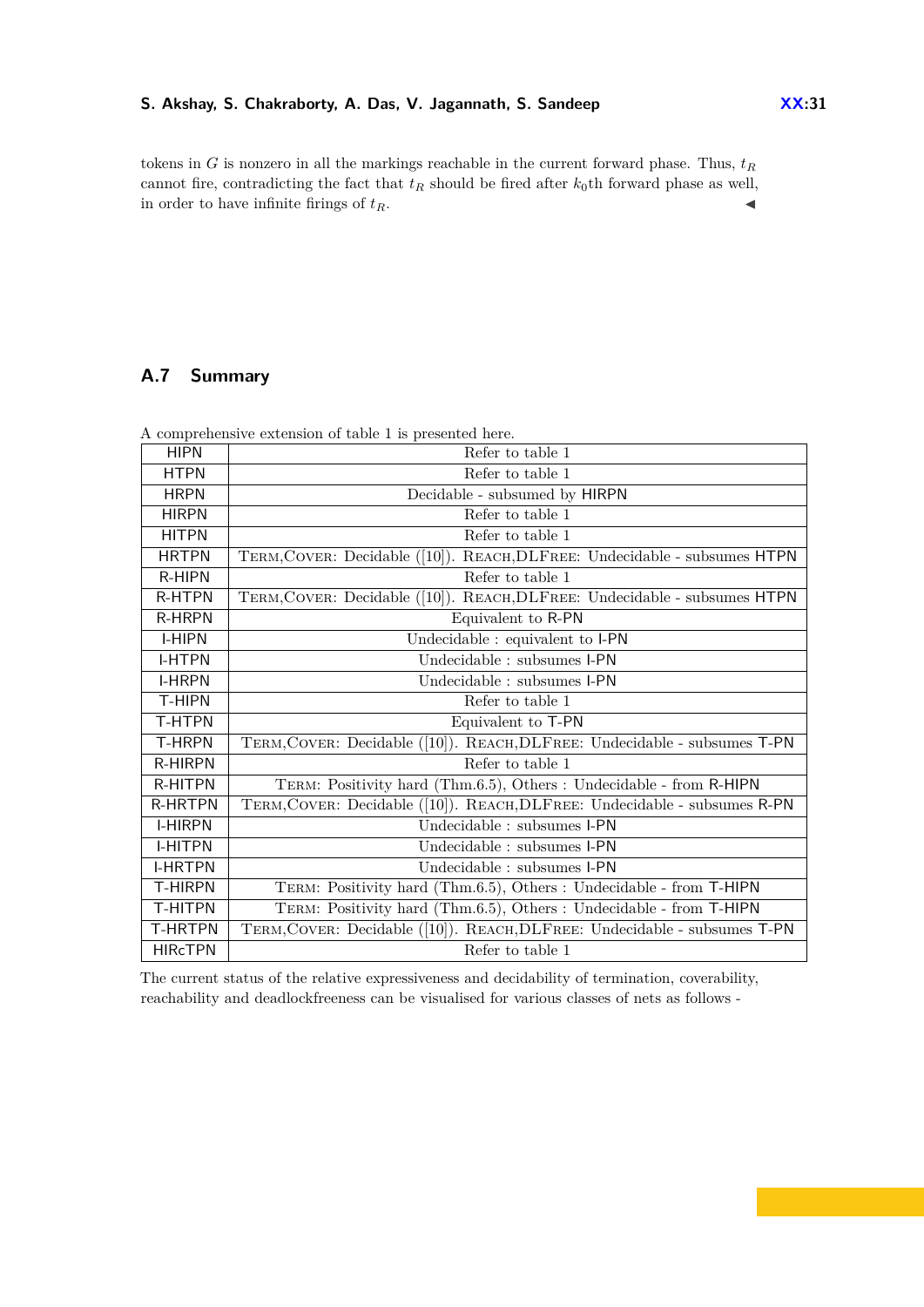tokens in *G* is nonzero in all the markings reachable in the current forward phase. Thus,  $t_R$ cannot fire, contradicting the fact that  $t_R$  should be fired after  $k_0$ th forward phase as well, in order to have infinite firings of  $t_R$ .

# <span id="page-30-0"></span>**A.7 Summary**

| A comprehensive extension of table 1 is presented here. |                                                                           |  |  |
|---------------------------------------------------------|---------------------------------------------------------------------------|--|--|
| <b>HIPN</b>                                             | Refer to table 1                                                          |  |  |
| <b>HTPN</b>                                             | Refer to table 1                                                          |  |  |
| <b>HRPN</b>                                             | Decidable - subsumed by HIRPN                                             |  |  |
| <b>HIRPN</b>                                            | Refer to table 1                                                          |  |  |
| <b>HITPN</b>                                            | Refer to table 1                                                          |  |  |
| <b>HRTPN</b>                                            | TERM, COVER: Decidable ([10]). REACH, DLFREE: Undecidable - subsumes HTPN |  |  |
| R-HIPN                                                  | Refer to table 1                                                          |  |  |
| <b>R-HTPN</b>                                           | TERM, COVER: Decidable ([10]). REACH, DLFREE: Undecidable - subsumes HTPN |  |  |
| <b>R-HRPN</b>                                           | Equivalent to R-PN                                                        |  |  |
| <b>I-HIPN</b>                                           | Undecidable : equivalent to I-PN                                          |  |  |
| <b>I-HTPN</b>                                           | Undecidable : subsumes I-PN                                               |  |  |
| <b>I-HRPN</b>                                           | Undecidable : subsumes I-PN                                               |  |  |
| <b>T-HIPN</b>                                           | Refer to table 1                                                          |  |  |
| T-HTPN                                                  | Equivalent to T-PN                                                        |  |  |
| <b>T-HRPN</b>                                           | TERM, COVER: Decidable ([10]). REACH, DLFREE: Undecidable - subsumes T-PN |  |  |
| <b>R-HIRPN</b>                                          | Refer to table 1                                                          |  |  |
| <b>R-HITPN</b>                                          | TERM: Positivity hard (Thm.6.5), Others : Undecidable - from R-HIPN       |  |  |
| <b>R-HRTPN</b>                                          | TERM, COVER: Decidable ([10]). REACH, DLFREE: Undecidable - subsumes R-PN |  |  |
| <b>I-HIRPN</b>                                          | Undecidable : subsumes I-PN                                               |  |  |
| <b>I-HITPN</b>                                          | Undecidable : subsumes I-PN                                               |  |  |
| <b>I-HRTPN</b>                                          | Undecidable : subsumes I-PN                                               |  |  |
| <b>T-HIRPN</b>                                          | TERM: Positivity hard (Thm.6.5), Others : Undecidable - from T-HIPN       |  |  |
| T-HITPN                                                 | TERM: Positivity hard (Thm.6.5), Others : Undecidable - from T-HIPN       |  |  |
| <b>T-HRTPN</b>                                          | TERM, COVER: Decidable ([10]). REACH, DLFREE: Undecidable - subsumes T-PN |  |  |
| <b>HIRcTPN</b>                                          | Refer to table 1                                                          |  |  |

A comprehensive extension of table [1](#page-4-0) is presented here.

The current status of the relative expressiveness and decidability of termination, coverability, reachability and deadlockfreeness can be visualised for various classes of nets as follows -